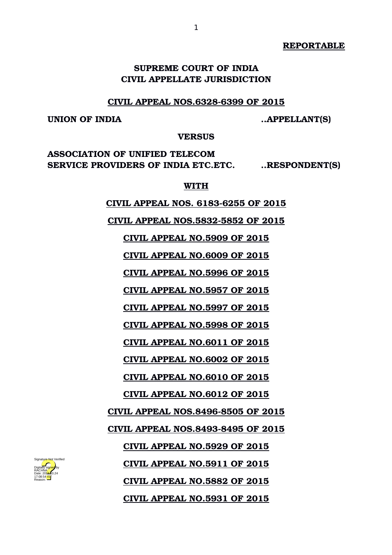**REPORTABLE**

# **SUPREME COURT OF INDIA CIVIL APPELLATE JURISDICTION**

#### **CIVIL APPEAL NOS.6328-6399 OF 2015**

## **UNION OF INDIA ..APPELLANT(S)**

**VERSUS**

**ASSOCIATION OF UNIFIED TELECOM SERVICE PROVIDERS OF INDIA ETC.ETC. ..RESPONDENT(S)**

#### **WITH**

 **CIVIL APPEAL NOS. 61836255 OF 2015**

 **CIVIL APPEAL NOS.58325852 OF 2015**

 **CIVIL APPEAL NO.5909 OF 2015**

 **CIVIL APPEAL NO.6009 OF 2015**

 **CIVIL APPEAL NO.5996 OF 2015**

 **CIVIL APPEAL NO.5957 OF 2015**

 **CIVIL APPEAL NO.5997 OF 2015**

 **CIVIL APPEAL NO.5998 OF 2015**

 **CIVIL APPEAL NO.6011 OF 2015**

 **CIVIL APPEAL NO.6002 OF 2015**

 **CIVIL APPEAL NO.6010 OF 2015**

 **CIVIL APPEAL NO.6012 OF 2015**

 **CIVIL APPEAL NOS.84968505 OF 2015**

 **CIVIL APPEAL NOS.84938495 OF 2015**

 **CIVIL APPEAL NO.5929 OF 2015**

 **CIVIL APPEAL NO.5911 OF 2015**

 **CIVIL APPEAL NO.5882 OF 2015**

 **CIVIL APPEAL NO.5931 OF 2015**

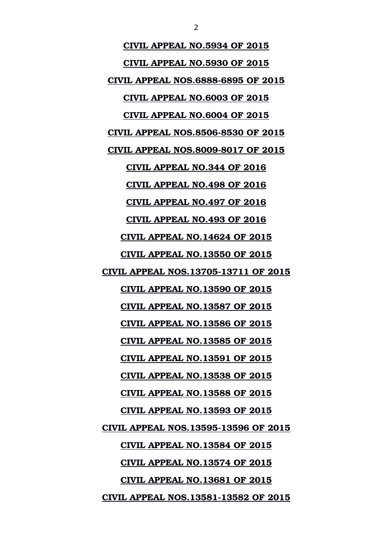**CIVIL APPEAL NO.5934 OF 2015 CIVIL APPEAL NO.5930 OF 2015 CIVIL APPEAL NOS.68886895 OF 2015 CIVIL APPEAL NO.6003 OF 2015 CIVIL APPEAL NO.6004 OF 2015 CIVIL APPEAL NOS.85068530 OF 2015 CIVIL APPEAL NOS.80098017 OF 2015 CIVIL APPEAL NO.344 OF 2016 CIVIL APPEAL NO.498 OF 2016 CIVIL APPEAL NO.497 OF 2016 CIVIL APPEAL NO.493 OF 2016 CIVIL APPEAL NO.14624 OF 2015 CIVIL APPEAL NO.13550 OF 2015 CIVIL APPEAL NOS.1370513711 OF 2015 CIVIL APPEAL NO.13590 OF 2015 CIVIL APPEAL NO.13587 OF 2015 CIVIL APPEAL NO.13586 OF 2015 CIVIL APPEAL NO.13585 OF 2015 CIVIL APPEAL NO.13591 OF 2015 CIVIL APPEAL NO.13538 OF 2015 CIVIL APPEAL NO.13588 OF 2015 CIVIL APPEAL NO.13593 OF 2015 CIVIL APPEAL NOS.1359513596 OF 2015 CIVIL APPEAL NO.13584 OF 2015 CIVIL APPEAL NO.13574 OF 2015 CIVIL APPEAL NO.13681 OF 2015 CIVIL APPEAL NOS.1358113582 OF 2015**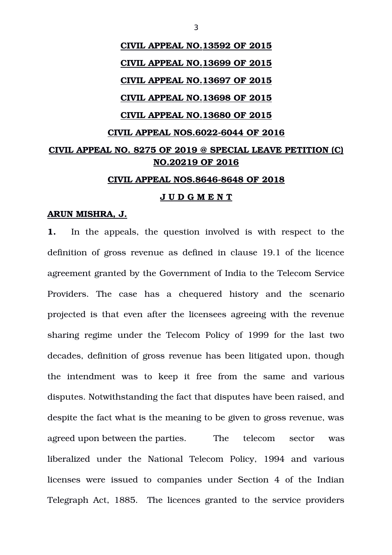# **CIVIL APPEAL NO.13592 OF 2015 CIVIL APPEAL NO.13699 OF 2015 CIVIL APPEAL NO.13697 OF 2015 CIVIL APPEAL NO.13698 OF 2015 CIVIL APPEAL NO.13680 OF 2015 CIVIL APPEAL NOS.60226044 OF 2016 CIVIL APPEAL NO. 8275 OF 2019 @ SPECIAL LEAVE PETITION (C) NO.20219 OF 2016 CIVIL APPEAL NOS.86468648 OF 2018**

#### **J U D G M E N T**

#### **ARUN MISHRA, J.**

**1.** In the appeals, the question involved is with respect to the definition of gross revenue as defined in clause 19.1 of the licence agreement granted by the Government of India to the Telecom Service Providers. The case has a chequered history and the scenario projected is that even after the licensees agreeing with the revenue sharing regime under the Telecom Policy of 1999 for the last two decades, definition of gross revenue has been litigated upon, though the intendment was to keep it free from the same and various disputes. Notwithstanding the fact that disputes have been raised, and despite the fact what is the meaning to be given to gross revenue, was agreed upon between the parties. The telecom sector was liberalized under the National Telecom Policy, 1994 and various licenses were issued to companies under Section 4 of the Indian Telegraph Act, 1885. The licences granted to the service providers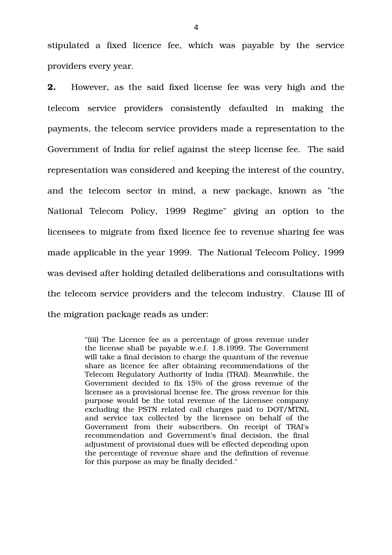stipulated a fixed licence fee, which was payable by the service providers every year.

**2.** However, as the said fixed license fee was very high and the telecom service providers consistently defaulted in making the payments, the telecom service providers made a representation to the Government of India for relief against the steep license fee. The said representation was considered and keeping the interest of the country, and the telecom sector in mind, a new package, known as "the National Telecom Policy, 1999 Regime" giving an option to the licensees to migrate from fixed licence fee to revenue sharing fee was made applicable in the year 1999. The National Telecom Policy, 1999 was devised after holding detailed deliberations and consultations with the telecom service providers and the telecom industry. Clause III of the migration package reads as under:

> "(iii) The Licence fee as a percentage of gross revenue under the license shall be payable w.e.f. 1.8.1999. The Government will take a final decision to charge the quantum of the revenue share as licence fee after obtaining recommendations of the Telecom Regulatory Authority of India (TRAI). Meanwhile, the Government decided to fix 15% of the gross revenue of the licensee as a provisional license fee. The gross revenue for this purpose would be the total revenue of the Licensee company excluding the PSTN related call charges paid to DOT/MTNL and service tax collected by the licensee on behalf of the Government from their subscribers. On receipt of TRAI's recommendation and Government's final decision, the final adjustment of provisional dues will be effected depending upon the percentage of revenue share and the definition of revenue for this purpose as may be finally decided."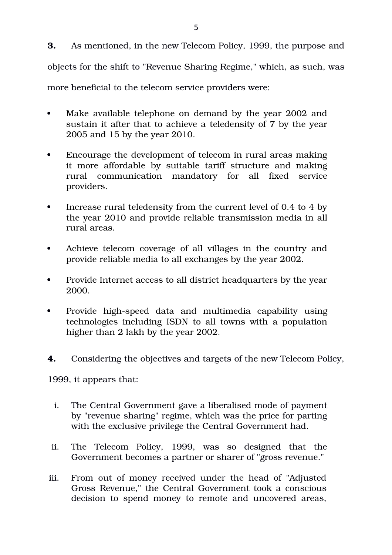**3.** As mentioned, in the new Telecom Policy, 1999, the purpose and objects for the shift to "Revenue Sharing Regime," which, as such, was more beneficial to the telecom service providers were:

- Make available telephone on demand by the year 2002 and sustain it after that to achieve a teledensity of 7 by the year 2005 and 15 by the year 2010.
- Encourage the development of telecom in rural areas making it more affordable by suitable tariff structure and making rural communication mandatory for all fixed service providers.
- Increase rural teledensity from the current level of 0.4 to 4 by the year 2010 and provide reliable transmission media in all rural areas.
- Achieve telecom coverage of all villages in the country and provide reliable media to all exchanges by the year 2002.
- Provide Internet access to all district headquarters by the year 2000.
- Provide high-speed data and multimedia capability using technologies including ISDN to all towns with a population higher than 2 lakh by the year 2002.
- **4.** Considering the objectives and targets of the new Telecom Policy,

1999, it appears that:

- i. The Central Government gave a liberalised mode of payment by "revenue sharing" regime, which was the price for parting with the exclusive privilege the Central Government had.
- ii. The Telecom Policy, 1999, was so designed that the Government becomes a partner or sharer of "gross revenue."
- iii. From out of money received under the head of "Adjusted Gross Revenue," the Central Government took a conscious decision to spend money to remote and uncovered areas,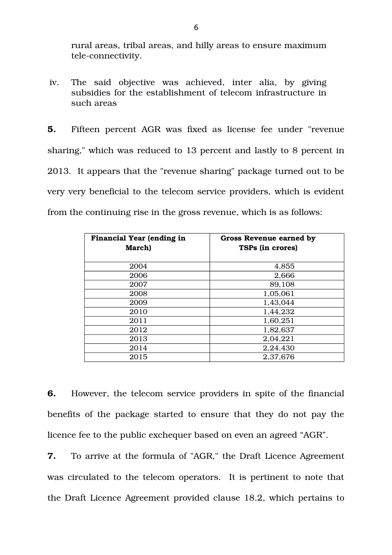rural areas, tribal areas, and hilly areas to ensure maximum tele-connectivity.

iv. The said objective was achieved, inter alia, by giving subsidies for the establishment of telecom infrastructure in such areas

**5.** Fifteen percent AGR was fixed as license fee under "revenue sharing," which was reduced to 13 percent and lastly to 8 percent in 2013. It appears that the "revenue sharing" package turned out to be very very beneficial to the telecom service providers, which is evident from the continuing rise in the gross revenue, which is as follows:

| <b>Financial Year (ending in</b><br>March) | Gross Revenue earned by<br><b>TSPs (in crores)</b> |
|--------------------------------------------|----------------------------------------------------|
| 2004                                       | 4,855                                              |
| 2006                                       | 2,666                                              |
| 2007                                       | 89,108                                             |
| 2008                                       | 1,05,061                                           |
| 2009                                       | 1,43,044                                           |
| 2010                                       | 1,44,232                                           |
| 2011                                       | 1,60,251                                           |
| 2012                                       | 1,82,637                                           |
| 2013                                       | 2,04,221                                           |
| 2014                                       | 2,24,430                                           |
| 2015                                       | 2,37,676                                           |

**6.** However, the telecom service providers in spite of the financial benefits of the package started to ensure that they do not pay the licence fee to the public exchequer based on even an agreed "AGR".

**7.** To arrive at the formula of "AGR," the Draft Licence Agreement was circulated to the telecom operators. It is pertinent to note that the Draft Licence Agreement provided clause 18.2, which pertains to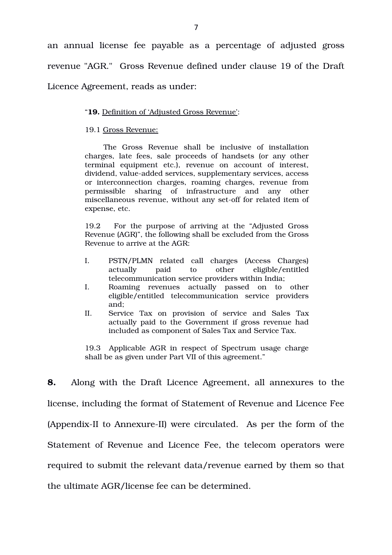an annual license fee payable as a percentage of adjusted gross revenue "AGR." Gross Revenue defined under clause 19 of the Draft Licence Agreement, reads as under:

#### "**19.** Definition of 'Adjusted Gross Revenue':

#### 19.1 Gross Revenue:

The Gross Revenue shall be inclusive of installation charges, late fees, sale proceeds of handsets (or any other terminal equipment etc.), revenue on account of interest, dividend, value-added services, supplementary services, access or interconnection charges, roaming charges, revenue from permissible sharing of infrastructure and any other miscellaneous revenue, without any set-off for related item of expense, etc.

19.2 For the purpose of arriving at the "Adjusted Gross Revenue (AGR)", the following shall be excluded from the Gross Revenue to arrive at the AGR:

- I. PSTN/PLMN related call charges (Access Charges) actually paid to other eligible/entitled telecommunication service providers within India;
- I. Roaming revenues actually passed on to other eligible/entitled telecommunication service providers and;
- II. Service Tax on provision of service and Sales Tax actually paid to the Government if gross revenue had included as component of Sales Tax and Service Tax.

19.3 Applicable AGR in respect of Spectrum usage charge shall be as given under Part VII of this agreement."

**8.** Along with the Draft Licence Agreement, all annexures to the license, including the format of Statement of Revenue and Licence Fee (Appendix-II to Annexure-II) were circulated. As per the form of the Statement of Revenue and Licence Fee, the telecom operators were required to submit the relevant data/revenue earned by them so that the ultimate AGR/license fee can be determined.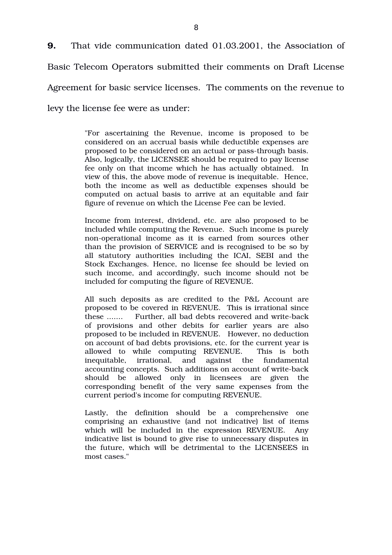**9.** That vide communication dated 01.03.2001, the Association of Basic Telecom Operators submitted their comments on Draft License Agreement for basic service licenses. The comments on the revenue to levy the license fee were as under:

> "For ascertaining the Revenue, income is proposed to be considered on an accrual basis while deductible expenses are proposed to be considered on an actual or pass-through basis. Also, logically, the LICENSEE should be required to pay license fee only on that income which he has actually obtained. In view of this, the above mode of revenue is inequitable. Hence, both the income as well as deductible expenses should be computed on actual basis to arrive at an equitable and fair figure of revenue on which the License Fee can be levied.

> Income from interest, dividend, etc. are also proposed to be included while computing the Revenue. Such income is purely non-operational income as it is earned from sources other than the provision of SERVICE and is recognised to be so by all statutory authorities including the ICAI, SEBI and the Stock Exchanges. Hence, no license fee should be levied on such income, and accordingly, such income should not be included for computing the figure of REVENUE.

> All such deposits as are credited to the P&L Account are proposed to be covered in REVENUE. This is irrational since these ....... Further, all bad debts recovered and write-back of provisions and other debits for earlier years are also proposed to be included in REVENUE. However, no deduction on account of bad debts provisions, etc. for the current year is allowed to while computing REVENUE. This is both inequitable, irrational, and against the fundamental accounting concepts. Such additions on account of write-back should be allowed only in licensees are given the corresponding benefit of the very same expenses from the current period's income for computing REVENUE.

> Lastly, the definition should be a comprehensive one comprising an exhaustive (and not indicative) list of items which will be included in the expression REVENUE. Any indicative list is bound to give rise to unnecessary disputes in the future, which will be detrimental to the LICENSEES in most cases."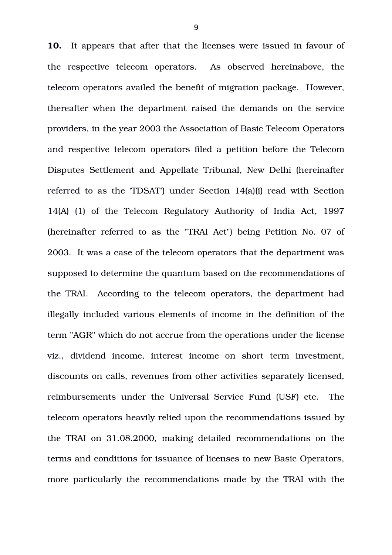**10.** It appears that after that the licenses were issued in favour of the respective telecom operators. As observed hereinabove, the telecom operators availed the benefit of migration package. However, thereafter when the department raised the demands on the service providers, in the year 2003 the Association of Basic Telecom Operators and respective telecom operators filed a petition before the Telecom Disputes Settlement and Appellate Tribunal, New Delhi (hereinafter referred to as the 'TDSAT') under Section 14(a)(i) read with Section 14(A) (1) of the Telecom Regulatory Authority of India Act, 1997 (hereinafter referred to as the "TRAI Act") being Petition No. 07 of 2003. It was a case of the telecom operators that the department was supposed to determine the quantum based on the recommendations of the TRAI. According to the telecom operators, the department had illegally included various elements of income in the definition of the term "AGR" which do not accrue from the operations under the license viz., dividend income, interest income on short term investment, discounts on calls, revenues from other activities separately licensed, reimbursements under the Universal Service Fund (USF) etc. The telecom operators heavily relied upon the recommendations issued by the TRAI on 31.08.2000, making detailed recommendations on the terms and conditions for issuance of licenses to new Basic Operators, more particularly the recommendations made by the TRAI with the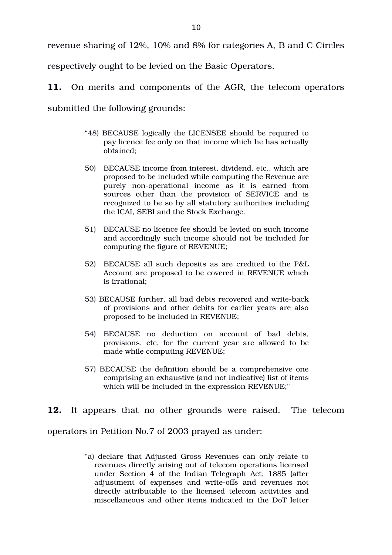revenue sharing of 12%, 10% and 8% for categories A, B and C Circles

respectively ought to be levied on the Basic Operators.

**11.** On merits and components of the AGR, the telecom operators

submitted the following grounds:

- "48) BECAUSE logically the LICENSEE should be required to pay licence fee only on that income which he has actually obtained;
- 50) BECAUSE income from interest, dividend, etc., which are proposed to be included while computing the Revenue are purely non-operational income as it is earned from sources other than the provision of SERVICE and is recognized to be so by all statutory authorities including the ICAI, SEBI and the Stock Exchange.
- 51) BECAUSE no licence fee should be levied on such income and accordingly such income should not be included for computing the figure of REVENUE;
- 52) BECAUSE all such deposits as are credited to the P&L Account are proposed to be covered in REVENUE which is irrational;
- 53) BECAUSE further, all bad debts recovered and write-back of provisions and other debits for earlier years are also proposed to be included in REVENUE;
- 54) BECAUSE no deduction on account of bad debts, provisions, etc. for the current year are allowed to be made while computing REVENUE;
- 57) BECAUSE the definition should be a comprehensive one comprising an exhaustive (and not indicative) list of items which will be included in the expression REVENUE;"

**12.** It appears that no other grounds were raised. The telecom operators in Petition No.7 of 2003 prayed as under:

> "a) declare that Adjusted Gross Revenues can only relate to revenues directly arising out of telecom operations licensed under Section 4 of the Indian Telegraph Act, 1885 (after adjustment of expenses and write-offs and revenues not directly attributable to the licensed telecom activities and miscellaneous and other items indicated in the DoT letter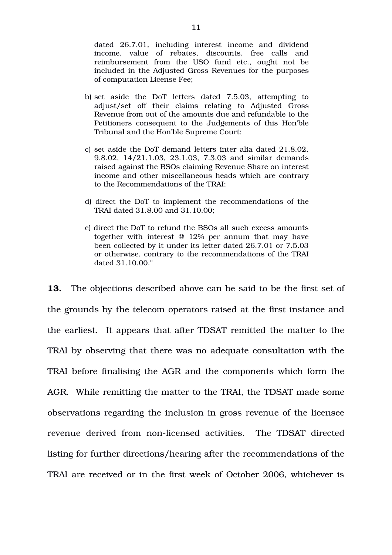dated 26.7.01, including interest income and dividend income, value of rebates, discounts, free calls and reimbursement from the USO fund etc., ought not be included in the Adjusted Gross Revenues for the purposes of computation License Fee;

- b) set aside the DoT letters dated 7.5.03, attempting to adjust/set off their claims relating to Adjusted Gross Revenue from out of the amounts due and refundable to the Petitioners consequent to the Judgements of this Hon'ble Tribunal and the Hon'ble Supreme Court;
- c) set aside the DoT demand letters inter alia dated 21.8.02, 9.8.02, 14/21.1.03, 23.1.03, 7.3.03 and similar demands raised against the BSOs claiming Revenue Share on interest income and other miscellaneous heads which are contrary to the Recommendations of the TRAI;
- d) direct the DoT to implement the recommendations of the TRAI dated 31.8.00 and 31.10.00;
- e) direct the DoT to refund the BSOs all such excess amounts together with interest @ 12% per annum that may have been collected by it under its letter dated 26.7.01 or 7.5.03 or otherwise, contrary to the recommendations of the TRAI dated 31.10.00."

**13.** The objections described above can be said to be the first set of the grounds by the telecom operators raised at the first instance and the earliest. It appears that after TDSAT remitted the matter to the TRAI by observing that there was no adequate consultation with the TRAI before finalising the AGR and the components which form the AGR. While remitting the matter to the TRAI, the TDSAT made some observations regarding the inclusion in gross revenue of the licensee revenue derived from non-licensed activities. The TDSAT directed listing for further directions/hearing after the recommendations of the TRAI are received or in the first week of October 2006, whichever is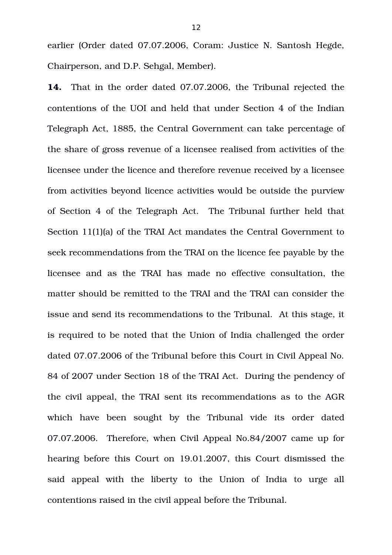earlier (Order dated 07.07.2006, Coram: Justice N. Santosh Hegde, Chairperson, and D.P. Sehgal, Member).

**14.** That in the order dated 07.07.2006, the Tribunal rejected the contentions of the UOI and held that under Section 4 of the Indian Telegraph Act, 1885, the Central Government can take percentage of the share of gross revenue of a licensee realised from activities of the licensee under the licence and therefore revenue received by a licensee from activities beyond licence activities would be outside the purview of Section 4 of the Telegraph Act. The Tribunal further held that Section 11(1)(a) of the TRAI Act mandates the Central Government to seek recommendations from the TRAI on the licence fee payable by the licensee and as the TRAI has made no effective consultation, the matter should be remitted to the TRAI and the TRAI can consider the issue and send its recommendations to the Tribunal. At this stage, it is required to be noted that the Union of India challenged the order dated 07.07.2006 of the Tribunal before this Court in Civil Appeal No. 84 of 2007 under Section 18 of the TRAI Act. During the pendency of the civil appeal, the TRAI sent its recommendations as to the AGR which have been sought by the Tribunal vide its order dated 07.07.2006. Therefore, when Civil Appeal No.84/2007 came up for hearing before this Court on 19.01.2007, this Court dismissed the said appeal with the liberty to the Union of India to urge all contentions raised in the civil appeal before the Tribunal.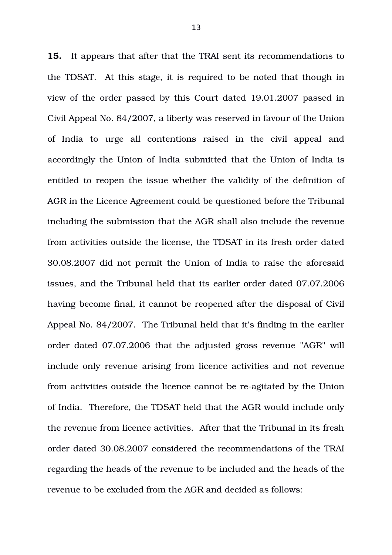**15.** It appears that after that the TRAI sent its recommendations to the TDSAT. At this stage, it is required to be noted that though in view of the order passed by this Court dated 19.01.2007 passed in Civil Appeal No. 84/2007, a liberty was reserved in favour of the Union of India to urge all contentions raised in the civil appeal and accordingly the Union of India submitted that the Union of India is entitled to reopen the issue whether the validity of the definition of AGR in the Licence Agreement could be questioned before the Tribunal including the submission that the AGR shall also include the revenue from activities outside the license, the TDSAT in its fresh order dated 30.08.2007 did not permit the Union of India to raise the aforesaid issues, and the Tribunal held that its earlier order dated 07.07.2006 having become final, it cannot be reopened after the disposal of Civil Appeal No. 84/2007. The Tribunal held that it's finding in the earlier order dated 07.07.2006 that the adjusted gross revenue "AGR" will include only revenue arising from licence activities and not revenue from activities outside the licence cannot be re-agitated by the Union of India. Therefore, the TDSAT held that the AGR would include only the revenue from licence activities. After that the Tribunal in its fresh order dated 30.08.2007 considered the recommendations of the TRAI regarding the heads of the revenue to be included and the heads of the revenue to be excluded from the AGR and decided as follows: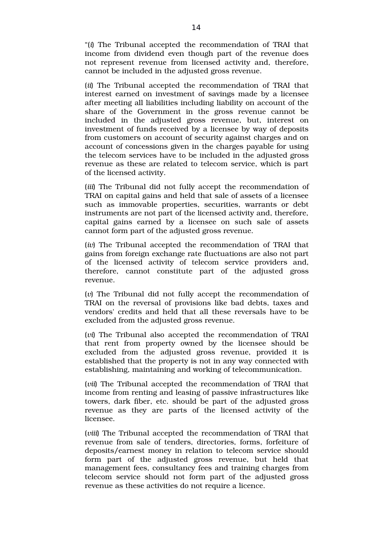"(*i*) The Tribunal accepted the recommendation of TRAI that income from dividend even though part of the revenue does not represent revenue from licensed activity and, therefore, cannot be included in the adjusted gross revenue.

(*ii*) The Tribunal accepted the recommendation of TRAI that interest earned on investment of savings made by a licensee after meeting all liabilities including liability on account of the share of the Government in the gross revenue cannot be included in the adjusted gross revenue, but, interest on investment of funds received by a licensee by way of deposits from customers on account of security against charges and on account of concessions given in the charges payable for using the telecom services have to be included in the adjusted gross revenue as these are related to telecom service, which is part of the licensed activity.

(*iii*) The Tribunal did not fully accept the recommendation of TRAI on capital gains and held that sale of assets of a licensee such as immovable properties, securities, warrants or debt instruments are not part of the licensed activity and, therefore, capital gains earned by a licensee on such sale of assets cannot form part of the adjusted gross revenue.

(*iv*) The Tribunal accepted the recommendation of TRAI that gains from foreign exchange rate fluctuations are also not part of the licensed activity of telecom service providers and, therefore, cannot constitute part of the adjusted gross revenue.

(*v*) The Tribunal did not fully accept the recommendation of TRAI on the reversal of provisions like bad debts, taxes and vendors' credits and held that all these reversals have to be excluded from the adjusted gross revenue.

(*vi*) The Tribunal also accepted the recommendation of TRAI that rent from property owned by the licensee should be excluded from the adjusted gross revenue, provided it is established that the property is not in any way connected with establishing, maintaining and working of telecommunication.

(*vii*) The Tribunal accepted the recommendation of TRAI that income from renting and leasing of passive infrastructures like towers, dark fiber, etc. should be part of the adjusted gross revenue as they are parts of the licensed activity of the licensee.

(*viii*) The Tribunal accepted the recommendation of TRAI that revenue from sale of tenders, directories, forms, forfeiture of deposits/earnest money in relation to telecom service should form part of the adjusted gross revenue, but held that management fees, consultancy fees and training charges from telecom service should not form part of the adjusted gross revenue as these activities do not require a licence.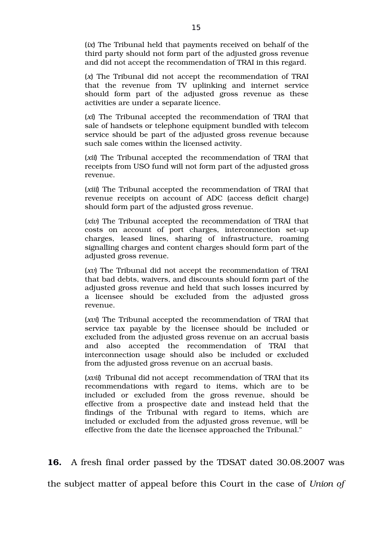(*ix*) The Tribunal held that payments received on behalf of the third party should not form part of the adjusted gross revenue and did not accept the recommendation of TRAI in this regard.

(*x*) The Tribunal did not accept the recommendation of TRAI that the revenue from TV uplinking and internet service should form part of the adjusted gross revenue as these activities are under a separate licence.

(*xi*) The Tribunal accepted the recommendation of TRAI that sale of handsets or telephone equipment bundled with telecom service should be part of the adjusted gross revenue because such sale comes within the licensed activity.

(*xii*) The Tribunal accepted the recommendation of TRAI that receipts from USO fund will not form part of the adjusted gross revenue.

(*xiii*) The Tribunal accepted the recommendation of TRAI that revenue receipts on account of ADC (access deficit charge) should form part of the adjusted gross revenue.

(*xiv*) The Tribunal accepted the recommendation of TRAI that costs on account of port charges, interconnection set-up charges, leased lines, sharing of infrastructure, roaming signalling charges and content charges should form part of the adjusted gross revenue.

(*xv*) The Tribunal did not accept the recommendation of TRAI that bad debts, waivers, and discounts should form part of the adjusted gross revenue and held that such losses incurred by a licensee should be excluded from the adjusted gross revenue.

(*xvi*) The Tribunal accepted the recommendation of TRAI that service tax payable by the licensee should be included or excluded from the adjusted gross revenue on an accrual basis and also accepted the recommendation of TRAI that interconnection usage should also be included or excluded from the adjusted gross revenue on an accrual basis.

(*xvii*) Tribunal did not accept recommendation of TRAI that its recommendations with regard to items, which are to be included or excluded from the gross revenue, should be effective from a prospective date and instead held that the findings of the Tribunal with regard to items, which are included or excluded from the adjusted gross revenue, will be effective from the date the licensee approached the Tribunal."

**16.** A fresh final order passed by the TDSAT dated 30.08.2007 was

the subject matter of appeal before this Court in the case of *Union of*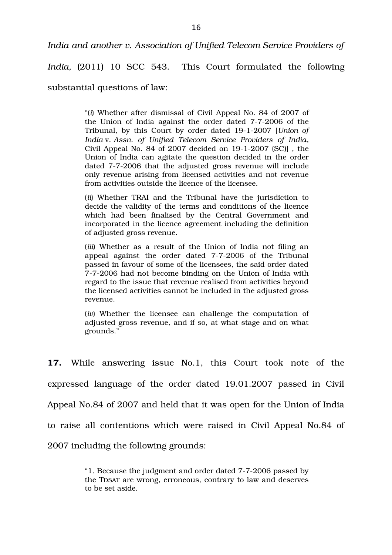*India and another v. Association of Unified Telecom Service Providers of*

*India,* (2011) 10 SCC 543. This Court formulated the following

substantial questions of law:

"(*i*) Whether after dismissal of Civil Appeal No. 84 of 2007 of the Union of India against the order dated 7-7-2006 of the Tribunal, by this Court by order dated 1912007 [*Union of India* v. *Assn. of Unified Telecom Service Providers of India*, Civil Appeal No. 84 of  $2007$  decided on  $19-1-2007$  (SC)], the Union of India can agitate the question decided in the order dated 7-7-2006 that the adjusted gross revenue will include only revenue arising from licensed activities and not revenue from activities outside the licence of the licensee.

(*ii*) Whether TRAI and the Tribunal have the jurisdiction to decide the validity of the terms and conditions of the licence which had been finalised by the Central Government and incorporated in the licence agreement including the definition of adjusted gross revenue.

(*iii*) Whether as a result of the Union of India not filing an appeal against the order dated 7-7-2006 of the Tribunal passed in favour of some of the licensees, the said order dated 772006 had not become binding on the Union of India with regard to the issue that revenue realised from activities beyond the licensed activities cannot be included in the adjusted gross revenue.

(*iv*) Whether the licensee can challenge the computation of adjusted gross revenue, and if so, at what stage and on what grounds."

**17.** While answering issue No.1, this Court took note of the expressed language of the order dated 19.01.2007 passed in Civil Appeal No.84 of 2007 and held that it was open for the Union of India to raise all contentions which were raised in Civil Appeal No.84 of 2007 including the following grounds:

> "1. Because the judgment and order dated 772006 passed by the TDSAT are wrong, erroneous, contrary to law and deserves to be set aside.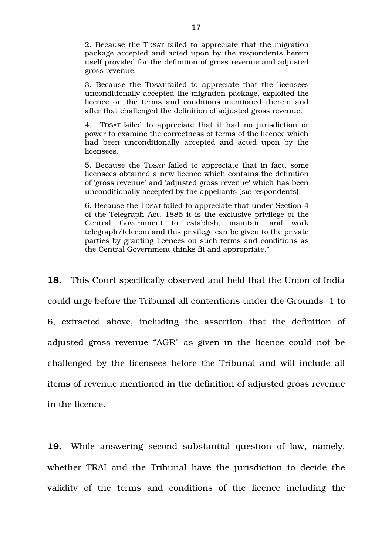2. Because the TDSAT failed to appreciate that the migration package accepted and acted upon by the respondents herein itself provided for the definition of gross revenue and adjusted gross revenue.

3. Because the TDSAT failed to appreciate that the licensees unconditionally accepted the migration package, exploited the licence on the terms and conditions mentioned therein and after that challenged the definition of adjusted gross revenue.

4. TDSAT failed to appreciate that it had no jurisdiction or power to examine the correctness of terms of the licence which had been unconditionally accepted and acted upon by the licensees.

5. Because the TDSAT failed to appreciate that in fact, some licensees obtained a new licence which contains the definition of 'gross revenue' and 'adjusted gross revenue' which has been unconditionally accepted by the appellants (*sic* respondents).

6. Because the TDSAT failed to appreciate that under Section 4 of the Telegraph Act, 1885 it is the exclusive privilege of the Central Government to establish, maintain and work telegraph/telecom and this privilege can be given to the private parties by granting licences on such terms and conditions as the Central Government thinks fit and appropriate."

**18.** This Court specifically observed and held that the Union of India could urge before the Tribunal all contentions under the Grounds 1 to 6, extracted above, including the assertion that the definition of adjusted gross revenue "AGR" as given in the licence could not be challenged by the licensees before the Tribunal and will include all items of revenue mentioned in the definition of adjusted gross revenue in the licence.

19. While answering second substantial question of law, namely, whether TRAI and the Tribunal have the jurisdiction to decide the validity of the terms and conditions of the licence including the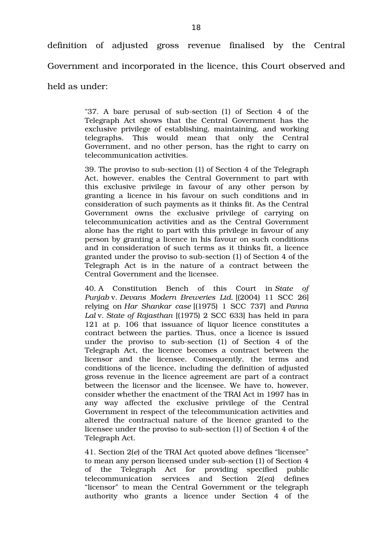definition of adjusted gross revenue finalised by the Central Government and incorporated in the licence, this Court observed and

held as under:

"37. A bare perusal of sub-section (1) of Section 4 of the Telegraph Act shows that the Central Government has the exclusive privilege of establishing, maintaining, and working telegraphs. This would mean that only the Central Government, and no other person, has the right to carry on telecommunication activities.

39. The proviso to sub-section (1) of Section 4 of the Telegraph Act, however, enables the Central Government to part with this exclusive privilege in favour of any other person by granting a licence in his favour on such conditions and in consideration of such payments as it thinks fit. As the Central Government owns the exclusive privilege of carrying on telecommunication activities and as the Central Government alone has the right to part with this privilege in favour of any person by granting a licence in his favour on such conditions and in consideration of such terms as it thinks fit, a licence granted under the proviso to subsection (1) of Section 4 of the Telegraph Act is in the nature of a contract between the Central Government and the licensee.

40. A Constitution Bench of this Court in *State of Punjab* v. *Devans Modern Breweries Ltd.* [(2004) 11 SCC 26] relying on *Har Shankar case* [(1975) 1 SCC 737] and *Panna Lal* v. *State of Rajasthan* [(1975) 2 SCC 633] has held in para 121 at p. 106 that issuance of liquor licence constitutes a contract between the parties. Thus, once a licence is issued under the proviso to sub-section (1) of Section 4 of the Telegraph Act, the licence becomes a contract between the licensor and the licensee. Consequently, the terms and conditions of the licence, including the definition of adjusted gross revenue in the licence agreement are part of a contract between the licensor and the licensee. We have to, however, consider whether the enactment of the TRAI Act in 1997 has in any way affected the exclusive privilege of the Central Government in respect of the telecommunication activities and altered the contractual nature of the licence granted to the licensee under the proviso to sub-section (1) of Section 4 of the Telegraph Act.

41. Section 2(*e*) of the TRAI Act quoted above defines "licensee" to mean any person licensed under sub-section (1) of Section 4 of the Telegraph Act for providing specified public telecommunication services and Section 2(*ea*) defines "licensor" to mean the Central Government or the telegraph authority who grants a licence under Section 4 of the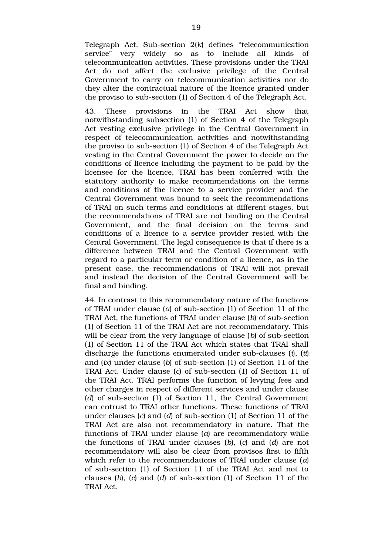Telegraph Act. Sub-section 2(k) defines "telecommunication service" very widely so as to include all kinds of telecommunication activities. These provisions under the TRAI Act do not affect the exclusive privilege of the Central Government to carry on telecommunication activities nor do they alter the contractual nature of the licence granted under the proviso to sub-section (1) of Section 4 of the Telegraph Act.

43. These provisions in the TRAI Act show that notwithstanding subsection (1) of Section 4 of the Telegraph Act vesting exclusive privilege in the Central Government in respect of telecommunication activities and notwithstanding the proviso to subsection (1) of Section 4 of the Telegraph Act vesting in the Central Government the power to decide on the conditions of licence including the payment to be paid by the licensee for the licence, TRAI has been conferred with the statutory authority to make recommendations on the terms and conditions of the licence to a service provider and the Central Government was bound to seek the recommendations of TRAI on such terms and conditions at different stages, but the recommendations of TRAI are not binding on the Central Government, and the final decision on the terms and conditions of a licence to a service provider rested with the Central Government. The legal consequence is that if there is a difference between TRAI and the Central Government with regard to a particular term or condition of a licence, as in the present case, the recommendations of TRAI will not prevail and instead the decision of the Central Government will be final and binding.

44. In contrast to this recommendatory nature of the functions of TRAI under clause (*a*) of subsection (1) of Section 11 of the TRAI Act, the functions of TRAI under clause (*b*) of sub-section (1) of Section 11 of the TRAI Act are not recommendatory. This will be clear from the very language of clause (*b*) of sub-section (1) of Section 11 of the TRAI Act which states that TRAI shall discharge the functions enumerated under sub-clauses (*i*), (*ii*) and (*ix*) under clause (*b*) of sub-section (1) of Section 11 of the TRAI Act. Under clause (*c*) of sub-section (1) of Section 11 of the TRAI Act, TRAI performs the function of levying fees and other charges in respect of different services and under clause (*d*) of sub-section (1) of Section 11, the Central Government can entrust to TRAI other functions. These functions of TRAI under clauses (*c*) and (*d*) of sub-section (1) of Section 11 of the TRAI Act are also not recommendatory in nature. That the functions of TRAI under clause (*a*) are recommendatory while the functions of TRAI under clauses (*b*), (*c*) and (*d*) are not recommendatory will also be clear from provisos first to fifth which refer to the recommendations of TRAI under clause (*a*) of subsection (1) of Section 11 of the TRAI Act and not to clauses (b), (c) and (d) of sub-section (1) of Section 11 of the TRAI Act.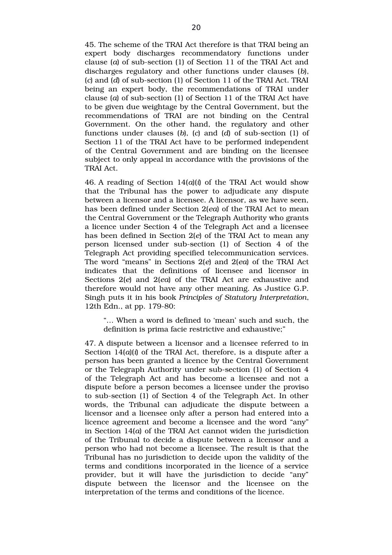45. The scheme of the TRAI Act therefore is that TRAI being an expert body discharges recommendatory functions under clause (*a*) of sub-section (1) of Section 11 of the TRAI Act and discharges regulatory and other functions under clauses (*b*), (*c*) and (*d*) of subsection (1) of Section 11 of the TRAI Act. TRAI being an expert body, the recommendations of TRAI under clause (*a*) of sub-section (1) of Section 11 of the TRAI Act have to be given due weightage by the Central Government, but the recommendations of TRAI are not binding on the Central Government. On the other hand, the regulatory and other functions under clauses  $(b)$ ,  $(c)$  and  $(d)$  of sub-section  $(1)$  of Section 11 of the TRAI Act have to be performed independent of the Central Government and are binding on the licensee subject to only appeal in accordance with the provisions of the TRAI Act.

46. A reading of Section 14(*a*)(*i*) of the TRAI Act would show that the Tribunal has the power to adjudicate any dispute between a licensor and a licensee. A licensor, as we have seen, has been defined under Section 2(*ea*) of the TRAI Act to mean the Central Government or the Telegraph Authority who grants a licence under Section 4 of the Telegraph Act and a licensee has been defined in Section 2(*e*) of the TRAI Act to mean any person licensed under sub-section (1) of Section 4 of the Telegraph Act providing specified telecommunication services. The word "means" in Sections 2(*e*) and 2(*ea*) of the TRAI Act indicates that the definitions of licensee and licensor in Sections 2(*e*) and 2(*ea*) of the TRAI Act are exhaustive and therefore would not have any other meaning. As Justice G.P. Singh puts it in his book *Principles of Statutory Interpretation*, 12th Edn., at pp. 179-80:

"… When a word is defined to 'mean' such and such, the definition is prima facie restrictive and exhaustive;"

47. A dispute between a licensor and a licensee referred to in Section 14(*a*)(*i*) of the TRAI Act, therefore, is a dispute after a person has been granted a licence by the Central Government or the Telegraph Authority under sub-section (1) of Section 4 of the Telegraph Act and has become a licensee and not a dispute before a person becomes a licensee under the proviso to sub-section (1) of Section 4 of the Telegraph Act. In other words, the Tribunal can adjudicate the dispute between a licensor and a licensee only after a person had entered into a licence agreement and become a licensee and the word "any" in Section 14(*a*) of the TRAI Act cannot widen the jurisdiction of the Tribunal to decide a dispute between a licensor and a person who had not become a licensee. The result is that the Tribunal has no jurisdiction to decide upon the validity of the terms and conditions incorporated in the licence of a service provider, but it will have the jurisdiction to decide "any" dispute between the licensor and the licensee on the interpretation of the terms and conditions of the licence.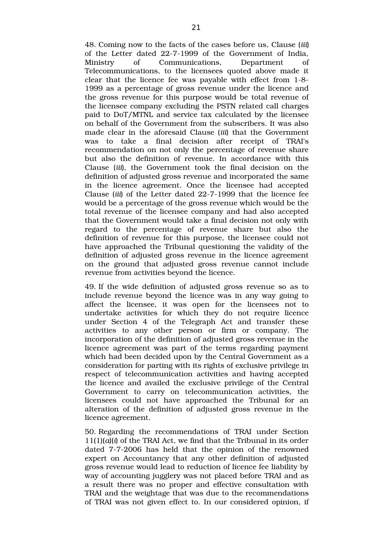48. Coming now to the facts of the cases before us, Clause (*iii*) of the Letter dated 22-7-1999 of the Government of India, Ministry of Communications. Department of Telecommunications, to the licensees quoted above made it clear that the licence fee was payable with effect from 1-8-1999 as a percentage of gross revenue under the licence and the gross revenue for this purpose would be total revenue of the licensee company excluding the PSTN related call charges paid to DoT/MTNL and service tax calculated by the licensee on behalf of the Government from the subscribers. It was also made clear in the aforesaid Clause (*iii*) that the Government was to take a final decision after receipt of TRAI's recommendation on not only the percentage of revenue share but also the definition of revenue. In accordance with this Clause (*iii*), the Government took the final decision on the definition of adjusted gross revenue and incorporated the same in the licence agreement. Once the licensee had accepted Clause *(iii)* of the Letter dated 22-7-1999 that the licence fee would be a percentage of the gross revenue which would be the total revenue of the licensee company and had also accepted that the Government would take a final decision not only with regard to the percentage of revenue share but also the definition of revenue for this purpose, the licensee could not have approached the Tribunal questioning the validity of the definition of adjusted gross revenue in the licence agreement on the ground that adjusted gross revenue cannot include revenue from activities beyond the licence.

49. If the wide definition of adjusted gross revenue so as to include revenue beyond the licence was in any way going to affect the licensee, it was open for the licensees not to undertake activities for which they do not require licence under Section 4 of the Telegraph Act and transfer these activities to any other person or firm or company. The incorporation of the definition of adjusted gross revenue in the licence agreement was part of the terms regarding payment which had been decided upon by the Central Government as a consideration for parting with its rights of exclusive privilege in respect of telecommunication activities and having accepted the licence and availed the exclusive privilege of the Central Government to carry on telecommunication activities, the licensees could not have approached the Tribunal for an alteration of the definition of adjusted gross revenue in the licence agreement.

50. Regarding the recommendations of TRAI under Section 11(1)(*a*)(*i*) of the TRAI Act, we find that the Tribunal in its order dated 7-7-2006 has held that the opinion of the renowned expert on Accountancy that any other definition of adjusted gross revenue would lead to reduction of licence fee liability by way of accounting jugglery was not placed before TRAI and as a result there was no proper and effective consultation with TRAI and the weightage that was due to the recommendations of TRAI was not given effect to. In our considered opinion, if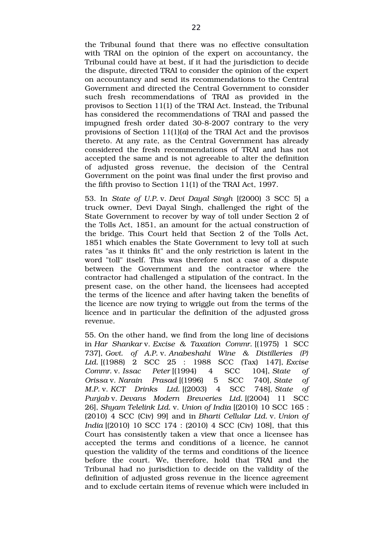the Tribunal found that there was no effective consultation with TRAI on the opinion of the expert on accountancy, the Tribunal could have at best, if it had the jurisdiction to decide the dispute, directed TRAI to consider the opinion of the expert on accountancy and send its recommendations to the Central Government and directed the Central Government to consider such fresh recommendations of TRAI as provided in the provisos to Section 11(1) of the TRAI Act. Instead, the Tribunal has considered the recommendations of TRAI and passed the impugned fresh order dated 30-8-2007 contrary to the very provisions of Section 11(1)(*a*) of the TRAI Act and the provisos thereto. At any rate, as the Central Government has already considered the fresh recommendations of TRAI and has not accepted the same and is not agreeable to alter the definition of adjusted gross revenue, the decision of the Central Government on the point was final under the first proviso and the fifth proviso to Section 11(1) of the TRAI Act, 1997.

53. In *State of U.P.* v. *Devi Dayal Singh* [(2000) 3 SCC 5] a truck owner, Devi Dayal Singh, challenged the right of the State Government to recover by way of toll under Section 2 of the Tolls Act, 1851, an amount for the actual construction of the bridge. This Court held that Section 2 of the Tolls Act, 1851 which enables the State Government to levy toll at such rates "as it thinks fit" and the only restriction is latent in the word "toll" itself. This was therefore not a case of a dispute between the Government and the contractor where the contractor had challenged a stipulation of the contract. In the present case, on the other hand, the licensees had accepted the terms of the licence and after having taken the benefits of the licence are now trying to wriggle out from the terms of the licence and in particular the definition of the adjusted gross revenue.

55. On the other hand, we find from the long line of decisions in *Har Shankar* v. *Excise & Taxation Commr.* [(1975) 1 SCC 737], *Govt. of A.P.* v. *Anabeshahi Wine & Distilleries (P) Ltd.* [(1988) 2 SCC 25 : 1988 SCC (Tax) 147], *Excise Commr.* v. *Issac Peter* [(1994) 4 SCC 104], *State of Orissa* v. *Narain Prasad* [(1996) 5 SCC 740], *State of M.P.* v. *KCT Drinks Ltd.* [(2003) 4 SCC 748], *State of Punjab* v. *Devans Modern Breweries Ltd.* [(2004) 11 SCC 26], *Shyam Telelink Ltd.* v. *Union of India* [(2010) 10 SCC 165 : (2010) 4 SCC (Civ) 99] and in *Bharti Cellular Ltd.* v. *Union of India* [(2010) 10 SCC 174 : (2010) 4 SCC (Civ) 108], that this Court has consistently taken a view that once a licensee has accepted the terms and conditions of a licence, he cannot question the validity of the terms and conditions of the licence before the court. We, therefore, hold that TRAI and the Tribunal had no jurisdiction to decide on the validity of the definition of adjusted gross revenue in the licence agreement and to exclude certain items of revenue which were included in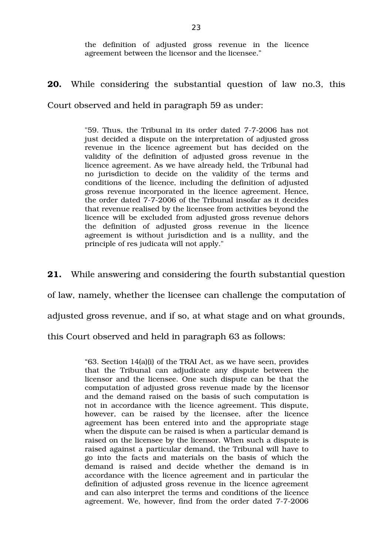the definition of adjusted gross revenue in the licence agreement between the licensor and the licensee."

**20.** While considering the substantial question of law no.3, this

Court observed and held in paragraph 59 as under:

"59. Thus, the Tribunal in its order dated 7-7-2006 has not just decided a dispute on the interpretation of adjusted gross revenue in the licence agreement but has decided on the validity of the definition of adjusted gross revenue in the licence agreement. As we have already held, the Tribunal had no jurisdiction to decide on the validity of the terms and conditions of the licence, including the definition of adjusted gross revenue incorporated in the licence agreement. Hence, the order dated 7-7-2006 of the Tribunal insofar as it decides that revenue realised by the licensee from activities beyond the licence will be excluded from adjusted gross revenue dehors the definition of adjusted gross revenue in the licence agreement is without jurisdiction and is a nullity, and the principle of res judicata will not apply."

**21.** While answering and considering the fourth substantial question of law, namely, whether the licensee can challenge the computation of adjusted gross revenue, and if so, at what stage and on what grounds, this Court observed and held in paragraph 63 as follows:

> "63. Section 14(a)(i) of the TRAI Act, as we have seen, provides that the Tribunal can adjudicate any dispute between the licensor and the licensee. One such dispute can be that the computation of adjusted gross revenue made by the licensor and the demand raised on the basis of such computation is not in accordance with the licence agreement. This dispute, however, can be raised by the licensee, after the licence agreement has been entered into and the appropriate stage when the dispute can be raised is when a particular demand is raised on the licensee by the licensor. When such a dispute is raised against a particular demand, the Tribunal will have to go into the facts and materials on the basis of which the demand is raised and decide whether the demand is in accordance with the licence agreement and in particular the definition of adjusted gross revenue in the licence agreement and can also interpret the terms and conditions of the licence agreement. We, however, find from the order dated 7-7-2006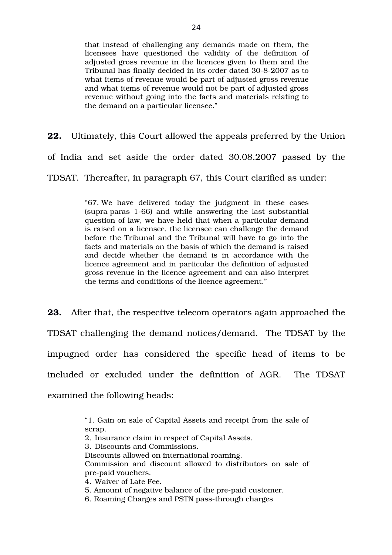that instead of challenging any demands made on them, the licensees have questioned the validity of the definition of adjusted gross revenue in the licences given to them and the Tribunal has finally decided in its order dated 30-8-2007 as to what items of revenue would be part of adjusted gross revenue and what items of revenue would not be part of adjusted gross revenue without going into the facts and materials relating to the demand on a particular licensee."

**22.** Ultimately, this Court allowed the appeals preferred by the Union of India and set aside the order dated 30.08.2007 passed by the TDSAT. Thereafter, in paragraph 67, this Court clarified as under:

> "67. We have delivered today the judgment in these cases (supra paras 166) and while answering the last substantial question of law, we have held that when a particular demand is raised on a licensee, the licensee can challenge the demand before the Tribunal and the Tribunal will have to go into the facts and materials on the basis of which the demand is raised and decide whether the demand is in accordance with the licence agreement and in particular the definition of adjusted gross revenue in the licence agreement and can also interpret the terms and conditions of the licence agreement."

**23.** After that, the respective telecom operators again approached the TDSAT challenging the demand notices/demand. The TDSAT by the impugned order has considered the specific head of items to be included or excluded under the definition of AGR. The TDSAT examined the following heads:

> "1. Gain on sale of Capital Assets and receipt from the sale of scrap.

- 2. Insurance claim in respect of Capital Assets.
- 3. Discounts and Commissions.

Discounts allowed on international roaming. Commission and discount allowed to distributors on sale of pre-paid vouchers.

- 4. Waiver of Late Fee.
- 5. Amount of negative balance of the pre-paid customer.
- 6. Roaming Charges and PSTN pass-through charges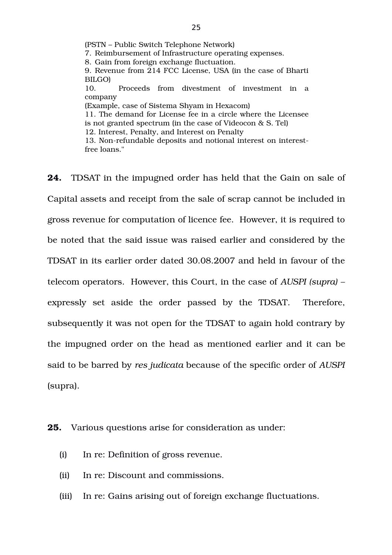(PSTN – Public Switch Telephone Network) 7. Reimbursement of Infrastructure operating expenses. 8. Gain from foreign exchange fluctuation. 9. Revenue from 214 FCC License, USA (in the case of Bharti BILGO) 10. Proceeds from divestment of investment in a company (Example, case of Sistema Shyam in Hexacom) 11. The demand for License fee in a circle where the Licensee is not granted spectrum (in the case of Videocon & S. Tel) 12. Interest, Penalty, and Interest on Penalty 13. Non-refundable deposits and notional interest on interestfree loans."

**24.** TDSAT in the impugned order has held that the Gain on sale of Capital assets and receipt from the sale of scrap cannot be included in gross revenue for computation of licence fee. However, it is required to be noted that the said issue was raised earlier and considered by the TDSAT in its earlier order dated 30.08.2007 and held in favour of the telecom operators. However, this Court, in the case of *AUSPI (supra) –* expressly set aside the order passed by the TDSAT. Therefore, subsequently it was not open for the TDSAT to again hold contrary by the impugned order on the head as mentioned earlier and it can be said to be barred by *res judicata* because of the specific order of *AUSPI* (supra).

#### **25.** Various questions arise for consideration as under:

- (i) In re: Definition of gross revenue.
- (ii) In re: Discount and commissions.
- (iii) In re: Gains arising out of foreign exchange fluctuations.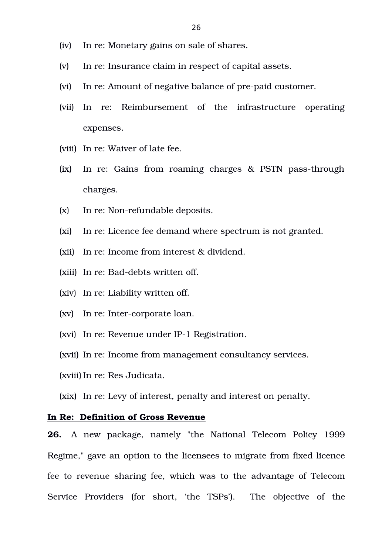- (iv) In re: Monetary gains on sale of shares.
- (v) In re: Insurance claim in respect of capital assets.
- (vi) In re: Amount of negative balance of pre-paid customer.
- (vii) In re: Reimbursement of the infrastructure operating expenses.
- (viii) In re: Waiver of late fee.
- (ix) In re: Gains from roaming charges & PSTN pass-through charges.
- $(x)$  In re: Non-refundable deposits.
- (xi) In re: Licence fee demand where spectrum is not granted.
- (xii) In re: Income from interest & dividend.
- (xiii) In re: Bad-debts written off.
- (xiv) In re: Liability written off.
- (xv) In re: Inter-corporate loan.
- (xvi) In re: Revenue under IP-1 Registration.
- (xvii) In re: Income from management consultancy services.
- (xviii) In re: Res Judicata.
- (xix) In re: Levy of interest, penalty and interest on penalty.

## **In Re: Definition of Gross Revenue**

**26.** A new package, namely "the National Telecom Policy 1999 Regime," gave an option to the licensees to migrate from fixed licence fee to revenue sharing fee, which was to the advantage of Telecom Service Providers (for short, 'the TSPs'). The objective of the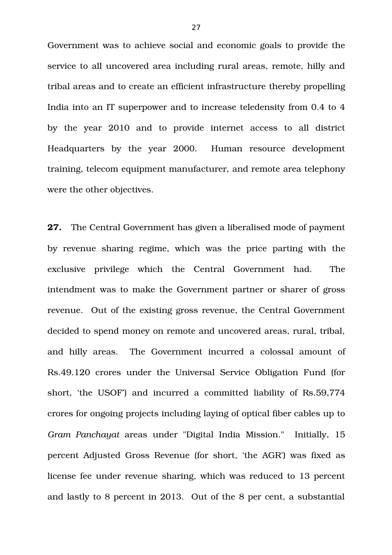Government was to achieve social and economic goals to provide the service to all uncovered area including rural areas, remote, hilly and tribal areas and to create an efficient infrastructure thereby propelling India into an IT superpower and to increase teledensity from 0.4 to 4 by the year 2010 and to provide internet access to all district Headquarters by the year 2000. Human resource development training, telecom equipment manufacturer, and remote area telephony were the other objectives.

**27.** The Central Government has given a liberalised mode of payment by revenue sharing regime, which was the price parting with the exclusive privilege which the Central Government had. The intendment was to make the Government partner or sharer of gross revenue. Out of the existing gross revenue, the Central Government decided to spend money on remote and uncovered areas, rural, tribal, and hilly areas. The Government incurred a colossal amount of Rs.49.120 crores under the Universal Service Obligation Fund (for short, 'the USOF') and incurred a committed liability of Rs.59,774 crores for ongoing projects including laying of optical fiber cables up to *Gram Panchayat* areas under "Digital India Mission." Initially, 15 percent Adjusted Gross Revenue (for short, 'the AGR') was fixed as license fee under revenue sharing, which was reduced to 13 percent and lastly to 8 percent in 2013. Out of the 8 per cent, a substantial

27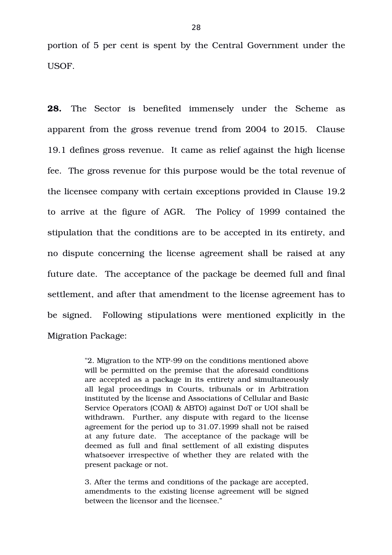portion of 5 per cent is spent by the Central Government under the USOF.

28. The Sector is benefited immensely under the Scheme as apparent from the gross revenue trend from 2004 to 2015. Clause 19.1 defines gross revenue. It came as relief against the high license fee. The gross revenue for this purpose would be the total revenue of the licensee company with certain exceptions provided in Clause 19.2 to arrive at the figure of AGR. The Policy of 1999 contained the stipulation that the conditions are to be accepted in its entirety, and no dispute concerning the license agreement shall be raised at any future date. The acceptance of the package be deemed full and final settlement, and after that amendment to the license agreement has to be signed. Following stipulations were mentioned explicitly in the Migration Package:

> "2. Migration to the NTP-99 on the conditions mentioned above will be permitted on the premise that the aforesaid conditions are accepted as a package in its entirety and simultaneously all legal proceedings in Courts, tribunals or in Arbitration instituted by the license and Associations of Cellular and Basic Service Operators (COAI) & ABTO) against DoT or UOI shall be withdrawn. Further, any dispute with regard to the license agreement for the period up to 31.07.1999 shall not be raised at any future date. The acceptance of the package will be deemed as full and final settlement of all existing disputes whatsoever irrespective of whether they are related with the present package or not.

> 3. After the terms and conditions of the package are accepted, amendments to the existing license agreement will be signed between the licensor and the licensee."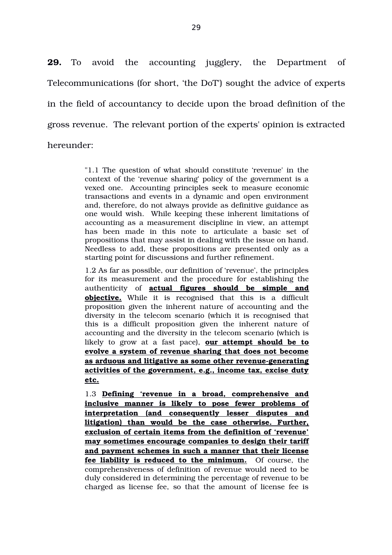**29.** To avoid the accounting jugglery, the Department of Telecommunications (for short, 'the DoT') sought the advice of experts in the field of accountancy to decide upon the broad definition of the gross revenue. The relevant portion of the experts' opinion is extracted hereunder:

> "1.1 The question of what should constitute 'revenue' in the context of the 'revenue sharing' policy of the government is a vexed one. Accounting principles seek to measure economic transactions and events in a dynamic and open environment and, therefore, do not always provide as definitive guidance as one would wish. While keeping these inherent limitations of accounting as a measurement discipline in view, an attempt has been made in this note to articulate a basic set of propositions that may assist in dealing with the issue on hand. Needless to add, these propositions are presented only as a starting point for discussions and further refinement.

> 1.2 As far as possible, our definition of 'revenue', the principles for its measurement and the procedure for establishing the authenticity of **actual figures should be simple and objective.** While it is recognised that this is a difficult proposition given the inherent nature of accounting and the diversity in the telecom scenario (which it is recognised that this is a difficult proposition given the inherent nature of accounting and the diversity in the telecom scenario (which is likely to grow at a fast pace), **our attempt should be to evolve a system of revenue sharing that does not become** as arduous and litigative as some other revenue-generating **activities of the government, e.g., income tax, excise duty etc.**

> 1.3 **Defining 'revenue in a broad, comprehensive and inclusive manner is likely to pose fewer problems of interpretation (and consequently lesser disputes and litigation) than would be the case otherwise. Further, exclusion of certain items from the definition of 'revenue' may sometimes encourage companies to design their tariff and payment schemes in such a manner that their license** fee liability is reduced to the minimum. Of course, the comprehensiveness of definition of revenue would need to be duly considered in determining the percentage of revenue to be charged as license fee, so that the amount of license fee is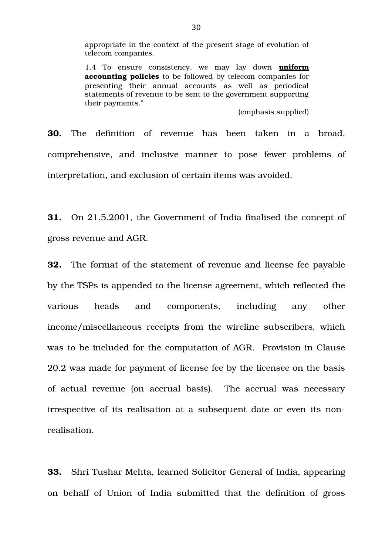appropriate in the context of the present stage of evolution of telecom companies.

1.4 To ensure consistency, we may lay down **uniform accounting policies** to be followed by telecom companies for presenting their annual accounts as well as periodical statements of revenue to be sent to the government supporting their payments."

(emphasis supplied)

**30.** The definition of revenue has been taken in a broad, comprehensive, and inclusive manner to pose fewer problems of interpretation, and exclusion of certain items was avoided.

**31.** On 21.5.2001, the Government of India finalised the concept of gross revenue and AGR.

**32.** The format of the statement of revenue and license fee payable by the TSPs is appended to the license agreement, which reflected the various heads and components, including any other income/miscellaneous receipts from the wireline subscribers, which was to be included for the computation of AGR. Provision in Clause 20.2 was made for payment of license fee by the licensee on the basis of actual revenue (on accrual basis). The accrual was necessary irrespective of its realisation at a subsequent date or even its nonrealisation.

**33.** Shri Tushar Mehta, learned Solicitor General of India, appearing on behalf of Union of India submitted that the definition of gross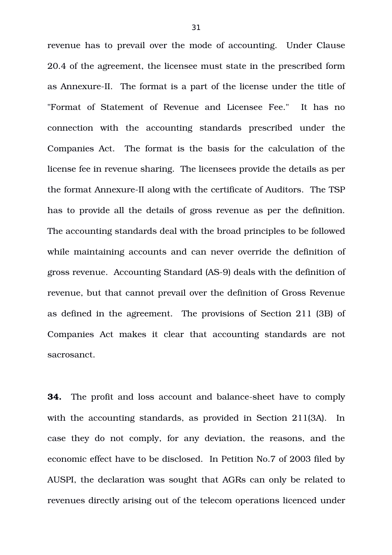revenue has to prevail over the mode of accounting. Under Clause 20.4 of the agreement, the licensee must state in the prescribed form as Annexure-II. The format is a part of the license under the title of "Format of Statement of Revenue and Licensee Fee." It has no connection with the accounting standards prescribed under the Companies Act. The format is the basis for the calculation of the license fee in revenue sharing. The licensees provide the details as per the format Annexure-II along with the certificate of Auditors. The TSP has to provide all the details of gross revenue as per the definition. The accounting standards deal with the broad principles to be followed while maintaining accounts and can never override the definition of gross revenue. Accounting Standard (AS-9) deals with the definition of revenue, but that cannot prevail over the definition of Gross Revenue as defined in the agreement. The provisions of Section 211 (3B) of Companies Act makes it clear that accounting standards are not sacrosanct.

**34.** The profit and loss account and balance-sheet have to comply with the accounting standards, as provided in Section 211(3A). In case they do not comply, for any deviation, the reasons, and the economic effect have to be disclosed. In Petition No.7 of 2003 filed by AUSPI, the declaration was sought that AGRs can only be related to revenues directly arising out of the telecom operations licenced under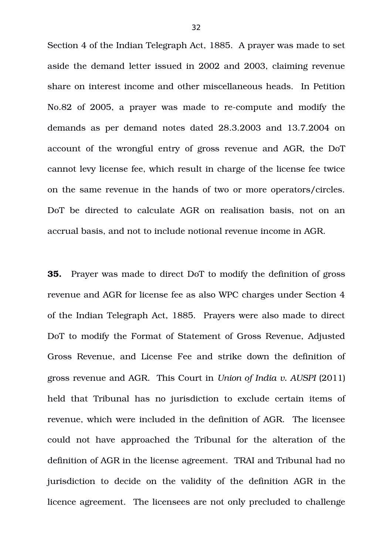Section 4 of the Indian Telegraph Act, 1885. A prayer was made to set aside the demand letter issued in 2002 and 2003, claiming revenue share on interest income and other miscellaneous heads. In Petition No.82 of 2005, a prayer was made to recompute and modify the demands as per demand notes dated 28.3.2003 and 13.7.2004 on account of the wrongful entry of gross revenue and AGR, the DoT cannot levy license fee, which result in charge of the license fee twice on the same revenue in the hands of two or more operators/circles. DoT be directed to calculate AGR on realisation basis, not on an accrual basis, and not to include notional revenue income in AGR.

**35.** Prayer was made to direct DoT to modify the definition of gross revenue and AGR for license fee as also WPC charges under Section 4 of the Indian Telegraph Act, 1885. Prayers were also made to direct DoT to modify the Format of Statement of Gross Revenue, Adjusted Gross Revenue, and License Fee and strike down the definition of gross revenue and AGR. This Court in *Union of India v. AUSPI* (2011) held that Tribunal has no jurisdiction to exclude certain items of revenue, which were included in the definition of AGR. The licensee could not have approached the Tribunal for the alteration of the definition of AGR in the license agreement. TRAI and Tribunal had no jurisdiction to decide on the validity of the definition AGR in the licence agreement. The licensees are not only precluded to challenge

32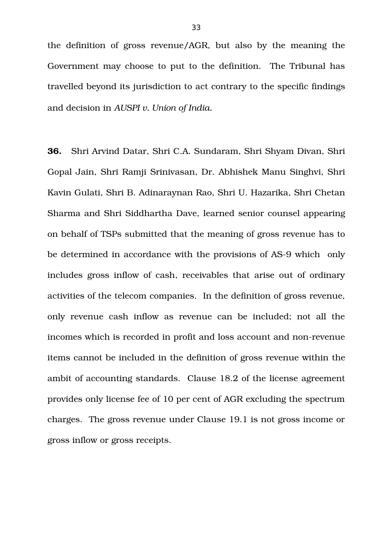the definition of gross revenue/AGR, but also by the meaning the Government may choose to put to the definition. The Tribunal has travelled beyond its jurisdiction to act contrary to the specific findings and decision in *AUSPI v. Union of India.*

**36.** Shri Arvind Datar, Shri C.A. Sundaram, Shri Shyam Divan, Shri Gopal Jain, Shri Ramji Srinivasan, Dr. Abhishek Manu Singhvi, Shri Kavin Gulati, Shri B. Adinaraynan Rao, Shri U. Hazarika, Shri Chetan Sharma and Shri Siddhartha Dave, learned senior counsel appearing on behalf of TSPs submitted that the meaning of gross revenue has to be determined in accordance with the provisions of AS-9 which only includes gross inflow of cash, receivables that arise out of ordinary activities of the telecom companies. In the definition of gross revenue, only revenue cash inflow as revenue can be included; not all the incomes which is recorded in profit and loss account and non-revenue items cannot be included in the definition of gross revenue within the ambit of accounting standards. Clause 18.2 of the license agreement provides only license fee of 10 per cent of AGR excluding the spectrum charges. The gross revenue under Clause 19.1 is not gross income or gross inflow or gross receipts.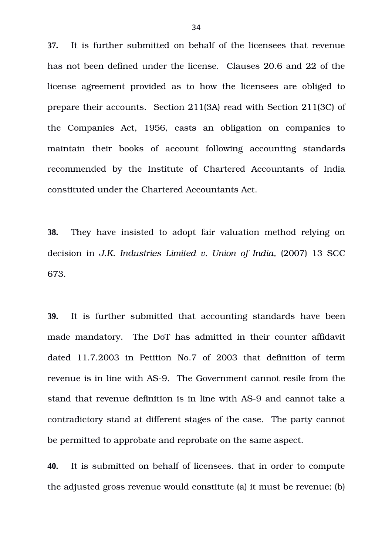**37.** It is further submitted on behalf of the licensees that revenue has not been defined under the license. Clauses 20.6 and 22 of the license agreement provided as to how the licensees are obliged to prepare their accounts. Section 211(3A) read with Section 211(3C) of the Companies Act, 1956, casts an obligation on companies to maintain their books of account following accounting standards recommended by the Institute of Chartered Accountants of India constituted under the Chartered Accountants Act.

**38.** They have insisted to adopt fair valuation method relying on decision in *J.K. Industries Limited v. Union of India*, (2007) 13 SCC 673.

**39.** It is further submitted that accounting standards have been made mandatory. The DoT has admitted in their counter affidavit dated 11.7.2003 in Petition No.7 of 2003 that definition of term revenue is in line with AS-9. The Government cannot resile from the stand that revenue definition is in line with AS-9 and cannot take a contradictory stand at different stages of the case. The party cannot be permitted to approbate and reprobate on the same aspect.

**40.** It is submitted on behalf of licensees. that in order to compute the adjusted gross revenue would constitute (a) it must be revenue; (b)

34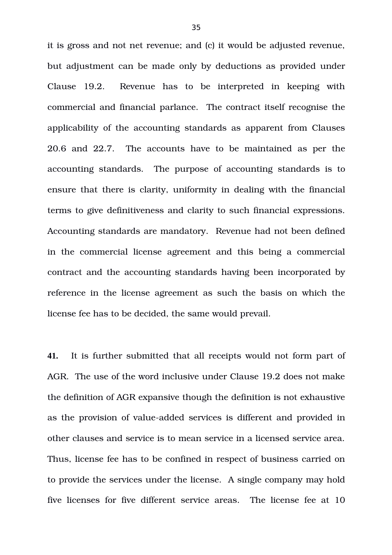it is gross and not net revenue; and (c) it would be adjusted revenue, but adjustment can be made only by deductions as provided under Clause 19.2. Revenue has to be interpreted in keeping with commercial and financial parlance. The contract itself recognise the applicability of the accounting standards as apparent from Clauses 20.6 and 22.7. The accounts have to be maintained as per the accounting standards. The purpose of accounting standards is to ensure that there is clarity, uniformity in dealing with the financial terms to give definitiveness and clarity to such financial expressions. Accounting standards are mandatory. Revenue had not been defined in the commercial license agreement and this being a commercial contract and the accounting standards having been incorporated by reference in the license agreement as such the basis on which the license fee has to be decided, the same would prevail.

**41.** It is further submitted that all receipts would not form part of AGR. The use of the word inclusive under Clause 19.2 does not make the definition of AGR expansive though the definition is not exhaustive as the provision of value-added services is different and provided in other clauses and service is to mean service in a licensed service area. Thus, license fee has to be confined in respect of business carried on to provide the services under the license. A single company may hold five licenses for five different service areas. The license fee at 10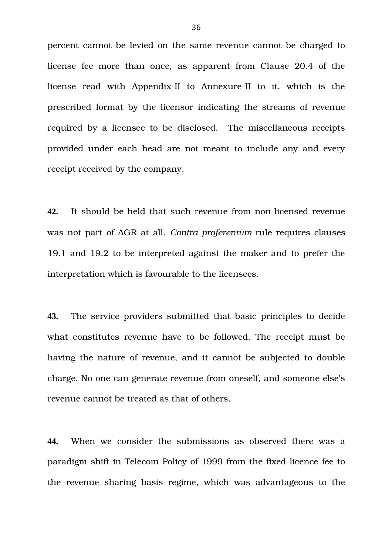percent cannot be levied on the same revenue cannot be charged to license fee more than once, as apparent from Clause 20.4 of the license read with Appendix-II to Annexure-II to it, which is the prescribed format by the licensor indicating the streams of revenue required by a licensee to be disclosed. The miscellaneous receipts provided under each head are not meant to include any and every receipt received by the company.

**42.** It should be held that such revenue from non-licensed revenue was not part of AGR at all. *Contra proferentum* rule requires clauses 19.1 and 19.2 to be interpreted against the maker and to prefer the interpretation which is favourable to the licensees.

**43.** The service providers submitted that basic principles to decide what constitutes revenue have to be followed. The receipt must be having the nature of revenue, and it cannot be subjected to double charge. No one can generate revenue from oneself, and someone else's revenue cannot be treated as that of others.

**44.** When we consider the submissions as observed there was a paradigm shift in Telecom Policy of 1999 from the fixed licence fee to the revenue sharing basis regime, which was advantageous to the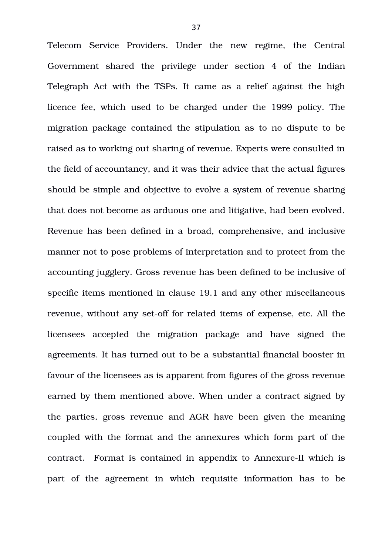Telecom Service Providers. Under the new regime, the Central Government shared the privilege under section 4 of the Indian Telegraph Act with the TSPs. It came as a relief against the high licence fee, which used to be charged under the 1999 policy. The migration package contained the stipulation as to no dispute to be raised as to working out sharing of revenue. Experts were consulted in the field of accountancy, and it was their advice that the actual figures should be simple and objective to evolve a system of revenue sharing that does not become as arduous one and litigative, had been evolved. Revenue has been defined in a broad, comprehensive, and inclusive manner not to pose problems of interpretation and to protect from the accounting jugglery. Gross revenue has been defined to be inclusive of specific items mentioned in clause 19.1 and any other miscellaneous revenue, without any set-off for related items of expense, etc. All the licensees accepted the migration package and have signed the agreements. It has turned out to be a substantial financial booster in favour of the licensees as is apparent from figures of the gross revenue earned by them mentioned above. When under a contract signed by the parties, gross revenue and AGR have been given the meaning coupled with the format and the annexures which form part of the contract. Format is contained in appendix to Annexure-II which is part of the agreement in which requisite information has to be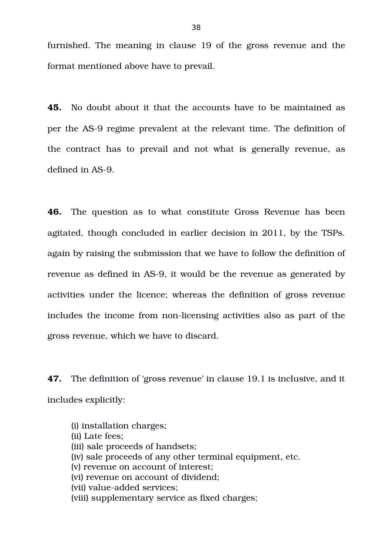furnished. The meaning in clause 19 of the gross revenue and the format mentioned above have to prevail.

**45.** No doubt about it that the accounts have to be maintained as per the AS-9 regime prevalent at the relevant time. The definition of the contract has to prevail and not what is generally revenue, as defined in AS-9.

**46.** The question as to what constitute Gross Revenue has been agitated, though concluded in earlier decision in 2011, by the TSPs. again by raising the submission that we have to follow the definition of revenue as defined in AS-9, it would be the revenue as generated by activities under the licence; whereas the definition of gross revenue includes the income from non-licensing activities also as part of the gross revenue, which we have to discard.

**47.** The definition of 'gross revenue' in clause 19.1 is inclusive, and it includes explicitly:

(i) installation charges; (ii) Late fees; (iii) sale proceeds of handsets; (iv) sale proceeds of any other terminal equipment, etc. (v) revenue on account of interest; (vi) revenue on account of dividend; (vii) value-added services: (viii) supplementary service as fixed charges;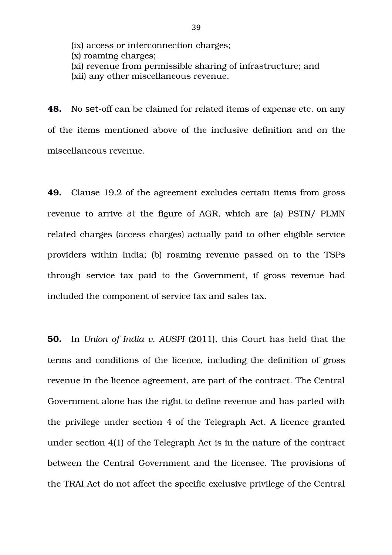(ix) access or interconnection charges; (x) roaming charges; (xi) revenue from permissible sharing of infrastructure; and (xii) any other miscellaneous revenue.

**48.** No set-off can be claimed for related items of expense etc. on any of the items mentioned above of the inclusive definition and on the miscellaneous revenue.

**49.** Clause 19.2 of the agreement excludes certain items from gross revenue to arrive at the figure of AGR, which are (a) PSTN/ PLMN related charges (access charges) actually paid to other eligible service providers within India; (b) roaming revenue passed on to the TSPs through service tax paid to the Government, if gross revenue had included the component of service tax and sales tax.

**50.** In *Union of India v. AUSPI* (2011), this Court has held that the terms and conditions of the licence, including the definition of gross revenue in the licence agreement, are part of the contract. The Central Government alone has the right to define revenue and has parted with the privilege under section 4 of the Telegraph Act. A licence granted under section 4(1) of the Telegraph Act is in the nature of the contract between the Central Government and the licensee. The provisions of the TRAI Act do not affect the specific exclusive privilege of the Central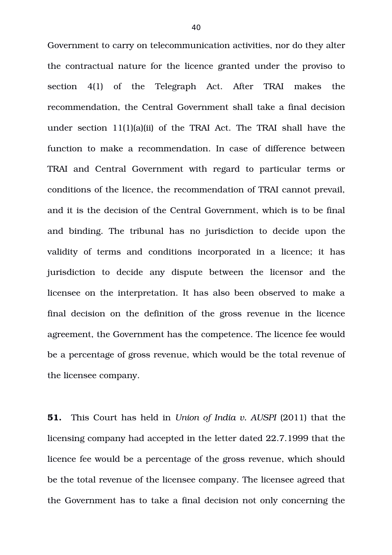Government to carry on telecommunication activities, nor do they alter the contractual nature for the licence granted under the proviso to section 4(1) of the Telegraph Act. After TRAI makes the recommendation, the Central Government shall take a final decision under section 11(1)(a)(ii) of the TRAI Act. The TRAI shall have the function to make a recommendation. In case of difference between TRAI and Central Government with regard to particular terms or conditions of the licence, the recommendation of TRAI cannot prevail, and it is the decision of the Central Government, which is to be final and binding. The tribunal has no jurisdiction to decide upon the validity of terms and conditions incorporated in a licence; it has jurisdiction to decide any dispute between the licensor and the licensee on the interpretation. It has also been observed to make a final decision on the definition of the gross revenue in the licence agreement, the Government has the competence. The licence fee would be a percentage of gross revenue, which would be the total revenue of the licensee company.

**51.** This Court has held in *Union of India v. AUSPI* (2011) that the licensing company had accepted in the letter dated 22.7.1999 that the licence fee would be a percentage of the gross revenue, which should be the total revenue of the licensee company. The licensee agreed that the Government has to take a final decision not only concerning the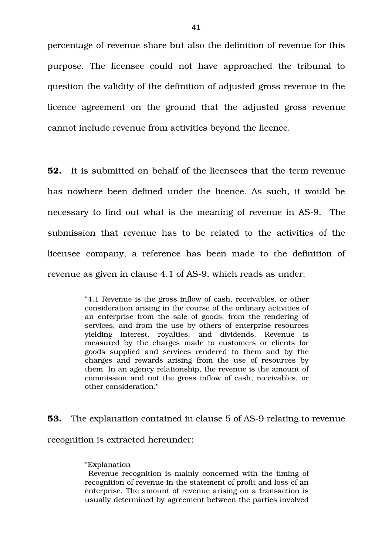percentage of revenue share but also the definition of revenue for this purpose. The licensee could not have approached the tribunal to question the validity of the definition of adjusted gross revenue in the licence agreement on the ground that the adjusted gross revenue cannot include revenue from activities beyond the licence.

**52.** It is submitted on behalf of the licensees that the term revenue has nowhere been defined under the licence. As such, it would be necessary to find out what is the meaning of revenue in AS-9. The submission that revenue has to be related to the activities of the licensee company, a reference has been made to the definition of revenue as given in clause 4.1 of AS-9, which reads as under:

> "4.1 Revenue is the gross inflow of cash, receivables, or other consideration arising in the course of the ordinary activities of an enterprise from the sale of goods, from the rendering of services, and from the use by others of enterprise resources yielding interest, royalties, and dividends. Revenue is measured by the charges made to customers or clients for goods supplied and services rendered to them and by the charges and rewards arising from the use of resources by them. In an agency relationship, the revenue is the amount of commission and not the gross inflow of cash, receivables, or other consideration."

**53.** The explanation contained in clause 5 of AS-9 relating to revenue recognition is extracted hereunder:

## "Explanation

 Revenue recognition is mainly concerned with the timing of recognition of revenue in the statement of profit and loss of an enterprise. The amount of revenue arising on a transaction is usually determined by agreement between the parties involved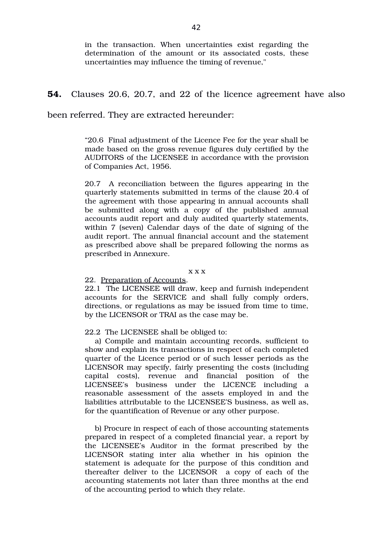in the transaction. When uncertainties exist regarding the determination of the amount or its associated costs, these uncertainties may influence the timing of revenue,"

# **54.** Clauses 20.6, 20.7, and 22 of the licence agreement have also

been referred. They are extracted hereunder:

"20.6 Final adjustment of the Licence Fee for the year shall be made based on the gross revenue figures duly certified by the AUDITORS of the LICENSEE in accordance with the provision of Companies Act, 1956.

20.7 A reconciliation between the figures appearing in the quarterly statements submitted in terms of the clause 20.4 of the agreement with those appearing in annual accounts shall be submitted along with a copy of the published annual accounts audit report and duly audited quarterly statements, within 7 (seven) Calendar days of the date of signing of the audit report. The annual financial account and the statement as prescribed above shall be prepared following the norms as prescribed in Annexure.

x x x

### 22. Preparation of Accounts.

22.1 The LICENSEE will draw, keep and furnish independent accounts for the SERVICE and shall fully comply orders, directions, or regulations as may be issued from time to time, by the LICENSOR or TRAI as the case may be.

#### 22.2 The LICENSEE shall be obliged to:

a) Compile and maintain accounting records, sufficient to show and explain its transactions in respect of each completed quarter of the Licence period or of such lesser periods as the LICENSOR may specify, fairly presenting the costs (including capital costs), revenue and financial position of the LICENSEE's business under the LICENCE including a reasonable assessment of the assets employed in and the liabilities attributable to the LICENSEE'S business, as well as, for the quantification of Revenue or any other purpose.

b) Procure in respect of each of those accounting statements prepared in respect of a completed financial year, a report by the LICENSEE's Auditor in the format prescribed by the LICENSOR stating inter alia whether in his opinion the statement is adequate for the purpose of this condition and thereafter deliver to the LICENSOR a copy of each of the accounting statements not later than three months at the end of the accounting period to which they relate.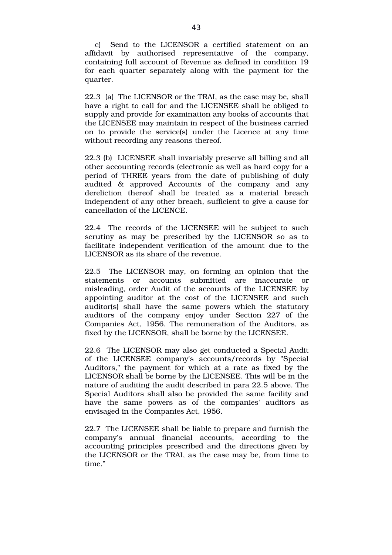c) Send to the LICENSOR a certified statement on an affidavit by authorised representative of the company, containing full account of Revenue as defined in condition 19 for each quarter separately along with the payment for the quarter.

22.3 (a) The LICENSOR or the TRAI, as the case may be, shall have a right to call for and the LICENSEE shall be obliged to supply and provide for examination any books of accounts that the LICENSEE may maintain in respect of the business carried on to provide the service(s) under the Licence at any time without recording any reasons thereof.

22.3 (b) LICENSEE shall invariably preserve all billing and all other accounting records (electronic as well as hard copy for a period of THREE years from the date of publishing of duly audited & approved Accounts of the company and any dereliction thereof shall be treated as a material breach independent of any other breach, sufficient to give a cause for cancellation of the LICENCE.

22.4 The records of the LICENSEE will be subject to such scrutiny as may be prescribed by the LICENSOR so as to facilitate independent verification of the amount due to the LICENSOR as its share of the revenue.

22.5 The LICENSOR may, on forming an opinion that the statements or accounts submitted are inaccurate or misleading, order Audit of the accounts of the LICENSEE by appointing auditor at the cost of the LICENSEE and such auditor(s) shall have the same powers which the statutory auditors of the company enjoy under Section 227 of the Companies Act, 1956. The remuneration of the Auditors, as fixed by the LICENSOR, shall be borne by the LICENSEE.

22.6 The LICENSOR may also get conducted a Special Audit of the LICENSEE company's accounts/records by "Special Auditors," the payment for which at a rate as fixed by the LICENSOR shall be borne by the LICENSEE. This will be in the nature of auditing the audit described in para 22.5 above. The Special Auditors shall also be provided the same facility and have the same powers as of the companies' auditors as envisaged in the Companies Act, 1956.

22.7 The LICENSEE shall be liable to prepare and furnish the company's annual financial accounts, according to the accounting principles prescribed and the directions given by the LICENSOR or the TRAI, as the case may be, from time to time."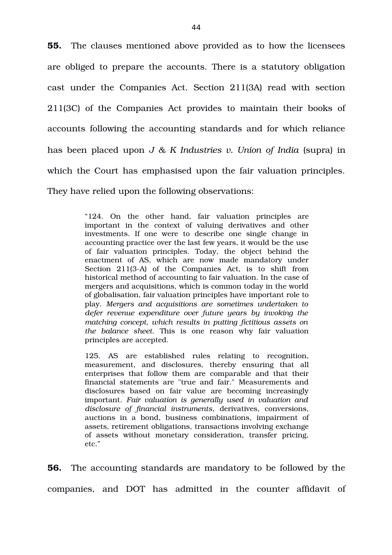**55.** The clauses mentioned above provided as to how the licensees are obliged to prepare the accounts. There is a statutory obligation cast under the Companies Act. Section 211(3A) read with section 211(3C) of the Companies Act provides to maintain their books of accounts following the accounting standards and for which reliance has been placed upon *J & K Industries v. Union of India* (supra) in which the Court has emphasised upon the fair valuation principles. They have relied upon the following observations:

> "124. On the other hand, fair valuation principles are important in the context of valuing derivatives and other investments. If one were to describe one single change in accounting practice over the last few years, it would be the use of fair valuation principles. Today, the object behind the enactment of AS, which are now made mandatory under Section 211(3-A) of the Companies Act, is to shift from historical method of accounting to fair valuation. In the case of mergers and acquisitions, which is common today in the world of globalisation, fair valuation principles have important role to play. *Mergers and acquisitions are sometimes undertaken to defer revenue expenditure over future years by invoking the matching concept, which results in putting fictitious assets on the balance sheet*. This is one reason why fair valuation principles are accepted.

> 125. AS are established rules relating to recognition, measurement, and disclosures, thereby ensuring that all enterprises that follow them are comparable and that their financial statements are "true and fair." Measurements and disclosures based on fair value are becoming increasingly important. *Fair valuation is generally used in valuation and disclosure of financial instruments*, derivatives, conversions, auctions in a bond, business combinations, impairment of assets, retirement obligations, transactions involving exchange of assets without monetary consideration, transfer pricing, etc."

**56.** The accounting standards are mandatory to be followed by the companies, and DOT has admitted in the counter affidavit of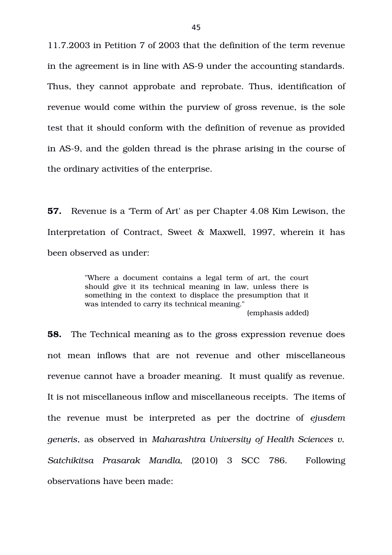11.7.2003 in Petition 7 of 2003 that the definition of the term revenue in the agreement is in line with AS-9 under the accounting standards. Thus, they cannot approbate and reprobate. Thus, identification of revenue would come within the purview of gross revenue, is the sole test that it should conform with the definition of revenue as provided in AS9, and the golden thread is the phrase arising in the course of the ordinary activities of the enterprise.

**57.** Revenue is a 'Term of Art' as per Chapter 4.08 Kim Lewison, the Interpretation of Contract, Sweet & Maxwell, 1997, wherein it has been observed as under:

> "Where a document contains a legal term of art, the court should give it its technical meaning in law, unless there is something in the context to displace the presumption that it was intended to carry its technical meaning."

> > (emphasis added)

**58.** The Technical meaning as to the gross expression revenue does not mean inflows that are not revenue and other miscellaneous revenue cannot have a broader meaning. It must qualify as revenue. It is not miscellaneous inflow and miscellaneous receipts. The items of the revenue must be interpreted as per the doctrine of ejusdem *generis*, as observed in *Maharashtra University of Health Sciences v. Satchikitsa Prasarak Mandla,* (2010) 3 SCC 786. Following observations have been made: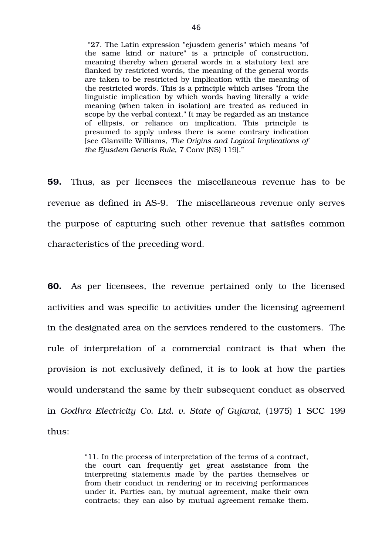"27. The Latin expression "ejusdem generis" which means "of the same kind or nature" is a principle of construction, meaning thereby when general words in a statutory text are flanked by restricted words, the meaning of the general words are taken to be restricted by implication with the meaning of the restricted words. This is a principle which arises "from the linguistic implication by which words having literally a wide meaning (when taken in isolation) are treated as reduced in scope by the verbal context." It may be regarded as an instance of ellipsis, or reliance on implication. This principle is presumed to apply unless there is some contrary indication [see Glanville Williams, *The Origins and Logical Implications of the Ejusdem Generis Rule*, 7 Conv (NS) 119]."

**59.** Thus, as per licensees the miscellaneous revenue has to be revenue as defined in AS-9. The miscellaneous revenue only serves the purpose of capturing such other revenue that satisfies common characteristics of the preceding word.

**60.** As per licensees, the revenue pertained only to the licensed activities and was specific to activities under the licensing agreement in the designated area on the services rendered to the customers. The rule of interpretation of a commercial contract is that when the provision is not exclusively defined, it is to look at how the parties would understand the same by their subsequent conduct as observed in *Godhra Electricity Co. Ltd. v. State of Gujarat, (1975) 1 SCC 199* thus:

> "11. In the process of interpretation of the terms of a contract, the court can frequently get great assistance from the interpreting statements made by the parties themselves or from their conduct in rendering or in receiving performances under it. Parties can, by mutual agreement, make their own contracts; they can also by mutual agreement remake them.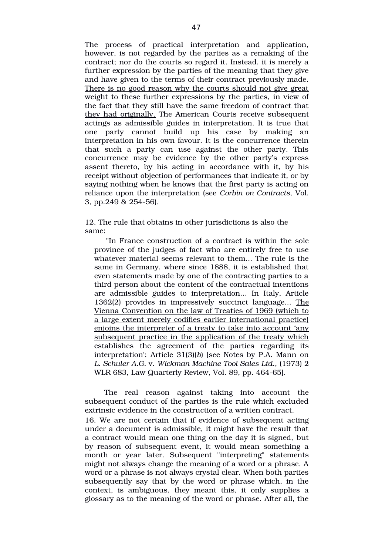The process of practical interpretation and application, however, is not regarded by the parties as a remaking of the contract; nor do the courts so regard it. Instead, it is merely a further expression by the parties of the meaning that they give and have given to the terms of their contract previously made. There is no good reason why the courts should not give great weight to these further expressions by the parties, in view of the fact that they still have the same freedom of contract that they had originally. The American Courts receive subsequent actings as admissible guides in interpretation. It is true that one party cannot build up his case by making an interpretation in his own favour. It is the concurrence therein that such a party can use against the other party. This concurrence may be evidence by the other party's express assent thereto, by his acting in accordance with it, by his receipt without objection of performances that indicate it, or by saying nothing when he knows that the first party is acting on reliance upon the interpretation (see *Corbin on Contracts*, Vol. 3, pp.249  $& 254-56$ .

12. The rule that obtains in other jurisdictions is also the same:

"In France construction of a contract is within the sole province of the judges of fact who are entirely free to use whatever material seems relevant to them... The rule is the same in Germany, where since 1888, it is established that even statements made by one of the contracting parties to a third person about the content of the contractual intentions are admissible guides to interpretation... In Italy, Article 1362(2) provides in impressively succinct language... The Vienna Convention on the law of Treaties of 1969 (which to a large extent merely codifies earlier international practice) enjoins the interpreter of a treaty to take into account 'any subsequent practice in the application of the treaty which establishes the agreement of the parties regarding its interpretation': Article 31(3)(*b*) [see Notes by P.A. Mann on *L. Schuler A.G.* v. *Wickman Machine Tool Sales Ltd.*, (1973) 2 WLR 683, Law Quarterly Review, Vol. 89, pp. 464-65].

The real reason against taking into account the subsequent conduct of the parties is the rule which excluded extrinsic evidence in the construction of a written contract.

16. We are not certain that if evidence of subsequent acting under a document is admissible, it might have the result that a contract would mean one thing on the day it is signed, but by reason of subsequent event, it would mean something a month or year later. Subsequent "interpreting" statements might not always change the meaning of a word or a phrase. A word or a phrase is not always crystal clear. When both parties subsequently say that by the word or phrase which, in the context, is ambiguous, they meant this, it only supplies a glossary as to the meaning of the word or phrase. After all, the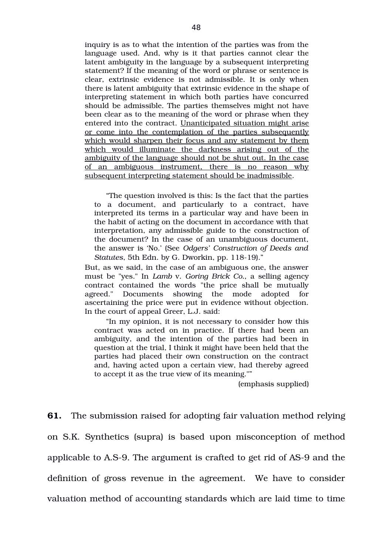inquiry is as to what the intention of the parties was from the language used. And, why is it that parties cannot clear the latent ambiguity in the language by a subsequent interpreting statement? If the meaning of the word or phrase or sentence is clear, extrinsic evidence is not admissible. It is only when there is latent ambiguity that extrinsic evidence in the shape of interpreting statement in which both parties have concurred should be admissible. The parties themselves might not have been clear as to the meaning of the word or phrase when they entered into the contract. Unanticipated situation might arise or come into the contemplation of the parties subsequently which would sharpen their focus and any statement by them which would illuminate the darkness arising out of the ambiguity of the language should not be shut out. In the case of an ambiguous instrument, there is no reason why subsequent interpreting statement should be inadmissible.

"The question involved is this: Is the fact that the parties to a document, and particularly to a contract, have interpreted its terms in a particular way and have been in the habit of acting on the document in accordance with that interpretation, any admissible guide to the construction of the document? In the case of an unambiguous document, the answer is 'No.' (See *Odgers' Construction of Deeds and* Statutes, 5th Edn. by G. Dworkin, pp. 118-19)."

But, as we said, in the case of an ambiguous one, the answer must be "yes." In *Lamb* v. *Goring Brick Co.*, a selling agency contract contained the words "the price shall be mutually agreed." Documents showing the mode adopted for ascertaining the price were put in evidence without objection. In the court of appeal Greer, L.J. said:

"In my opinion, it is not necessary to consider how this contract was acted on in practice. If there had been an ambiguity, and the intention of the parties had been in question at the trial, I think it might have been held that the parties had placed their own construction on the contract and, having acted upon a certain view, had thereby agreed to accept it as the true view of its meaning.""

(emphasis supplied)

**61.** The submission raised for adopting fair valuation method relying on S.K. Synthetics (supra) is based upon misconception of method applicable to A.S-9. The argument is crafted to get rid of AS-9 and the definition of gross revenue in the agreement. We have to consider valuation method of accounting standards which are laid time to time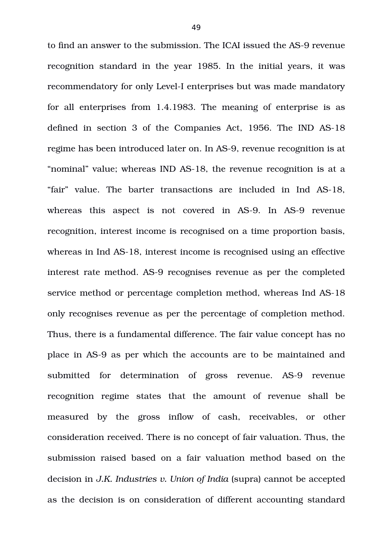to find an answer to the submission. The ICAI issued the AS-9 revenue recognition standard in the year 1985. In the initial years, it was recommendatory for only Level-I enterprises but was made mandatory for all enterprises from 1.4.1983. The meaning of enterprise is as defined in section 3 of the Companies Act, 1956. The IND AS-18 regime has been introduced later on. In AS-9, revenue recognition is at "nominal" value; whereas IND AS-18, the revenue recognition is at a "fair" value. The barter transactions are included in Ind AS18, whereas this aspect is not covered in AS-9. In AS-9 revenue recognition, interest income is recognised on a time proportion basis, whereas in Ind AS-18, interest income is recognised using an effective interest rate method. AS-9 recognises revenue as per the completed service method or percentage completion method, whereas Ind AS-18 only recognises revenue as per the percentage of completion method. Thus, there is a fundamental difference. The fair value concept has no place in AS9 as per which the accounts are to be maintained and submitted for determination of gross revenue. AS-9 revenue recognition regime states that the amount of revenue shall be measured by the gross inflow of cash, receivables, or other consideration received. There is no concept of fair valuation. Thus, the submission raised based on a fair valuation method based on the decision in *J.K. Industries v. Union of India* (supra) cannot be accepted as the decision is on consideration of different accounting standard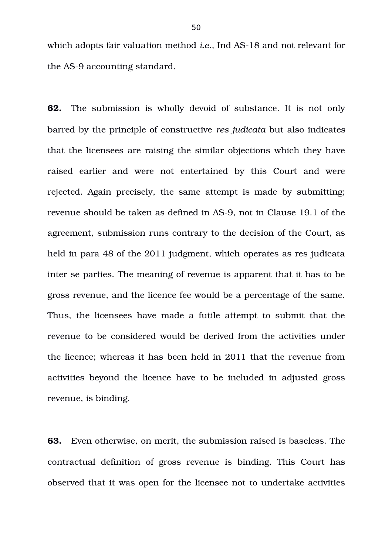which adopts fair valuation method *i.e.*, Ind AS-18 and not relevant for the AS-9 accounting standard.

**62.** The submission is wholly devoid of substance. It is not only barred by the principle of constructive *res judicata* but also indicates that the licensees are raising the similar objections which they have raised earlier and were not entertained by this Court and were rejected. Again precisely, the same attempt is made by submitting; revenue should be taken as defined in AS-9, not in Clause 19.1 of the agreement, submission runs contrary to the decision of the Court, as held in para 48 of the 2011 judgment, which operates as res judicata inter se parties. The meaning of revenue is apparent that it has to be gross revenue, and the licence fee would be a percentage of the same. Thus, the licensees have made a futile attempt to submit that the revenue to be considered would be derived from the activities under the licence; whereas it has been held in 2011 that the revenue from activities beyond the licence have to be included in adjusted gross revenue, is binding.

**63.** Even otherwise, on merit, the submission raised is baseless. The contractual definition of gross revenue is binding. This Court has observed that it was open for the licensee not to undertake activities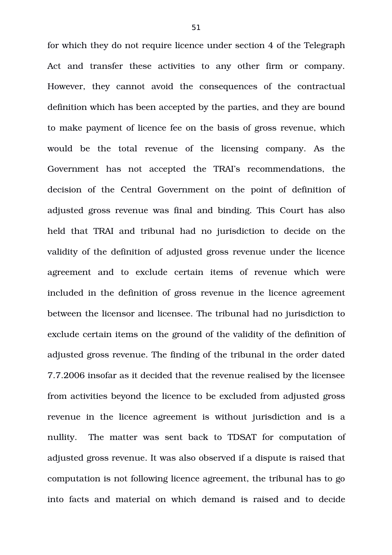for which they do not require licence under section 4 of the Telegraph Act and transfer these activities to any other firm or company. However, they cannot avoid the consequences of the contractual definition which has been accepted by the parties, and they are bound to make payment of licence fee on the basis of gross revenue, which would be the total revenue of the licensing company. As the Government has not accepted the TRAI's recommendations, the decision of the Central Government on the point of definition of adjusted gross revenue was final and binding. This Court has also held that TRAI and tribunal had no jurisdiction to decide on the validity of the definition of adjusted gross revenue under the licence agreement and to exclude certain items of revenue which were included in the definition of gross revenue in the licence agreement between the licensor and licensee. The tribunal had no jurisdiction to exclude certain items on the ground of the validity of the definition of adjusted gross revenue. The finding of the tribunal in the order dated 7.7.2006 insofar as it decided that the revenue realised by the licensee from activities beyond the licence to be excluded from adjusted gross revenue in the licence agreement is without jurisdiction and is a nullity. The matter was sent back to TDSAT for computation of adjusted gross revenue. It was also observed if a dispute is raised that computation is not following licence agreement, the tribunal has to go into facts and material on which demand is raised and to decide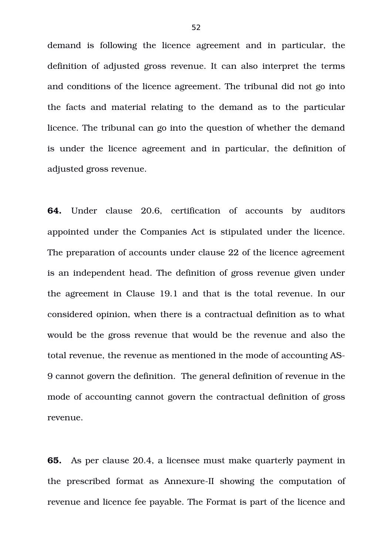demand is following the licence agreement and in particular, the definition of adjusted gross revenue. It can also interpret the terms and conditions of the licence agreement. The tribunal did not go into the facts and material relating to the demand as to the particular licence. The tribunal can go into the question of whether the demand is under the licence agreement and in particular, the definition of adjusted gross revenue.

**64.** Under clause 20.6, certification of accounts by auditors appointed under the Companies Act is stipulated under the licence. The preparation of accounts under clause 22 of the licence agreement is an independent head. The definition of gross revenue given under the agreement in Clause 19.1 and that is the total revenue. In our considered opinion, when there is a contractual definition as to what would be the gross revenue that would be the revenue and also the total revenue, the revenue as mentioned in the mode of accounting AS-9 cannot govern the definition. The general definition of revenue in the mode of accounting cannot govern the contractual definition of gross revenue.

**65.** As per clause 20.4, a licensee must make quarterly payment in the prescribed format as Annexure-II showing the computation of revenue and licence fee payable. The Format is part of the licence and

52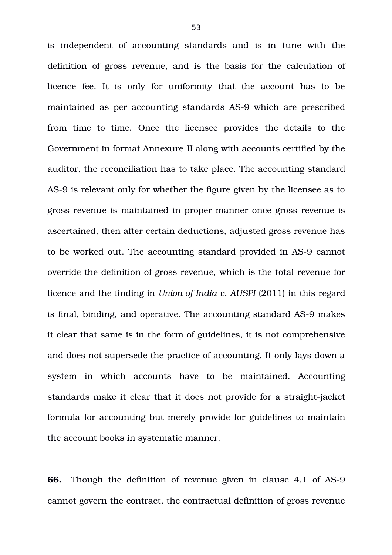is independent of accounting standards and is in tune with the definition of gross revenue, and is the basis for the calculation of licence fee. It is only for uniformity that the account has to be maintained as per accounting standards AS-9 which are prescribed from time to time. Once the licensee provides the details to the Government in format Annexure-II along with accounts certified by the auditor, the reconciliation has to take place. The accounting standard AS-9 is relevant only for whether the figure given by the licensee as to gross revenue is maintained in proper manner once gross revenue is ascertained, then after certain deductions, adjusted gross revenue has to be worked out. The accounting standard provided in AS-9 cannot override the definition of gross revenue, which is the total revenue for licence and the finding in *Union of India v. AUSPI* (2011) in this regard is final, binding, and operative. The accounting standard AS-9 makes it clear that same is in the form of guidelines, it is not comprehensive and does not supersede the practice of accounting. It only lays down a system in which accounts have to be maintained. Accounting standards make it clear that it does not provide for a straight-jacket formula for accounting but merely provide for guidelines to maintain the account books in systematic manner.

**66.** Though the definition of revenue given in clause 4.1 of AS-9 cannot govern the contract, the contractual definition of gross revenue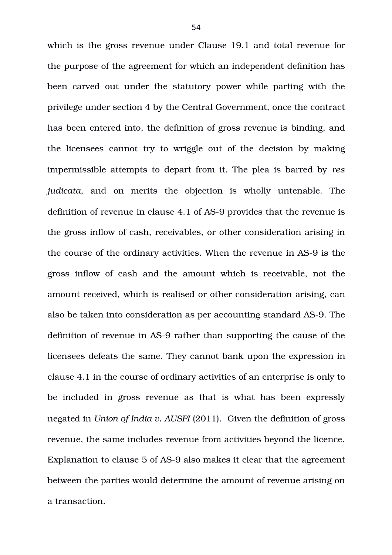which is the gross revenue under Clause 19.1 and total revenue for the purpose of the agreement for which an independent definition has been carved out under the statutory power while parting with the privilege under section 4 by the Central Government, once the contract has been entered into, the definition of gross revenue is binding, and the licensees cannot try to wriggle out of the decision by making impermissible attempts to depart from it. The plea is barred by *res judicata*, and on merits the objection is wholly untenable. The definition of revenue in clause 4.1 of AS-9 provides that the revenue is the gross inflow of cash, receivables, or other consideration arising in the course of the ordinary activities. When the revenue in AS-9 is the gross inflow of cash and the amount which is receivable, not the amount received, which is realised or other consideration arising, can also be taken into consideration as per accounting standard AS-9. The definition of revenue in AS-9 rather than supporting the cause of the licensees defeats the same. They cannot bank upon the expression in clause 4.1 in the course of ordinary activities of an enterprise is only to be included in gross revenue as that is what has been expressly negated in *Union of India v. AUSPI* (2011). Given the definition of gross revenue, the same includes revenue from activities beyond the licence. Explanation to clause 5 of AS-9 also makes it clear that the agreement between the parties would determine the amount of revenue arising on a transaction.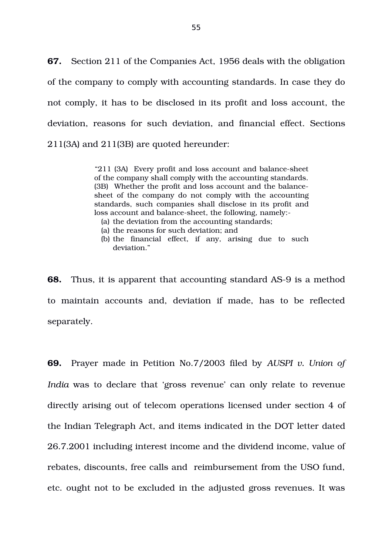**67.** Section 211 of the Companies Act, 1956 deals with the obligation of the company to comply with accounting standards. In case they do not comply, it has to be disclosed in its profit and loss account, the deviation, reasons for such deviation, and financial effect. Sections 211(3A) and 211(3B) are quoted hereunder:

> "211 (3A) Every profit and loss account and balance-sheet of the company shall comply with the accounting standards. (3B) Whether the profit and loss account and the balancesheet of the company do not comply with the accounting standards, such companies shall disclose in its profit and loss account and balance-sheet, the following, namely:-

- (a) the deviation from the accounting standards;
- (a) the reasons for such deviation; and
- (b) the financial effect, if any, arising due to such deviation."

**68.** Thus, it is apparent that accounting standard AS-9 is a method to maintain accounts and, deviation if made, has to be reflected separately.

**69.** Prayer made in Petition No.7/2003 filed by *AUSPI v. Union of India* was to declare that 'gross revenue' can only relate to revenue directly arising out of telecom operations licensed under section 4 of the Indian Telegraph Act, and items indicated in the DOT letter dated 26.7.2001 including interest income and the dividend income, value of rebates, discounts, free calls and reimbursement from the USO fund, etc. ought not to be excluded in the adjusted gross revenues. It was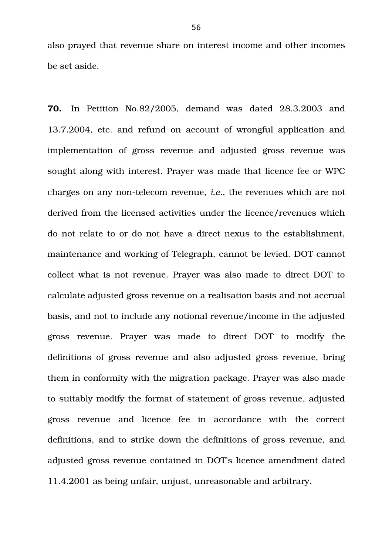also prayed that revenue share on interest income and other incomes be set aside.

**70.** In Petition No.82/2005, demand was dated 28.3.2003 and 13.7.2004, etc. and refund on account of wrongful application and implementation of gross revenue and adjusted gross revenue was sought along with interest. Prayer was made that licence fee or WPC charges on any non-telecom revenue, *i.e.*, the revenues which are not derived from the licensed activities under the licence/revenues which do not relate to or do not have a direct nexus to the establishment, maintenance and working of Telegraph, cannot be levied. DOT cannot collect what is not revenue. Prayer was also made to direct DOT to calculate adjusted gross revenue on a realisation basis and not accrual basis, and not to include any notional revenue/income in the adjusted gross revenue. Prayer was made to direct DOT to modify the definitions of gross revenue and also adjusted gross revenue, bring them in conformity with the migration package. Prayer was also made to suitably modify the format of statement of gross revenue, adjusted gross revenue and licence fee in accordance with the correct definitions, and to strike down the definitions of gross revenue, and adjusted gross revenue contained in DOT's licence amendment dated 11.4.2001 as being unfair, unjust, unreasonable and arbitrary.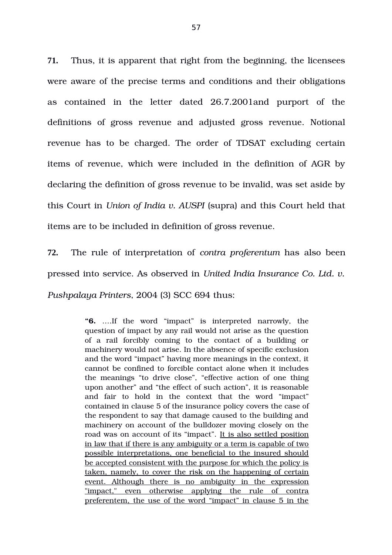**71.** Thus, it is apparent that right from the beginning, the licensees were aware of the precise terms and conditions and their obligations as contained in the letter dated 26.7.2001and purport of the definitions of gross revenue and adjusted gross revenue. Notional revenue has to be charged. The order of TDSAT excluding certain items of revenue, which were included in the definition of AGR by declaring the definition of gross revenue to be invalid, was set aside by this Court in *Union of India v. AUSPI* (supra) and this Court held that items are to be included in definition of gross revenue.

**72.** The rule of interpretation of *contra proferentum* has also been pressed into service. As observed in *United India Insurance Co. Ltd. v. Pushpalaya Printers*, 2004 (3) SCC 694 thus:

> **"6.** ….If the word "impact" is interpreted narrowly, the question of impact by any rail would not arise as the question of a rail forcibly coming to the contact of a building or machinery would not arise. In the absence of specific exclusion and the word "impact" having more meanings in the context, it cannot be confined to forcible contact alone when it includes the meanings "to drive close", "effective action of one thing upon another" and "the effect of such action", it is reasonable and fair to hold in the context that the word "impact" contained in clause 5 of the insurance policy covers the case of the respondent to say that damage caused to the building and machinery on account of the bulldozer moving closely on the road was on account of its "impact". It is also settled position in law that if there is any ambiguity or a term is capable of two possible interpretations, one beneficial to the insured should be accepted consistent with the purpose for which the policy is taken, namely, to cover the risk on the happening of certain event. Although there is no ambiguity in the expression "impact," even otherwise applying the rule of contra preferentem, the use of the word "impact" in clause 5 in the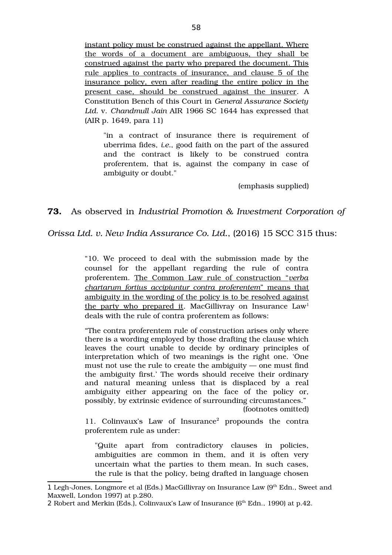instant policy must be construed against the appellant. Where the words of a document are ambiguous, they shall be construed against the party who prepared the document. This rule applies to contracts of insurance, and clause 5 of the insurance policy, even after reading the entire policy in the present case, should be construed against the insurer. A Constitution Bench of this Court in *General Assurance Society Ltd.* v. *Chandmull Jain* AIR 1966 SC 1644 has expressed that (AIR p. 1649, para 11)

"in a contract of insurance there is requirement of uberrima fides, *i.e.*, good faith on the part of the assured and the contract is likely to be construed contra proferentem, that is, against the company in case of ambiguity or doubt."

(emphasis supplied)

## **73.** As observed in *Industrial Promotion & Investment Corporation of*

*Orissa Ltd. v. New India Assurance Co. Ltd.*, (2016) 15 SCC 315 thus:

"10. We proceed to deal with the submission made by the counsel for the appellant regarding the rule of contra proferentem. The Common Law rule of construction "*verba chartarum fortius accipiuntur contra proferentem*" means that ambiguity in the wording of the policy is to be resolved against the party who prepared it. MacGillivray on Insurance  $Law<sup>1</sup>$  $Law<sup>1</sup>$  $Law<sup>1</sup>$ deals with the rule of contra proferentem as follows:

"The contra proferentem rule of construction arises only where there is a wording employed by those drafting the clause which leaves the court unable to decide by ordinary principles of interpretation which of two meanings is the right one. 'One must not use the rule to create the ambiguity — one must find the ambiguity first.' The words should receive their ordinary and natural meaning unless that is displaced by a real ambiguity either appearing on the face of the policy or, possibly, by extrinsic evidence of surrounding circumstances."

(footnotes omitted)

11. Colinvaux's Law of Insurance<sup>[2](#page-57-1)</sup> propounds the contra proferentem rule as under:

"Quite apart from contradictory clauses in policies, ambiguities are common in them, and it is often very uncertain what the parties to them mean. In such cases, the rule is that the policy, being drafted in language chosen

<span id="page-57-0"></span><sup>1</sup> Legh-Jones, Longmore et al (Eds.) MacGillivray on Insurance Law (9<sup>th</sup> Edn., Sweet and Maxwell, London 1997) at p.280.

<span id="page-57-1"></span><sup>2</sup> Robert and Merkin (Eds.), Colinvaux's Law of Insurance ( $6<sup>th</sup>$  Edn., 1990) at p.42.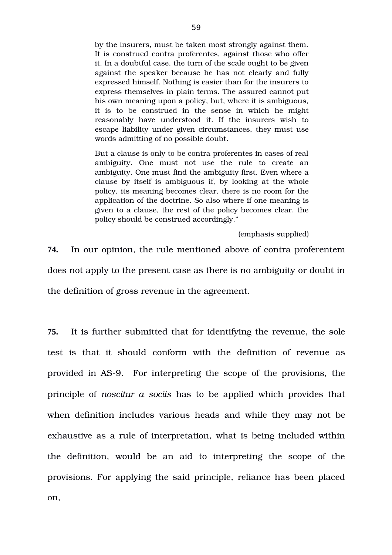by the insurers, must be taken most strongly against them. It is construed contra proferentes, against those who offer it. In a doubtful case, the turn of the scale ought to be given against the speaker because he has not clearly and fully expressed himself. Nothing is easier than for the insurers to express themselves in plain terms. The assured cannot put his own meaning upon a policy, but, where it is ambiguous, it is to be construed in the sense in which he might reasonably have understood it. If the insurers wish to escape liability under given circumstances, they must use words admitting of no possible doubt.

But a clause is only to be contra proferentes in cases of real ambiguity. One must not use the rule to create an ambiguity. One must find the ambiguity first. Even where a clause by itself is ambiguous if, by looking at the whole policy, its meaning becomes clear, there is no room for the application of the doctrine. So also where if one meaning is given to a clause, the rest of the policy becomes clear, the policy should be construed accordingly."

(emphasis supplied)

**74.** In our opinion, the rule mentioned above of contra proferentem does not apply to the present case as there is no ambiguity or doubt in the definition of gross revenue in the agreement.

**75.** It is further submitted that for identifying the revenue, the sole test is that it should conform with the definition of revenue as provided in AS9. For interpreting the scope of the provisions, the principle of *noscitur a sociis* has to be applied which provides that when definition includes various heads and while they may not be exhaustive as a rule of interpretation, what is being included within the definition, would be an aid to interpreting the scope of the provisions. For applying the said principle, reliance has been placed on,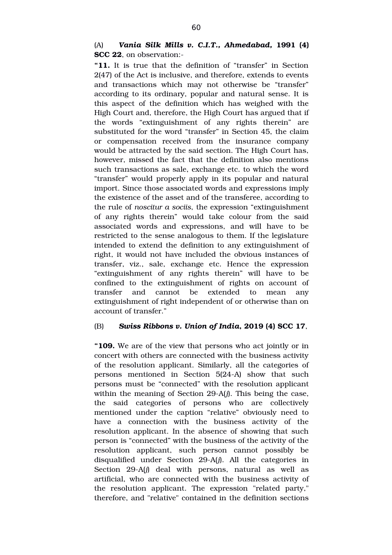# (A) *Vania Silk Mills v. C.I.T., Ahmedabad,* **1991 (4) SCC 22**, on observation:

**"11.** It is true that the definition of "transfer" in Section 2(47) of the Act is inclusive, and therefore, extends to events and transactions which may not otherwise be "transfer" according to its ordinary, popular and natural sense. It is this aspect of the definition which has weighed with the High Court and, therefore, the High Court has argued that if the words "extinguishment of any rights therein" are substituted for the word "transfer" in Section 45, the claim or compensation received from the insurance company would be attracted by the said section. The High Court has, however, missed the fact that the definition also mentions such transactions as sale, exchange etc. to which the word "transfer" would properly apply in its popular and natural import. Since those associated words and expressions imply the existence of the asset and of the transferee, according to the rule of *noscitur a sociis*, the expression "extinguishment of any rights therein" would take colour from the said associated words and expressions, and will have to be restricted to the sense analogous to them. If the legislature intended to extend the definition to any extinguishment of right, it would not have included the obvious instances of transfer, viz., sale, exchange etc. Hence the expression "extinguishment of any rights therein" will have to be confined to the extinguishment of rights on account of transfer and cannot be extended to mean any extinguishment of right independent of or otherwise than on account of transfer."

## (B) *Swiss Ribbons v. Union of India***, 2019 (4) SCC 17**,

**"109.** We are of the view that persons who act jointly or in concert with others are connected with the business activity of the resolution applicant. Similarly, all the categories of persons mentioned in Section 5(24-A) show that such persons must be "connected" with the resolution applicant within the meaning of Section 29-A(*j*). This being the case, the said categories of persons who are collectively mentioned under the caption "relative" obviously need to have a connection with the business activity of the resolution applicant. In the absence of showing that such person is "connected" with the business of the activity of the resolution applicant, such person cannot possibly be disqualified under Section 29-A(*j*). All the categories in Section 29-A(*j*) deal with persons, natural as well as artificial, who are connected with the business activity of the resolution applicant. The expression "related party," therefore, and "relative" contained in the definition sections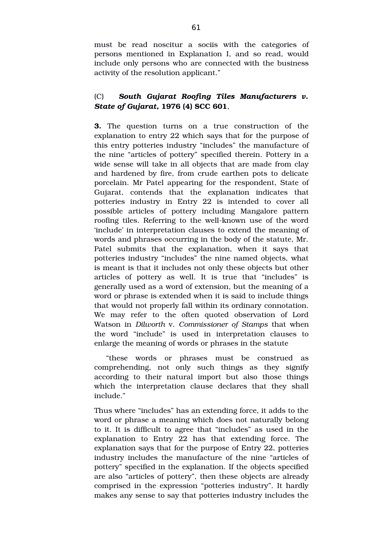must be read noscitur a sociis with the categories of persons mentioned in Explanation I, and so read, would include only persons who are connected with the business activity of the resolution applicant."

# (C) *South Gujarat Roofing Tiles Manufacturers v. State of Gujarat,* **1976 (4) SCC 601**,

**3.** The question turns on a true construction of the explanation to entry 22 which says that for the purpose of this entry potteries industry "includes" the manufacture of the nine "articles of pottery" specified therein. Pottery in a wide sense will take in all objects that are made from clay and hardened by fire, from crude earthen pots to delicate porcelain. Mr Patel appearing for the respondent, State of Gujarat, contends that the explanation indicates that potteries industry in Entry 22 is intended to cover all possible articles of pottery including Mangalore pattern roofing tiles. Referring to the well-known use of the word 'include' in interpretation clauses to extend the meaning of words and phrases occurring in the body of the statute, Mr. Patel submits that the explanation, when it says that potteries industry "includes" the nine named objects, what is meant is that it includes not only these objects but other articles of pottery as well. It is true that "includes" is generally used as a word of extension, but the meaning of a word or phrase is extended when it is said to include things that would not properly fall within its ordinary connotation. We may refer to the often quoted observation of Lord Watson in *Dilworth* v. *Commissioner of Stamps* that when the word "include" is used in interpretation clauses to enlarge the meaning of words or phrases in the statute

"these words or phrases must be construed as comprehending, not only such things as they signify according to their natural import but also those things which the interpretation clause declares that they shall include."

Thus where "includes" has an extending force, it adds to the word or phrase a meaning which does not naturally belong to it. It is difficult to agree that "includes" as used in the explanation to Entry 22 has that extending force. The explanation says that for the purpose of Entry 22, potteries industry includes the manufacture of the nine "articles of pottery" specified in the explanation. If the objects specified are also "articles of pottery", then these objects are already comprised in the expression "potteries industry". It hardly makes any sense to say that potteries industry includes the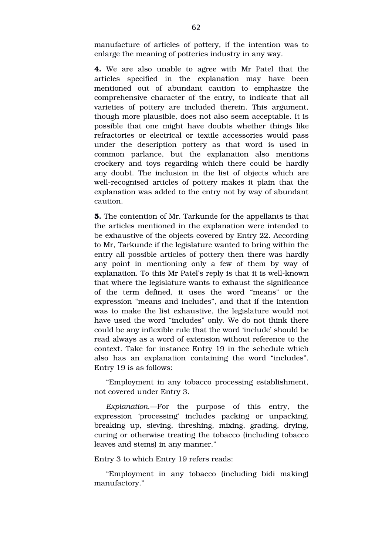manufacture of articles of pottery, if the intention was to enlarge the meaning of potteries industry in any way.

**4.** We are also unable to agree with Mr Patel that the articles specified in the explanation may have been mentioned out of abundant caution to emphasize the comprehensive character of the entry, to indicate that all varieties of pottery are included therein. This argument, though more plausible, does not also seem acceptable. It is possible that one might have doubts whether things like refractories or electrical or textile accessories would pass under the description pottery as that word is used in common parlance, but the explanation also mentions crockery and toys regarding which there could be hardly any doubt. The inclusion in the list of objects which are well-recognised articles of pottery makes it plain that the explanation was added to the entry not by way of abundant caution.

**5.** The contention of Mr. Tarkunde for the appellants is that the articles mentioned in the explanation were intended to be exhaustive of the objects covered by Entry 22. According to Mr, Tarkunde if the legislature wanted to bring within the entry all possible articles of pottery then there was hardly any point in mentioning only a few of them by way of explanation. To this Mr Patel's reply is that it is well-known that where the legislature wants to exhaust the significance of the term defined, it uses the word "means" or the expression "means and includes", and that if the intention was to make the list exhaustive, the legislature would not have used the word "includes" only. We do not think there could be any inflexible rule that the word 'include' should be read always as a word of extension without reference to the context. Take for instance Entry 19 in the schedule which also has an explanation containing the word "includes". Entry 19 is as follows:

"Employment in any tobacco processing establishment, not covered under Entry 3.

*Explanation*.—For the purpose of this entry, the expression 'processing' includes packing or unpacking, breaking up, sieving, threshing, mixing, grading, drying, curing or otherwise treating the tobacco (including tobacco leaves and stems) in any manner."

## Entry 3 to which Entry 19 refers reads:

"Employment in any tobacco (including bidi making) manufactory."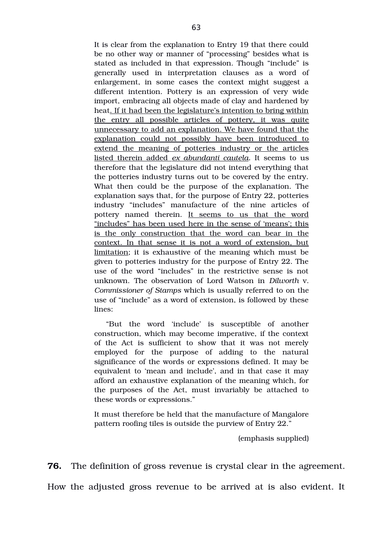It is clear from the explanation to Entry 19 that there could be no other way or manner of "processing" besides what is stated as included in that expression. Though "include" is generally used in interpretation clauses as a word of enlargement, in some cases the context might suggest a different intention. Pottery is an expression of very wide import, embracing all objects made of clay and hardened by heat. If it had been the legislature's intention to bring within the entry all possible articles of pottery, it was quite unnecessary to add an explanation. We have found that the explanation could not possibly have been introduced to extend the meaning of potteries industry or the articles listed therein added *ex abundanti cautela.* It seems to us therefore that the legislature did not intend everything that the potteries industry turns out to be covered by the entry. What then could be the purpose of the explanation. The explanation says that, for the purpose of Entry 22, potteries industry "includes" manufacture of the nine articles of pottery named therein. It seems to us that the word "includes" has been used here in the sense of 'means'; this is the only construction that the word can bear in the context. In that sense it is not a word of extension, but limitation; it is exhaustive of the meaning which must be given to potteries industry for the purpose of Entry 22. The use of the word "includes" in the restrictive sense is not unknown. The observation of Lord Watson in *Dilworth* v. *Commissioner of Stamps* which is usually referred to on the use of "include" as a word of extension, is followed by these lines:

"But the word 'include' is susceptible of another construction, which may become imperative, if the context of the Act is sufficient to show that it was not merely employed for the purpose of adding to the natural significance of the words or expressions defined. It may be equivalent to 'mean and include', and in that case it may afford an exhaustive explanation of the meaning which, for the purposes of the Act, must invariably be attached to these words or expressions."

It must therefore be held that the manufacture of Mangalore pattern roofing tiles is outside the purview of Entry 22."

(emphasis supplied)

**76.** The definition of gross revenue is crystal clear in the agreement.

How the adjusted gross revenue to be arrived at is also evident. It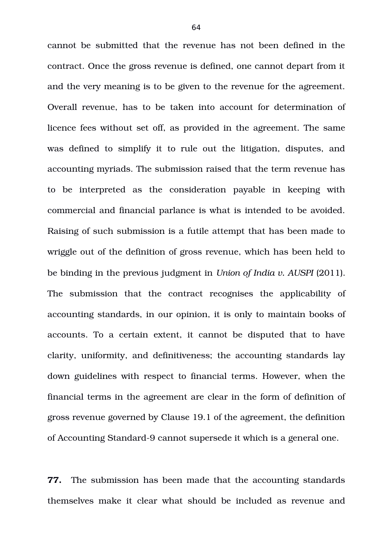cannot be submitted that the revenue has not been defined in the contract. Once the gross revenue is defined, one cannot depart from it and the very meaning is to be given to the revenue for the agreement. Overall revenue, has to be taken into account for determination of licence fees without set off, as provided in the agreement. The same was defined to simplify it to rule out the litigation, disputes, and accounting myriads. The submission raised that the term revenue has to be interpreted as the consideration payable in keeping with commercial and financial parlance is what is intended to be avoided. Raising of such submission is a futile attempt that has been made to wriggle out of the definition of gross revenue, which has been held to be binding in the previous judgment in *Union of India v. AUSPI* (2011). The submission that the contract recognises the applicability of accounting standards, in our opinion, it is only to maintain books of accounts. To a certain extent, it cannot be disputed that to have clarity, uniformity, and definitiveness; the accounting standards lay down guidelines with respect to financial terms. However, when the financial terms in the agreement are clear in the form of definition of gross revenue governed by Clause 19.1 of the agreement, the definition of Accounting Standard-9 cannot supersede it which is a general one.

**77.** The submission has been made that the accounting standards themselves make it clear what should be included as revenue and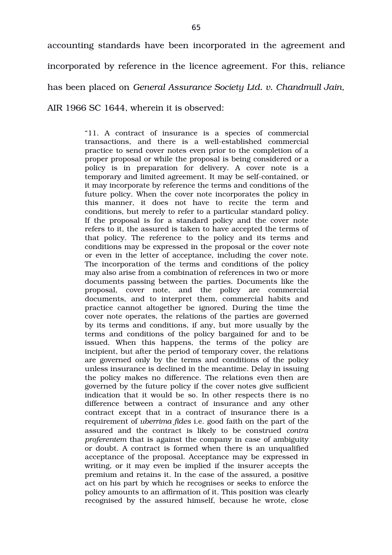accounting standards have been incorporated in the agreement and incorporated by reference in the licence agreement. For this, reliance has been placed on *General Assurance Society Ltd. v. Chandmull Jain,* AIR 1966 SC 1644, wherein it is observed:

> "11. A contract of insurance is a species of commercial transactions, and there is a well-established commercial practice to send cover notes even prior to the completion of a proper proposal or while the proposal is being considered or a policy is in preparation for delivery. A cover note is a temporary and limited agreement. It may be self-contained, or it may incorporate by reference the terms and conditions of the future policy. When the cover note incorporates the policy in this manner, it does not have to recite the term and conditions, but merely to refer to a particular standard policy. If the proposal is for a standard policy and the cover note refers to it, the assured is taken to have accepted the terms of that policy. The reference to the policy and its terms and conditions may be expressed in the proposal or the cover note or even in the letter of acceptance, including the cover note. The incorporation of the terms and conditions of the policy may also arise from a combination of references in two or more documents passing between the parties. Documents like the proposal, cover note, and the policy are commercial documents, and to interpret them, commercial habits and practice cannot altogether be ignored. During the time the cover note operates, the relations of the parties are governed by its terms and conditions, if any, but more usually by the terms and conditions of the policy bargained for and to be issued. When this happens, the terms of the policy are incipient, but after the period of temporary cover, the relations are governed only by the terms and conditions of the policy unless insurance is declined in the meantime. Delay in issuing the policy makes no difference. The relations even then are governed by the future policy if the cover notes give sufficient indication that it would be so. In other respects there is no difference between a contract of insurance and any other contract except that in a contract of insurance there is a requirement of *uberrima fides* i.e. good faith on the part of the assured and the contract is likely to be construed *contra proferentem* that is against the company in case of ambiguity or doubt. A contract is formed when there is an unqualified acceptance of the proposal. Acceptance may be expressed in writing, or it may even be implied if the insurer accepts the premium and retains it. In the case of the assured, a positive act on his part by which he recognises or seeks to enforce the policy amounts to an affirmation of it. This position was clearly recognised by the assured himself, because he wrote, close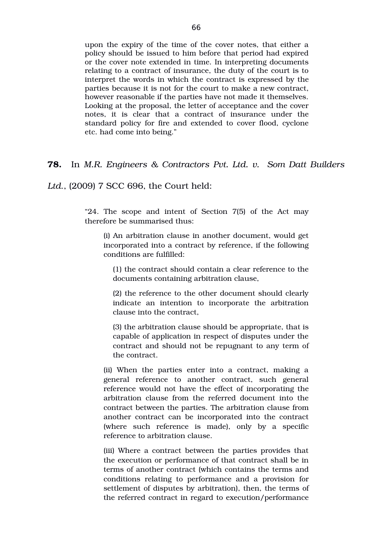upon the expiry of the time of the cover notes, that either a policy should be issued to him before that period had expired or the cover note extended in time. In interpreting documents relating to a contract of insurance, the duty of the court is to interpret the words in which the contract is expressed by the parties because it is not for the court to make a new contract, however reasonable if the parties have not made it themselves. Looking at the proposal, the letter of acceptance and the cover notes, it is clear that a contract of insurance under the standard policy for fire and extended to cover flood, cyclone etc. had come into being."

**78.** In *M.R. Engineers & Contractors Pvt. Ltd. v. Som Datt Builders*

*Ltd*., (2009) 7 SCC 696, the Court held:

"24. The scope and intent of Section 7(5) of the Act may therefore be summarised thus:

(i) An arbitration clause in another document, would get incorporated into a contract by reference, if the following conditions are fulfilled:

(1) the contract should contain a clear reference to the documents containing arbitration clause,

(2) the reference to the other document should clearly indicate an intention to incorporate the arbitration clause into the contract,

(3) the arbitration clause should be appropriate, that is capable of application in respect of disputes under the contract and should not be repugnant to any term of the contract.

(ii) When the parties enter into a contract, making a general reference to another contract, such general reference would not have the effect of incorporating the arbitration clause from the referred document into the contract between the parties. The arbitration clause from another contract can be incorporated into the contract (where such reference is made), only by a specific reference to arbitration clause.

(iii) Where a contract between the parties provides that the execution or performance of that contract shall be in terms of another contract (which contains the terms and conditions relating to performance and a provision for settlement of disputes by arbitration), then, the terms of the referred contract in regard to execution/performance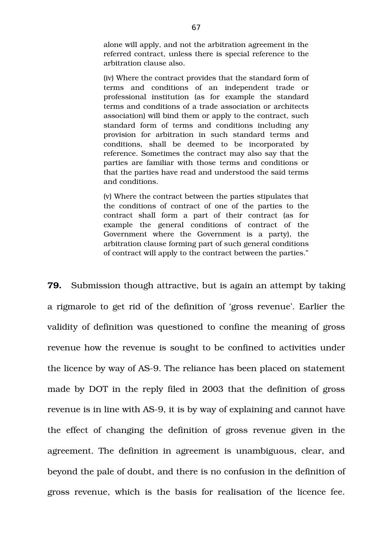alone will apply, and not the arbitration agreement in the referred contract, unless there is special reference to the arbitration clause also.

(iv) Where the contract provides that the standard form of terms and conditions of an independent trade or professional institution (as for example the standard terms and conditions of a trade association or architects association) will bind them or apply to the contract, such standard form of terms and conditions including any provision for arbitration in such standard terms and conditions, shall be deemed to be incorporated by reference. Sometimes the contract may also say that the parties are familiar with those terms and conditions or that the parties have read and understood the said terms and conditions.

(v) Where the contract between the parties stipulates that the conditions of contract of one of the parties to the contract shall form a part of their contract (as for example the general conditions of contract of the Government where the Government is a party), the arbitration clause forming part of such general conditions of contract will apply to the contract between the parties."

**79.** Submission though attractive, but is again an attempt by taking a rigmarole to get rid of the definition of 'gross revenue'. Earlier the validity of definition was questioned to confine the meaning of gross revenue how the revenue is sought to be confined to activities under the licence by way of AS-9. The reliance has been placed on statement made by DOT in the reply filed in 2003 that the definition of gross revenue is in line with AS-9, it is by way of explaining and cannot have the effect of changing the definition of gross revenue given in the agreement. The definition in agreement is unambiguous, clear, and beyond the pale of doubt, and there is no confusion in the definition of gross revenue, which is the basis for realisation of the licence fee.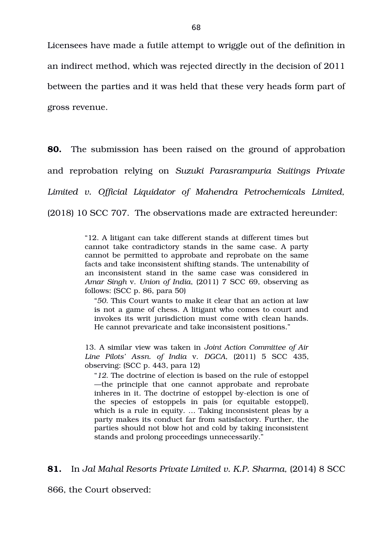Licensees have made a futile attempt to wriggle out of the definition in an indirect method, which was rejected directly in the decision of 2011 between the parties and it was held that these very heads form part of gross revenue.

**80.** The submission has been raised on the ground of approbation and reprobation relying on *Suzuki Parasrampuria Suitings Private Limited v. Official Liquidator of Mahendra Petrochemicals Limited,* (2018) 10 SCC 707. The observations made are extracted hereunder:

> "12. A litigant can take different stands at different times but cannot take contradictory stands in the same case. A party cannot be permitted to approbate and reprobate on the same facts and take inconsistent shifting stands. The untenability of an inconsistent stand in the same case was considered in *Amar Singh* v. *Union of India*, (2011) 7 SCC 69, observing as follows: (SCC p. 86, para 50)

"*50*. This Court wants to make it clear that an action at law is not a game of chess. A litigant who comes to court and invokes its writ jurisdiction must come with clean hands. He cannot prevaricate and take inconsistent positions."

13. A similar view was taken in *Joint Action Committee of Air Line Pilots' Assn. of India* v. *DGCA*, (2011) 5 SCC 435, observing: (SCC p. 443, para 12)

"*12*. The doctrine of election is based on the rule of estoppel —the principle that one cannot approbate and reprobate inheres in it. The doctrine of estoppel by-election is one of the species of estoppels in pais (or equitable estoppel), which is a rule in equity. … Taking inconsistent pleas by a party makes its conduct far from satisfactory. Further, the parties should not blow hot and cold by taking inconsistent stands and prolong proceedings unnecessarily."

**81.** In *Jal Mahal Resorts Private Limited v. K.P. Sharma,* (2014) 8 SCC

866, the Court observed: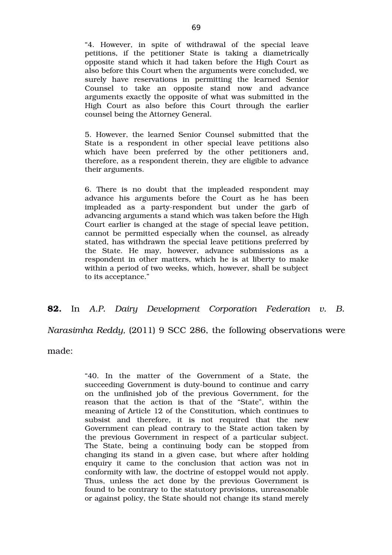"4. However, in spite of withdrawal of the special leave petitions, if the petitioner State is taking a diametrically opposite stand which it had taken before the High Court as also before this Court when the arguments were concluded, we surely have reservations in permitting the learned Senior Counsel to take an opposite stand now and advance arguments exactly the opposite of what was submitted in the High Court as also before this Court through the earlier counsel being the Attorney General.

5. However, the learned Senior Counsel submitted that the State is a respondent in other special leave petitions also which have been preferred by the other petitioners and, therefore, as a respondent therein, they are eligible to advance their arguments.

6. There is no doubt that the impleaded respondent may advance his arguments before the Court as he has been impleaded as a party-respondent but under the garb of advancing arguments a stand which was taken before the High Court earlier is changed at the stage of special leave petition, cannot be permitted especially when the counsel, as already stated, has withdrawn the special leave petitions preferred by the State. He may, however, advance submissions as a respondent in other matters, which he is at liberty to make within a period of two weeks, which, however, shall be subject to its acceptance."

# **82.** In *A.P. Dairy Development Corporation Federation v. B.*

*Narasimha Reddy,* (2011) 9 SCC 286, the following observations were

made:

"40. In the matter of the Government of a State, the succeeding Government is duty-bound to continue and carry on the unfinished job of the previous Government, for the reason that the action is that of the "State", within the meaning of Article 12 of the Constitution, which continues to subsist and therefore, it is not required that the new Government can plead contrary to the State action taken by the previous Government in respect of a particular subject. The State, being a continuing body can be stopped from changing its stand in a given case, but where after holding enquiry it came to the conclusion that action was not in conformity with law, the doctrine of estoppel would not apply. Thus, unless the act done by the previous Government is found to be contrary to the statutory provisions, unreasonable or against policy, the State should not change its stand merely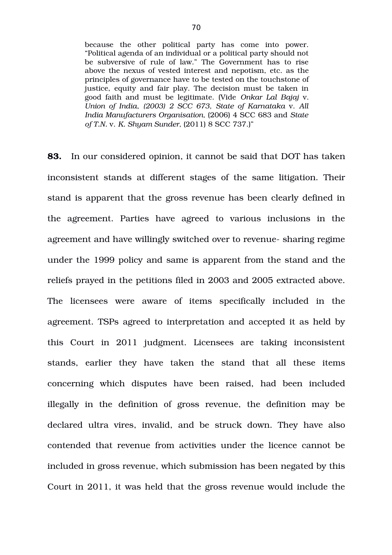because the other political party has come into power. "Political agenda of an individual or a political party should not be subversive of rule of law." The Government has to rise above the nexus of vested interest and nepotism, etc. as the principles of governance have to be tested on the touchstone of justice, equity and fair play. The decision must be taken in good faith and must be legitimate. (Vide *Onkar Lal Bajaj* v. *Union of India*, *(2003) 2 SCC 673, State of Karnataka* v. *All India Manufacturers Organisation,* (2006) 4 SCC 683 and *State of T.N.* v. *K. Shyam Sunder,* (2011) 8 SCC 737.)"

**83.** In our considered opinion, it cannot be said that DOT has taken inconsistent stands at different stages of the same litigation. Their stand is apparent that the gross revenue has been clearly defined in the agreement. Parties have agreed to various inclusions in the agreement and have willingly switched over to revenue-sharing regime under the 1999 policy and same is apparent from the stand and the reliefs prayed in the petitions filed in 2003 and 2005 extracted above. The licensees were aware of items specifically included in the agreement. TSPs agreed to interpretation and accepted it as held by this Court in 2011 judgment. Licensees are taking inconsistent stands, earlier they have taken the stand that all these items concerning which disputes have been raised, had been included illegally in the definition of gross revenue, the definition may be declared ultra vires, invalid, and be struck down. They have also contended that revenue from activities under the licence cannot be included in gross revenue, which submission has been negated by this Court in 2011, it was held that the gross revenue would include the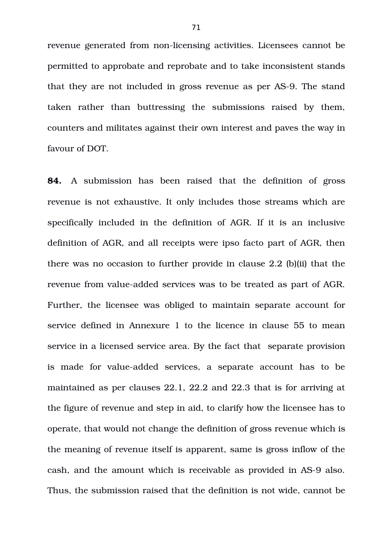revenue generated from non-licensing activities. Licensees cannot be permitted to approbate and reprobate and to take inconsistent stands that they are not included in gross revenue as per AS-9. The stand taken rather than buttressing the submissions raised by them, counters and militates against their own interest and paves the way in favour of DOT.

**84.** A submission has been raised that the definition of gross revenue is not exhaustive. It only includes those streams which are specifically included in the definition of AGR. If it is an inclusive definition of AGR, and all receipts were ipso facto part of AGR, then there was no occasion to further provide in clause 2.2 (b)(ii) that the revenue from value-added services was to be treated as part of AGR. Further, the licensee was obliged to maintain separate account for service defined in Annexure 1 to the licence in clause 55 to mean service in a licensed service area. By the fact that separate provision is made for value-added services, a separate account has to be maintained as per clauses 22.1, 22.2 and 22.3 that is for arriving at the figure of revenue and step in aid, to clarify how the licensee has to operate, that would not change the definition of gross revenue which is the meaning of revenue itself is apparent, same is gross inflow of the cash, and the amount which is receivable as provided in AS-9 also. Thus, the submission raised that the definition is not wide, cannot be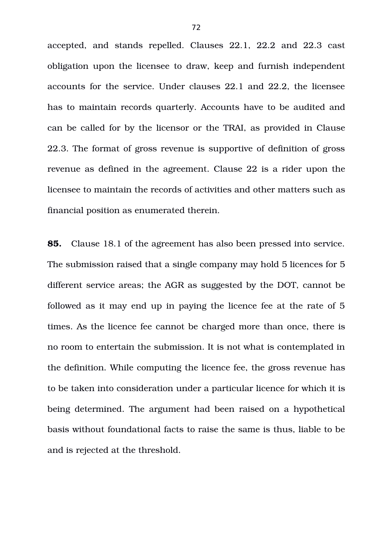accepted, and stands repelled. Clauses 22.1, 22.2 and 22.3 cast obligation upon the licensee to draw, keep and furnish independent accounts for the service. Under clauses 22.1 and 22.2, the licensee has to maintain records quarterly. Accounts have to be audited and can be called for by the licensor or the TRAI, as provided in Clause 22.3. The format of gross revenue is supportive of definition of gross revenue as defined in the agreement. Clause 22 is a rider upon the licensee to maintain the records of activities and other matters such as financial position as enumerated therein.

**85.** Clause 18.1 of the agreement has also been pressed into service. The submission raised that a single company may hold 5 licences for 5 different service areas; the AGR as suggested by the DOT, cannot be followed as it may end up in paying the licence fee at the rate of 5 times. As the licence fee cannot be charged more than once, there is no room to entertain the submission. It is not what is contemplated in the definition. While computing the licence fee, the gross revenue has to be taken into consideration under a particular licence for which it is being determined. The argument had been raised on a hypothetical basis without foundational facts to raise the same is thus, liable to be and is rejected at the threshold.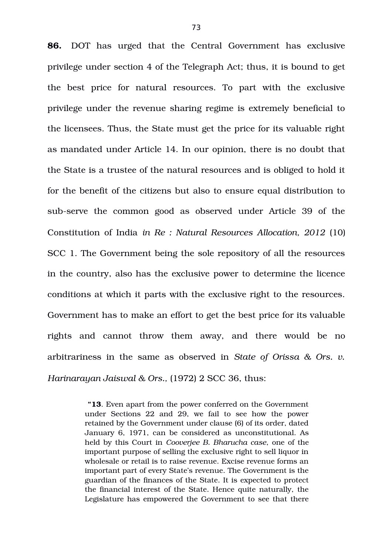**86.** DOT has urged that the Central Government has exclusive privilege under section 4 of the Telegraph Act; thus, it is bound to get the best price for natural resources. To part with the exclusive privilege under the revenue sharing regime is extremely beneficial to the licensees. Thus, the State must get the price for its valuable right as mandated under Article 14. In our opinion, there is no doubt that the State is a trustee of the natural resources and is obliged to hold it for the benefit of the citizens but also to ensure equal distribution to sub-serve the common good as observed under Article 39 of the Constitution of India *in Re : Natural Resources Allocation, 2012* (10) SCC 1. The Government being the sole repository of all the resources in the country, also has the exclusive power to determine the licence conditions at which it parts with the exclusive right to the resources. Government has to make an effort to get the best price for its valuable rights and cannot throw them away, and there would be no arbitrariness in the same as observed in *State of Orissa & Ors. v. Harinarayan Jaiswal & Ors.,* (1972) 2 SCC 36, thus:

> **"13**. Even apart from the power conferred on the Government under Sections 22 and 29, we fail to see how the power retained by the Government under clause (6) of its order, dated January 6, 1971, can be considered as unconstitutional. As held by this Court in *Cooverjee B. Bharucha case*, one of the important purpose of selling the exclusive right to sell liquor in wholesale or retail is to raise revenue. Excise revenue forms an important part of every State's revenue. The Government is the guardian of the finances of the State. It is expected to protect the financial interest of the State. Hence quite naturally, the Legislature has empowered the Government to see that there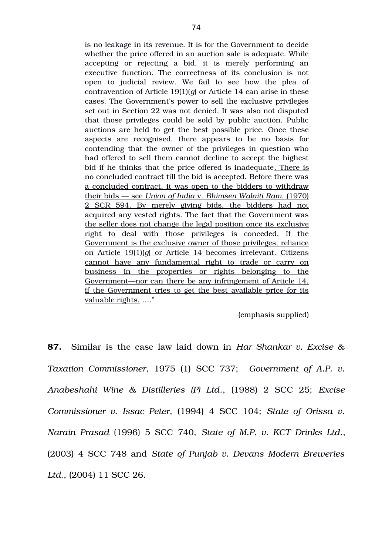is no leakage in its revenue. It is for the Government to decide whether the price offered in an auction sale is adequate. While accepting or rejecting a bid, it is merely performing an executive function. The correctness of its conclusion is not open to judicial review. We fail to see how the plea of contravention of Article 19(1)(*g*) or Article 14 can arise in these cases. The Government's power to sell the exclusive privileges set out in Section 22 was not denied. It was also not disputed that those privileges could be sold by public auction. Public auctions are held to get the best possible price. Once these aspects are recognised, there appears to be no basis for contending that the owner of the privileges in question who had offered to sell them cannot decline to accept the highest bid if he thinks that the price offered is inadequate. There is no concluded contract till the bid is accepted. Before there was a concluded contract, it was open to the bidders to withdraw their bids — see  *Union of India* v. *Bhimsen Walaiti Ram*, (1970) 2 SCR 594. By merely giving bids, the bidders had not acquired any vested rights. The fact that the Government was the seller does not change the legal position once its exclusive right to deal with those privileges is conceded. If the Government is the exclusive owner of those privileges, reliance on Article 19(1)(*g*) or Article 14 becomes irrelevant. Citizens cannot have any fundamental right to trade or carry on business in the properties or rights belonging to the Government—nor can there be any infringement of Article 14, if the Government tries to get the best available price for its valuable rights. …."

(emphasis supplied)

**87.** Similar is the case law laid down in *Har Shankar v. Excise & Taxation Commissioner*, 1975 (1) SCC 737; *Government of A.P. v. Anabeshahi Wine & Distilleries (P) Ltd*., (1988) 2 SCC 25; *Excise Commissioner v. Issac Peter*, (1994) 4 SCC 104; *State of Orissa v. Narain Prasad* (1996) 5 SCC 740, *State of M.P. v. KCT Drinks Ltd*., (2003) 4 SCC 748 and *State of Punjab v. Devans Modern Breweries Ltd*., (2004) 11 SCC 26.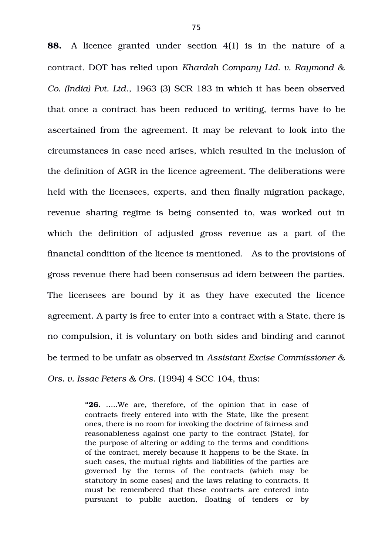**88.** A licence granted under section 4(1) is in the nature of a contract. DOT has relied upon *Khardah Company Ltd. v. Raymond & Co. (India) Pvt. Ltd*., 1963 (3) SCR 183 in which it has been observed that once a contract has been reduced to writing, terms have to be ascertained from the agreement. It may be relevant to look into the circumstances in case need arises, which resulted in the inclusion of the definition of AGR in the licence agreement. The deliberations were held with the licensees, experts, and then finally migration package, revenue sharing regime is being consented to, was worked out in which the definition of adjusted gross revenue as a part of the financial condition of the licence is mentioned. As to the provisions of gross revenue there had been consensus ad idem between the parties. The licensees are bound by it as they have executed the licence agreement. A party is free to enter into a contract with a State, there is no compulsion, it is voluntary on both sides and binding and cannot be termed to be unfair as observed in *Assistant Excise Commissioner & Ors. v. Issac Peters & Ors*. (1994) 4 SCC 104, thus:

> **"26.** …..We are, therefore, of the opinion that in case of contracts freely entered into with the State, like the present ones, there is no room for invoking the doctrine of fairness and reasonableness against one party to the contract (State), for the purpose of altering or adding to the terms and conditions of the contract, merely because it happens to be the State. In such cases, the mutual rights and liabilities of the parties are governed by the terms of the contracts (which may be statutory in some cases) and the laws relating to contracts. It must be remembered that these contracts are entered into pursuant to public auction, floating of tenders or by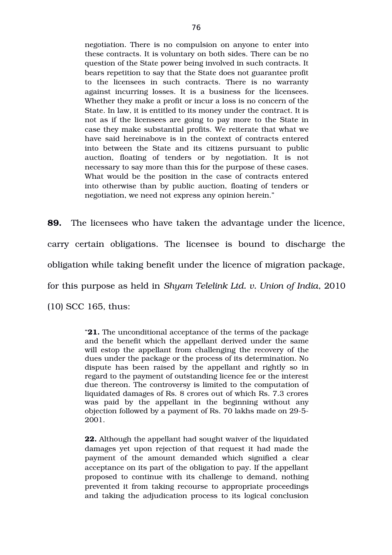negotiation. There is no compulsion on anyone to enter into these contracts. It is voluntary on both sides. There can be no question of the State power being involved in such contracts. It bears repetition to say that the State does not guarantee profit to the licensees in such contracts. There is no warranty against incurring losses. It is a business for the licensees. Whether they make a profit or incur a loss is no concern of the State. In law, it is entitled to its money under the contract. It is not as if the licensees are going to pay more to the State in case they make substantial profits. We reiterate that what we have said hereinabove is in the context of contracts entered into between the State and its citizens pursuant to public auction, floating of tenders or by negotiation. It is not necessary to say more than this for the purpose of these cases. What would be the position in the case of contracts entered into otherwise than by public auction, floating of tenders or negotiation, we need not express any opinion herein."

**89.** The licensees who have taken the advantage under the licence, carry certain obligations. The licensee is bound to discharge the obligation while taking benefit under the licence of migration package, for this purpose as held in *Shyam Telelink Ltd. v. Union of India*, 2010

(10) SCC 165, thus:

"**21.** The unconditional acceptance of the terms of the package and the benefit which the appellant derived under the same will estop the appellant from challenging the recovery of the dues under the package or the process of its determination. No dispute has been raised by the appellant and rightly so in regard to the payment of outstanding licence fee or the interest due thereon. The controversy is limited to the computation of liquidated damages of Rs. 8 crores out of which Rs. 7.3 crores was paid by the appellant in the beginning without any objection followed by a payment of Rs. 70 lakhs made on 29-5-2001.

**22.** Although the appellant had sought waiver of the liquidated damages yet upon rejection of that request it had made the payment of the amount demanded which signified a clear acceptance on its part of the obligation to pay. If the appellant proposed to continue with its challenge to demand, nothing prevented it from taking recourse to appropriate proceedings and taking the adjudication process to its logical conclusion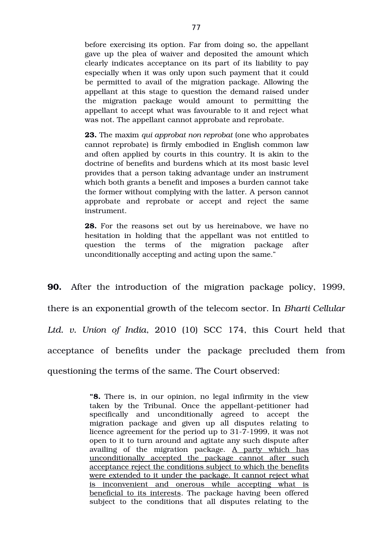before exercising its option. Far from doing so, the appellant gave up the plea of waiver and deposited the amount which clearly indicates acceptance on its part of its liability to pay especially when it was only upon such payment that it could be permitted to avail of the migration package. Allowing the appellant at this stage to question the demand raised under the migration package would amount to permitting the appellant to accept what was favourable to it and reject what was not. The appellant cannot approbate and reprobate.

**23.** The maxim *qui approbat non reprobat* (one who approbates cannot reprobate) is firmly embodied in English common law and often applied by courts in this country. It is akin to the doctrine of benefits and burdens which at its most basic level provides that a person taking advantage under an instrument which both grants a benefit and imposes a burden cannot take the former without complying with the latter. A person cannot approbate and reprobate or accept and reject the same instrument.

**28.** For the reasons set out by us hereinabove, we have no hesitation in holding that the appellant was not entitled to question the terms of the migration package after unconditionally accepting and acting upon the same."

**90.** After the introduction of the migration package policy, 1999, there is an exponential growth of the telecom sector. In *Bharti Cellular* Ltd. v. Union of India, 2010 (10) SCC 174, this Court held that acceptance of benefits under the package precluded them from questioning the terms of the same. The Court observed:

> **"8.** There is, in our opinion, no legal infirmity in the view taken by the Tribunal. Once the appellant-petitioner had specifically and unconditionally agreed to accept the migration package and given up all disputes relating to licence agreement for the period up to 31-7-1999, it was not open to it to turn around and agitate any such dispute after availing of the migration package. A party which has unconditionally accepted the package cannot after such acceptance reject the conditions subject to which the benefits were extended to it under the package. It cannot reject what is inconvenient and onerous while accepting what is beneficial to its interests. The package having been offered subject to the conditions that all disputes relating to the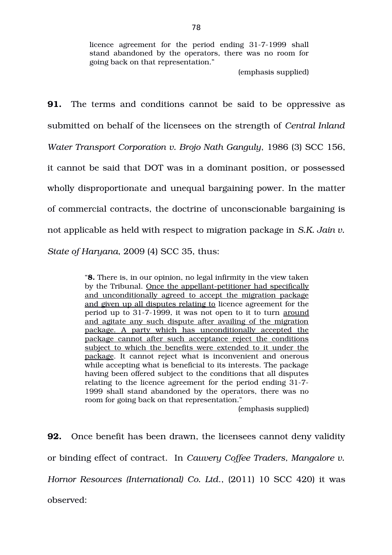licence agreement for the period ending 31-7-1999 shall stand abandoned by the operators, there was no room for going back on that representation."

(emphasis supplied)

**91.** The terms and conditions cannot be said to be oppressive as submitted on behalf of the licensees on the strength of *Central Inland Water Transport Corporation v. Brojo Nath Ganguly*, 1986 (3) SCC 156, it cannot be said that DOT was in a dominant position, or possessed wholly disproportionate and unequal bargaining power. In the matter of commercial contracts, the doctrine of unconscionable bargaining is not applicable as held with respect to migration package in *S.K. Jain v. State of Haryana*, 2009 (4) SCC 35, thus:

> "**8.** There is, in our opinion, no legal infirmity in the view taken by the Tribunal. Once the appellant-petitioner had specifically and unconditionally agreed to accept the migration package and given up all disputes relating to licence agreement for the period up to 31-7-1999, it was not open to it to turn around and agitate any such dispute after availing of the migration package. A party which has unconditionally accepted the package cannot after such acceptance reject the conditions subject to which the benefits were extended to it under the package. It cannot reject what is inconvenient and onerous while accepting what is beneficial to its interests. The package having been offered subject to the conditions that all disputes relating to the licence agreement for the period ending 31-7-1999 shall stand abandoned by the operators, there was no room for going back on that representation."

> > (emphasis supplied)

**92.** Once benefit has been drawn, the licensees cannot deny validity or binding effect of contract. In *Cauvery Coffee Traders, Mangalore v. Hornor Resources (International) Co. Ltd*., (2011) 10 SCC 420) it was observed: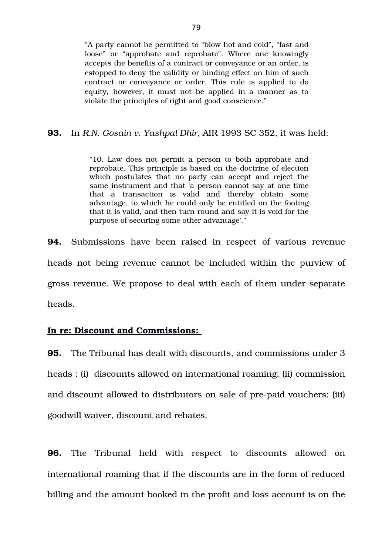"A party cannot be permitted to "blow hot and cold", "fast and loose" or "approbate and reprobate". Where one knowingly accepts the benefits of a contract or conveyance or an order, is estopped to deny the validity or binding effect on him of such contract or conveyance or order. This rule is applied to do equity, however, it must not be applied in a manner as to violate the principles of right and good conscience."

#### **93.** In *R.N. Gosain v. Yashpal Dhir*, AIR 1993 SC 352, it was held:

"10. Law does not permit a person to both approbate and reprobate. This principle is based on the doctrine of election which postulates that no party can accept and reject the same instrument and that 'a person cannot say at one time that a transaction is valid and thereby obtain some advantage, to which he could only be entitled on the footing that it is valid, and then turn round and say it is void for the purpose of securing some other advantage'."

**94.** Submissions have been raised in respect of various revenue heads not being revenue cannot be included within the purview of gross revenue. We propose to deal with each of them under separate heads.

## **In re: Discount and Commissions:**

**95.** The Tribunal has dealt with discounts, and commissions under 3 heads : (i) discounts allowed on international roaming; (ii) commission and discount allowed to distributors on sale of pre-paid vouchers; (iii) goodwill waiver, discount and rebates.

**96.** The Tribunal held with respect to discounts allowed on international roaming that if the discounts are in the form of reduced billing and the amount booked in the profit and loss account is on the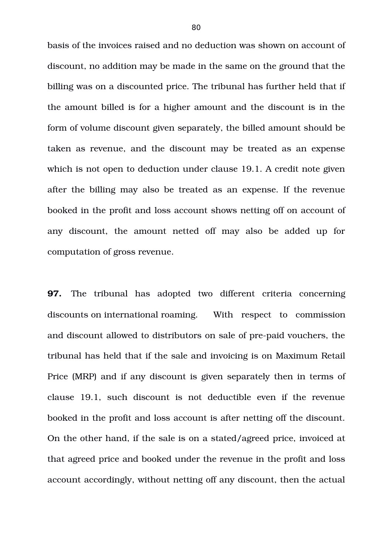basis of the invoices raised and no deduction was shown on account of discount, no addition may be made in the same on the ground that the billing was on a discounted price. The tribunal has further held that if the amount billed is for a higher amount and the discount is in the form of volume discount given separately, the billed amount should be taken as revenue, and the discount may be treated as an expense which is not open to deduction under clause 19.1. A credit note given after the billing may also be treated as an expense. If the revenue booked in the profit and loss account shows netting off on account of any discount, the amount netted off may also be added up for computation of gross revenue.

**97.** The tribunal has adopted two different criteria concerning discounts on international roaming. With respect to commission and discount allowed to distributors on sale of pre-paid vouchers, the tribunal has held that if the sale and invoicing is on Maximum Retail Price (MRP) and if any discount is given separately then in terms of clause 19.1, such discount is not deductible even if the revenue booked in the profit and loss account is after netting off the discount. On the other hand, if the sale is on a stated/agreed price, invoiced at that agreed price and booked under the revenue in the profit and loss account accordingly, without netting off any discount, then the actual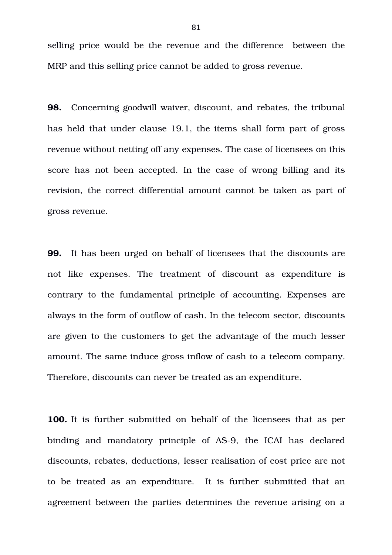selling price would be the revenue and the difference between the MRP and this selling price cannot be added to gross revenue.

**98.** Concerning goodwill waiver, discount, and rebates, the tribunal has held that under clause 19.1, the items shall form part of gross revenue without netting off any expenses. The case of licensees on this score has not been accepted. In the case of wrong billing and its revision, the correct differential amount cannot be taken as part of gross revenue.

**99.** It has been urged on behalf of licensees that the discounts are not like expenses. The treatment of discount as expenditure is contrary to the fundamental principle of accounting. Expenses are always in the form of outflow of cash. In the telecom sector, discounts are given to the customers to get the advantage of the much lesser amount. The same induce gross inflow of cash to a telecom company. Therefore, discounts can never be treated as an expenditure.

**100.** It is further submitted on behalf of the licensees that as per binding and mandatory principle of AS-9, the ICAI has declared discounts, rebates, deductions, lesser realisation of cost price are not to be treated as an expenditure. It is further submitted that an agreement between the parties determines the revenue arising on a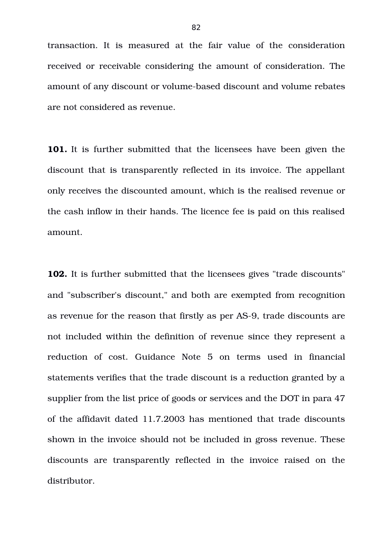transaction. It is measured at the fair value of the consideration received or receivable considering the amount of consideration. The amount of any discount or volume-based discount and volume rebates are not considered as revenue.

**101.** It is further submitted that the licensees have been given the discount that is transparently reflected in its invoice. The appellant only receives the discounted amount, which is the realised revenue or the cash inflow in their hands. The licence fee is paid on this realised amount.

**102.** It is further submitted that the licensees gives "trade discounts" and "subscriber's discount," and both are exempted from recognition as revenue for the reason that firstly as per AS-9, trade discounts are not included within the definition of revenue since they represent a reduction of cost. Guidance Note 5 on terms used in financial statements verifies that the trade discount is a reduction granted by a supplier from the list price of goods or services and the DOT in para 47 of the affidavit dated 11.7.2003 has mentioned that trade discounts shown in the invoice should not be included in gross revenue. These discounts are transparently reflected in the invoice raised on the distributor.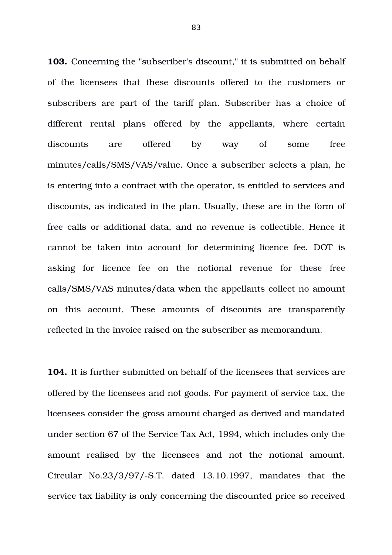**103.** Concerning the "subscriber's discount," it is submitted on behalf of the licensees that these discounts offered to the customers or subscribers are part of the tariff plan. Subscriber has a choice of different rental plans offered by the appellants, where certain discounts are offered by way of some free minutes/calls/SMS/VAS/value. Once a subscriber selects a plan, he is entering into a contract with the operator, is entitled to services and discounts, as indicated in the plan. Usually, these are in the form of free calls or additional data, and no revenue is collectible. Hence it cannot be taken into account for determining licence fee. DOT is asking for licence fee on the notional revenue for these free calls/SMS/VAS minutes/data when the appellants collect no amount on this account. These amounts of discounts are transparently reflected in the invoice raised on the subscriber as memorandum.

**104.** It is further submitted on behalf of the licensees that services are offered by the licensees and not goods. For payment of service tax, the licensees consider the gross amount charged as derived and mandated under section 67 of the Service Tax Act, 1994, which includes only the amount realised by the licensees and not the notional amount. Circular  $No.23/3/97/-S.T.$  dated  $13.10.1997$ , mandates that the service tax liability is only concerning the discounted price so received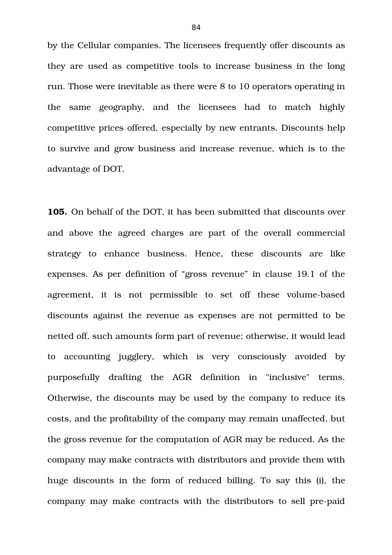by the Cellular companies. The licensees frequently offer discounts as they are used as competitive tools to increase business in the long run. Those were inevitable as there were 8 to 10 operators operating in the same geography, and the licensees had to match highly competitive prices offered, especially by new entrants. Discounts help to survive and grow business and increase revenue, which is to the advantage of DOT.

**105.** On behalf of the DOT, it has been submitted that discounts over and above the agreed charges are part of the overall commercial strategy to enhance business. Hence, these discounts are like expenses. As per definition of "gross revenue" in clause 19.1 of the agreement, it is not permissible to set off these volume-based discounts against the revenue as expenses are not permitted to be netted off, such amounts form part of revenue; otherwise, it would lead to accounting jugglery, which is very consciously avoided by purposefully drafting the AGR definition in "inclusive" terms. Otherwise, the discounts may be used by the company to reduce its costs, and the profitability of the company may remain unaffected, but the gross revenue for the computation of AGR may be reduced. As the company may make contracts with distributors and provide them with huge discounts in the form of reduced billing. To say this (i), the company may make contracts with the distributors to sell pre-paid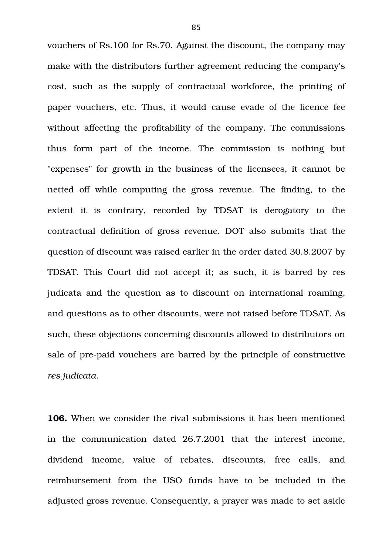vouchers of Rs.100 for Rs.70. Against the discount, the company may make with the distributors further agreement reducing the company's cost, such as the supply of contractual workforce, the printing of paper vouchers, etc. Thus, it would cause evade of the licence fee without affecting the profitability of the company. The commissions thus form part of the income. The commission is nothing but "expenses" for growth in the business of the licensees, it cannot be netted off while computing the gross revenue. The finding, to the extent it is contrary, recorded by TDSAT is derogatory to the contractual definition of gross revenue. DOT also submits that the question of discount was raised earlier in the order dated 30.8.2007 by TDSAT. This Court did not accept it; as such, it is barred by res judicata and the question as to discount on international roaming, and questions as to other discounts, were not raised before TDSAT. As such, these objections concerning discounts allowed to distributors on sale of pre-paid vouchers are barred by the principle of constructive *res judicata*.

**106.** When we consider the rival submissions it has been mentioned in the communication dated 26.7.2001 that the interest income, dividend income, value of rebates, discounts, free calls, and reimbursement from the USO funds have to be included in the adjusted gross revenue. Consequently, a prayer was made to set aside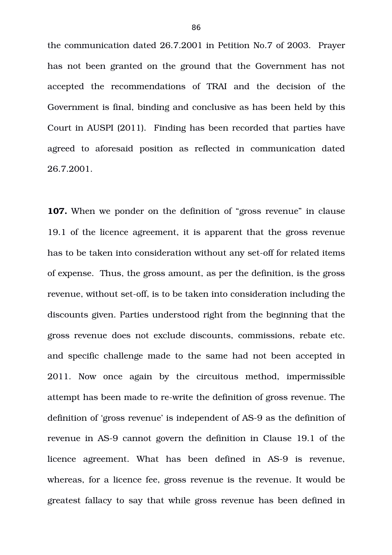the communication dated 26.7.2001 in Petition No.7 of 2003. Prayer has not been granted on the ground that the Government has not accepted the recommendations of TRAI and the decision of the Government is final, binding and conclusive as has been held by this Court in AUSPI (2011). Finding has been recorded that parties have agreed to aforesaid position as reflected in communication dated 26.7.2001.

**107.** When we ponder on the definition of "gross revenue" in clause 19.1 of the licence agreement, it is apparent that the gross revenue has to be taken into consideration without any set-off for related items of expense. Thus, the gross amount, as per the definition, is the gross revenue, without set-off, is to be taken into consideration including the discounts given. Parties understood right from the beginning that the gross revenue does not exclude discounts, commissions, rebate etc. and specific challenge made to the same had not been accepted in 2011. Now once again by the circuitous method, impermissible attempt has been made to re-write the definition of gross revenue. The definition of 'gross revenue' is independent of AS-9 as the definition of revenue in AS-9 cannot govern the definition in Clause 19.1 of the licence agreement. What has been defined in AS-9 is revenue, whereas, for a licence fee, gross revenue is the revenue. It would be greatest fallacy to say that while gross revenue has been defined in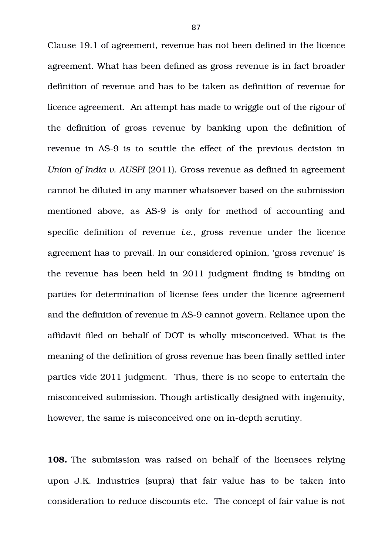Clause 19.1 of agreement, revenue has not been defined in the licence agreement. What has been defined as gross revenue is in fact broader definition of revenue and has to be taken as definition of revenue for licence agreement. An attempt has made to wriggle out of the rigour of the definition of gross revenue by banking upon the definition of revenue in AS-9 is to scuttle the effect of the previous decision in *Union of India v. AUSPI* (2011). Gross revenue as defined in agreement cannot be diluted in any manner whatsoever based on the submission mentioned above, as AS-9 is only for method of accounting and specific definition of revenue *i.e.*, gross revenue under the licence agreement has to prevail. In our considered opinion, 'gross revenue' is the revenue has been held in 2011 judgment finding is binding on parties for determination of license fees under the licence agreement and the definition of revenue in AS-9 cannot govern. Reliance upon the affidavit filed on behalf of DOT is wholly misconceived. What is the meaning of the definition of gross revenue has been finally settled inter parties vide 2011 judgment. Thus, there is no scope to entertain the misconceived submission. Though artistically designed with ingenuity, however, the same is misconceived one on in-depth scrutiny.

**108.** The submission was raised on behalf of the licensees relying upon J.K. Industries (supra) that fair value has to be taken into consideration to reduce discounts etc. The concept of fair value is not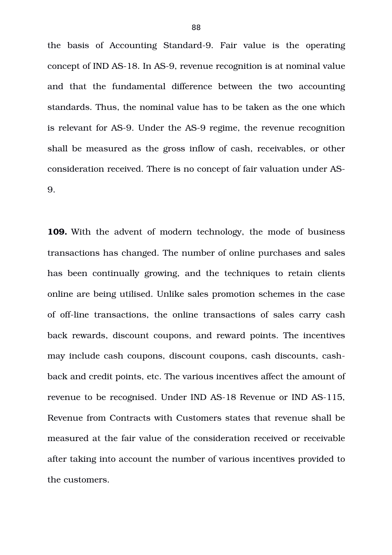the basis of Accounting Standard-9. Fair value is the operating concept of IND AS-18. In AS-9, revenue recognition is at nominal value and that the fundamental difference between the two accounting standards. Thus, the nominal value has to be taken as the one which is relevant for AS-9. Under the AS-9 regime, the revenue recognition shall be measured as the gross inflow of cash, receivables, or other consideration received. There is no concept of fair valuation under AS-9.

**109.** With the advent of modern technology, the mode of business transactions has changed. The number of online purchases and sales has been continually growing, and the techniques to retain clients online are being utilised. Unlike sales promotion schemes in the case of off-line transactions, the online transactions of sales carry cash back rewards, discount coupons, and reward points. The incentives may include cash coupons, discount coupons, cash discounts, cashback and credit points, etc. The various incentives affect the amount of revenue to be recognised. Under IND AS-18 Revenue or IND AS-115, Revenue from Contracts with Customers states that revenue shall be measured at the fair value of the consideration received or receivable after taking into account the number of various incentives provided to the customers.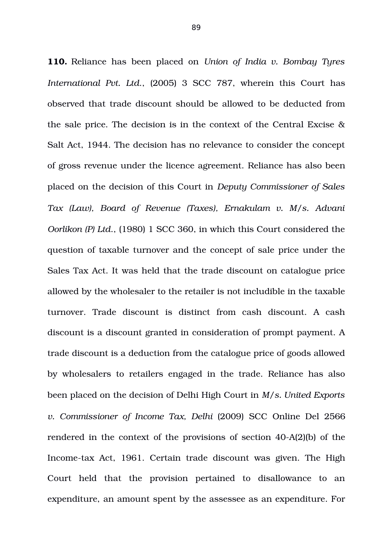**110.** Reliance has been placed on *Union of India v. Bombay Tyres International Pvt. Ltd*., (2005) 3 SCC 787, wherein this Court has observed that trade discount should be allowed to be deducted from the sale price. The decision is in the context of the Central Excise & Salt Act, 1944. The decision has no relevance to consider the concept of gross revenue under the licence agreement. Reliance has also been placed on the decision of this Court in *Deputy Commissioner of Sales Tax (Law), Board of Revenue (Taxes), Ernakulam v. M/s. Advani Oorlikon (P) Ltd*., (1980) 1 SCC 360, in which this Court considered the question of taxable turnover and the concept of sale price under the Sales Tax Act. It was held that the trade discount on catalogue price allowed by the wholesaler to the retailer is not includible in the taxable turnover. Trade discount is distinct from cash discount. A cash discount is a discount granted in consideration of prompt payment. A trade discount is a deduction from the catalogue price of goods allowed by wholesalers to retailers engaged in the trade. Reliance has also been placed on the decision of Delhi High Court in *M/s. United Exports v. Commissioner of Income Tax, Delhi* (2009) SCC Online Del 2566 rendered in the context of the provisions of section  $40-A(2)(b)$  of the Income-tax Act, 1961. Certain trade discount was given. The High Court held that the provision pertained to disallowance to an expenditure, an amount spent by the assessee as an expenditure. For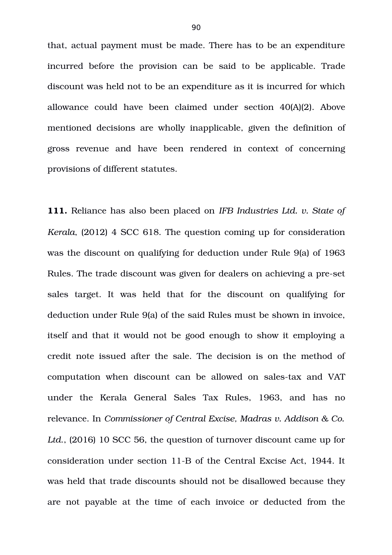that, actual payment must be made. There has to be an expenditure incurred before the provision can be said to be applicable. Trade discount was held not to be an expenditure as it is incurred for which allowance could have been claimed under section 40(A)(2). Above mentioned decisions are wholly inapplicable, given the definition of gross revenue and have been rendered in context of concerning provisions of different statutes.

**111.** Reliance has also been placed on *IFB Industries Ltd. v. State of Kerala*, (2012) 4 SCC 618. The question coming up for consideration was the discount on qualifying for deduction under Rule 9(a) of 1963 Rules. The trade discount was given for dealers on achieving a pre-set sales target. It was held that for the discount on qualifying for deduction under Rule 9(a) of the said Rules must be shown in invoice, itself and that it would not be good enough to show it employing a credit note issued after the sale. The decision is on the method of computation when discount can be allowed on sales-tax and VAT under the Kerala General Sales Tax Rules, 1963, and has no relevance. In *Commissioner of Central Excise, Madras v. Addison & Co. Ltd*., (2016) 10 SCC 56, the question of turnover discount came up for consideration under section 11-B of the Central Excise Act, 1944. It was held that trade discounts should not be disallowed because they are not payable at the time of each invoice or deducted from the

90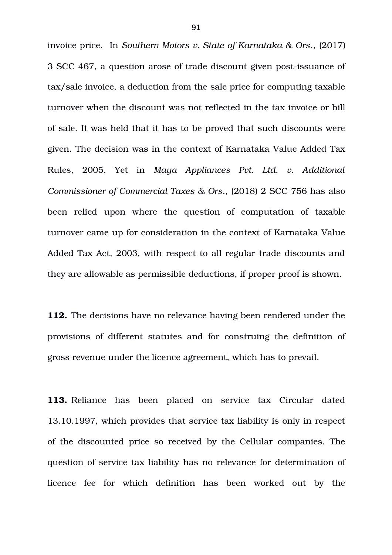invoice price. In *Southern Motors v. State of Karnataka & Ors*., (2017) 3 SCC 467, a question arose of trade discount given post-issuance of tax/sale invoice, a deduction from the sale price for computing taxable turnover when the discount was not reflected in the tax invoice or bill of sale. It was held that it has to be proved that such discounts were given. The decision was in the context of Karnataka Value Added Tax Rules, 2005. Yet in *Maya Appliances Pvt. Ltd. v. Additional Commissioner of Commercial Taxes & Ors*., (2018) 2 SCC 756 has also been relied upon where the question of computation of taxable turnover came up for consideration in the context of Karnataka Value Added Tax Act, 2003, with respect to all regular trade discounts and they are allowable as permissible deductions, if proper proof is shown.

**112.** The decisions have no relevance having been rendered under the provisions of different statutes and for construing the definition of gross revenue under the licence agreement, which has to prevail.

**113.** Reliance has been placed on service tax Circular dated 13.10.1997, which provides that service tax liability is only in respect of the discounted price so received by the Cellular companies. The question of service tax liability has no relevance for determination of licence fee for which definition has been worked out by the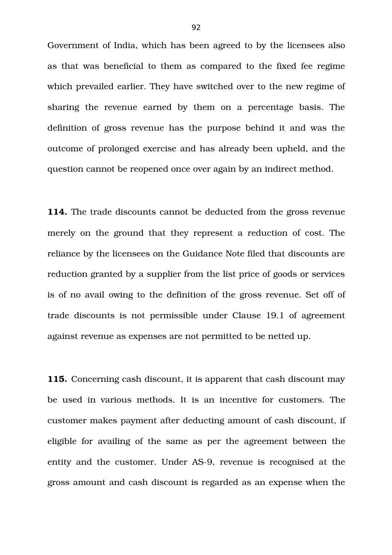Government of India, which has been agreed to by the licensees also as that was beneficial to them as compared to the fixed fee regime which prevailed earlier. They have switched over to the new regime of sharing the revenue earned by them on a percentage basis. The definition of gross revenue has the purpose behind it and was the outcome of prolonged exercise and has already been upheld, and the question cannot be reopened once over again by an indirect method.

**114.** The trade discounts cannot be deducted from the gross revenue merely on the ground that they represent a reduction of cost. The reliance by the licensees on the Guidance Note filed that discounts are reduction granted by a supplier from the list price of goods or services is of no avail owing to the definition of the gross revenue. Set off of trade discounts is not permissible under Clause 19.1 of agreement against revenue as expenses are not permitted to be netted up.

**115.** Concerning cash discount, it is apparent that cash discount may be used in various methods. It is an incentive for customers. The customer makes payment after deducting amount of cash discount, if eligible for availing of the same as per the agreement between the entity and the customer. Under AS-9, revenue is recognised at the gross amount and cash discount is regarded as an expense when the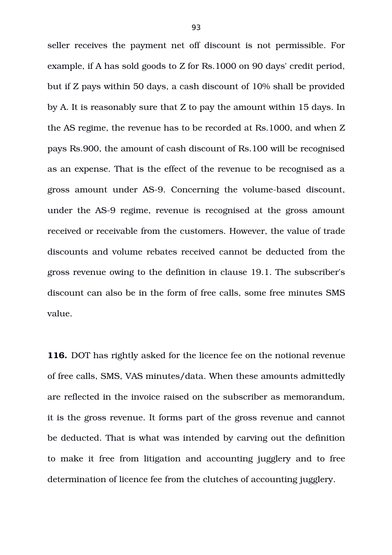seller receives the payment net off discount is not permissible. For example, if A has sold goods to Z for Rs.1000 on 90 days' credit period, but if Z pays within 50 days, a cash discount of 10% shall be provided by A. It is reasonably sure that Z to pay the amount within 15 days. In the AS regime, the revenue has to be recorded at Rs.1000, and when Z pays Rs.900, the amount of cash discount of Rs.100 will be recognised as an expense. That is the effect of the revenue to be recognised as a gross amount under AS-9. Concerning the volume-based discount, under the AS-9 regime, revenue is recognised at the gross amount received or receivable from the customers. However, the value of trade discounts and volume rebates received cannot be deducted from the gross revenue owing to the definition in clause 19.1. The subscriber's discount can also be in the form of free calls, some free minutes SMS value.

**116.** DOT has rightly asked for the licence fee on the notional revenue of free calls, SMS, VAS minutes/data. When these amounts admittedly are reflected in the invoice raised on the subscriber as memorandum, it is the gross revenue. It forms part of the gross revenue and cannot be deducted. That is what was intended by carving out the definition to make it free from litigation and accounting jugglery and to free determination of licence fee from the clutches of accounting jugglery.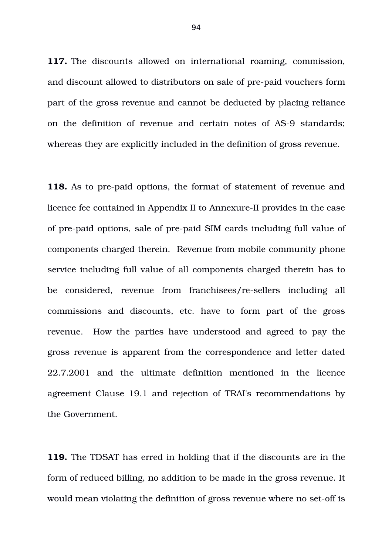117. The discounts allowed on international roaming, commission, and discount allowed to distributors on sale of pre-paid vouchers form part of the gross revenue and cannot be deducted by placing reliance on the definition of revenue and certain notes of AS-9 standards; whereas they are explicitly included in the definition of gross revenue.

**118.** As to pre-paid options, the format of statement of revenue and licence fee contained in Appendix II to Annexure-II provides in the case of pre-paid options, sale of pre-paid SIM cards including full value of components charged therein. Revenue from mobile community phone service including full value of all components charged therein has to be considered, revenue from franchisees/re-sellers including all commissions and discounts, etc. have to form part of the gross revenue. How the parties have understood and agreed to pay the gross revenue is apparent from the correspondence and letter dated 22.7.2001 and the ultimate definition mentioned in the licence agreement Clause 19.1 and rejection of TRAI's recommendations by the Government.

**119.** The TDSAT has erred in holding that if the discounts are in the form of reduced billing, no addition to be made in the gross revenue. It would mean violating the definition of gross revenue where no set-off is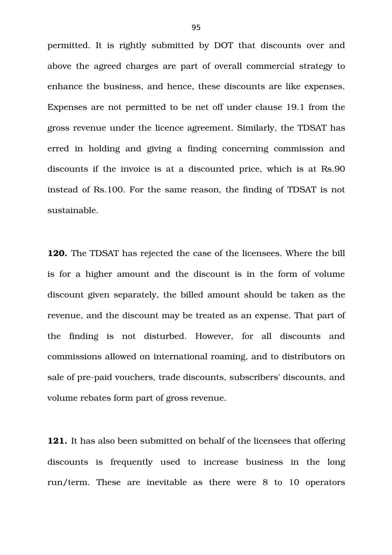permitted. It is rightly submitted by DOT that discounts over and above the agreed charges are part of overall commercial strategy to enhance the business, and hence, these discounts are like expenses. Expenses are not permitted to be net off under clause 19.1 from the gross revenue under the licence agreement. Similarly, the TDSAT has erred in holding and giving a finding concerning commission and discounts if the invoice is at a discounted price, which is at Rs.90 instead of Rs.100. For the same reason, the finding of TDSAT is not sustainable.

**120.** The TDSAT has rejected the case of the licensees. Where the bill is for a higher amount and the discount is in the form of volume discount given separately, the billed amount should be taken as the revenue, and the discount may be treated as an expense. That part of the finding is not disturbed. However, for all discounts and commissions allowed on international roaming, and to distributors on sale of pre-paid vouchers, trade discounts, subscribers' discounts, and volume rebates form part of gross revenue.

**121.** It has also been submitted on behalf of the licensees that offering discounts is frequently used to increase business in the long run/term. These are inevitable as there were  $8$  to  $10$  operators

95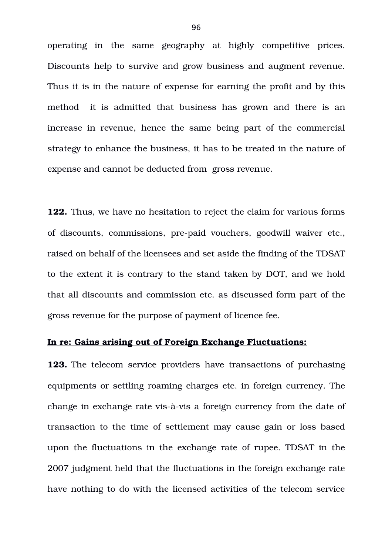operating in the same geography at highly competitive prices. Discounts help to survive and grow business and augment revenue. Thus it is in the nature of expense for earning the profit and by this method it is admitted that business has grown and there is an increase in revenue, hence the same being part of the commercial strategy to enhance the business, it has to be treated in the nature of expense and cannot be deducted from gross revenue.

**122.** Thus, we have no hesitation to reject the claim for various forms of discounts, commissions, pre-paid vouchers, goodwill waiver etc., raised on behalf of the licensees and set aside the finding of the TDSAT to the extent it is contrary to the stand taken by DOT, and we hold that all discounts and commission etc. as discussed form part of the gross revenue for the purpose of payment of licence fee.

# **In re: Gains arising out of Foreign Exchange Fluctuations:**

**123.** The telecom service providers have transactions of purchasing equipments or settling roaming charges etc. in foreign currency. The change in exchange rate vis-à-vis a foreign currency from the date of transaction to the time of settlement may cause gain or loss based upon the fluctuations in the exchange rate of rupee. TDSAT in the 2007 judgment held that the fluctuations in the foreign exchange rate have nothing to do with the licensed activities of the telecom service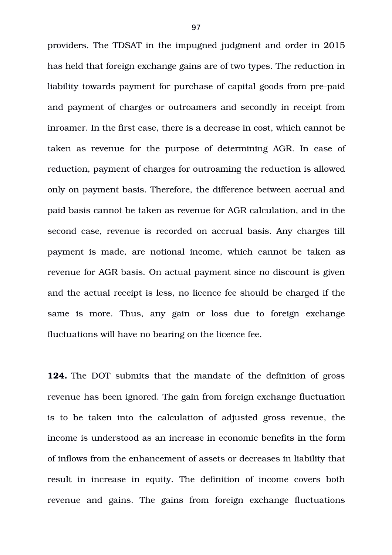providers. The TDSAT in the impugned judgment and order in 2015 has held that foreign exchange gains are of two types. The reduction in liability towards payment for purchase of capital goods from pre-paid and payment of charges or outroamers and secondly in receipt from inroamer. In the first case, there is a decrease in cost, which cannot be taken as revenue for the purpose of determining AGR. In case of reduction, payment of charges for outroaming the reduction is allowed only on payment basis. Therefore, the difference between accrual and paid basis cannot be taken as revenue for AGR calculation, and in the second case, revenue is recorded on accrual basis. Any charges till payment is made, are notional income, which cannot be taken as revenue for AGR basis. On actual payment since no discount is given and the actual receipt is less, no licence fee should be charged if the same is more. Thus, any gain or loss due to foreign exchange fluctuations will have no bearing on the licence fee.

**124.** The DOT submits that the mandate of the definition of gross revenue has been ignored. The gain from foreign exchange fluctuation is to be taken into the calculation of adjusted gross revenue, the income is understood as an increase in economic benefits in the form of inflows from the enhancement of assets or decreases in liability that result in increase in equity. The definition of income covers both revenue and gains. The gains from foreign exchange fluctuations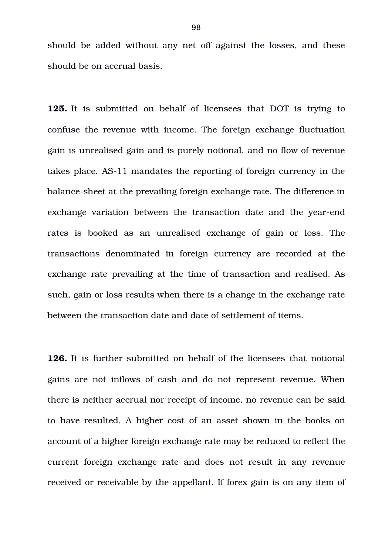should be added without any net off against the losses, and these should be on accrual basis.

**125.** It is submitted on behalf of licensees that DOT is trying to confuse the revenue with income. The foreign exchange fluctuation gain is unrealised gain and is purely notional, and no flow of revenue takes place. AS-11 mandates the reporting of foreign currency in the balance-sheet at the prevailing foreign exchange rate. The difference in exchange variation between the transaction date and the year-end rates is booked as an unrealised exchange of gain or loss. The transactions denominated in foreign currency are recorded at the exchange rate prevailing at the time of transaction and realised. As such, gain or loss results when there is a change in the exchange rate between the transaction date and date of settlement of items.

**126.** It is further submitted on behalf of the licensees that notional gains are not inflows of cash and do not represent revenue. When there is neither accrual nor receipt of income, no revenue can be said to have resulted. A higher cost of an asset shown in the books on account of a higher foreign exchange rate may be reduced to reflect the current foreign exchange rate and does not result in any revenue received or receivable by the appellant. If forex gain is on any item of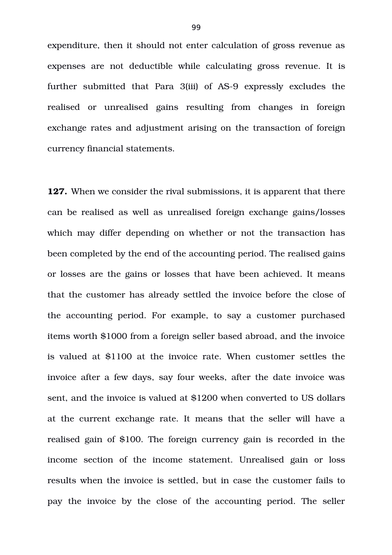expenditure, then it should not enter calculation of gross revenue as expenses are not deductible while calculating gross revenue. It is further submitted that Para 3(iii) of AS-9 expressly excludes the realised or unrealised gains resulting from changes in foreign exchange rates and adjustment arising on the transaction of foreign currency financial statements.

**127.** When we consider the rival submissions, it is apparent that there can be realised as well as unrealised foreign exchange gains/losses which may differ depending on whether or not the transaction has been completed by the end of the accounting period. The realised gains or losses are the gains or losses that have been achieved. It means that the customer has already settled the invoice before the close of the accounting period. For example, to say a customer purchased items worth \$1000 from a foreign seller based abroad, and the invoice is valued at \$1100 at the invoice rate. When customer settles the invoice after a few days, say four weeks, after the date invoice was sent, and the invoice is valued at \$1200 when converted to US dollars at the current exchange rate. It means that the seller will have a realised gain of \$100. The foreign currency gain is recorded in the income section of the income statement. Unrealised gain or loss results when the invoice is settled, but in case the customer fails to pay the invoice by the close of the accounting period. The seller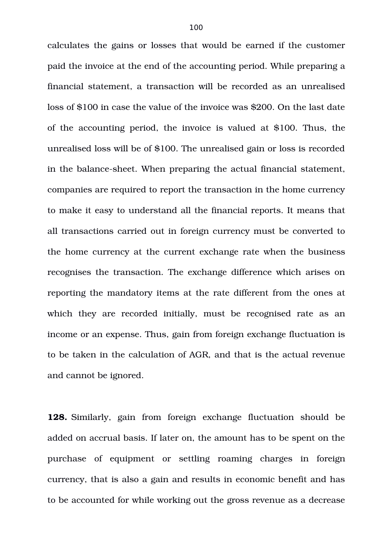calculates the gains or losses that would be earned if the customer paid the invoice at the end of the accounting period. While preparing a financial statement, a transaction will be recorded as an unrealised loss of \$100 in case the value of the invoice was \$200. On the last date of the accounting period, the invoice is valued at \$100. Thus, the unrealised loss will be of \$100. The unrealised gain or loss is recorded in the balance-sheet. When preparing the actual financial statement, companies are required to report the transaction in the home currency to make it easy to understand all the financial reports. It means that all transactions carried out in foreign currency must be converted to the home currency at the current exchange rate when the business recognises the transaction. The exchange difference which arises on reporting the mandatory items at the rate different from the ones at which they are recorded initially, must be recognised rate as an income or an expense. Thus, gain from foreign exchange fluctuation is to be taken in the calculation of AGR, and that is the actual revenue and cannot be ignored.

**128.** Similarly, gain from foreign exchange fluctuation should be added on accrual basis. If later on, the amount has to be spent on the purchase of equipment or settling roaming charges in foreign currency, that is also a gain and results in economic benefit and has to be accounted for while working out the gross revenue as a decrease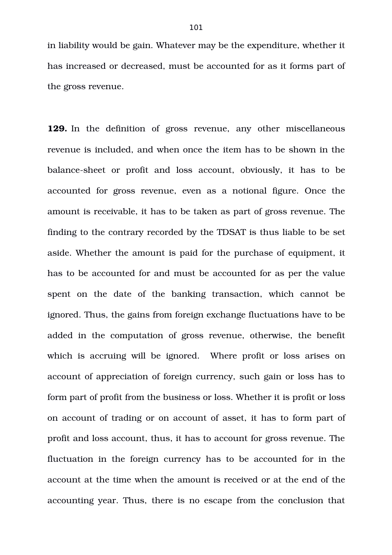in liability would be gain. Whatever may be the expenditure, whether it has increased or decreased, must be accounted for as it forms part of the gross revenue.

**129.** In the definition of gross revenue, any other miscellaneous revenue is included, and when once the item has to be shown in the balance-sheet or profit and loss account, obviously, it has to be accounted for gross revenue, even as a notional figure. Once the amount is receivable, it has to be taken as part of gross revenue. The finding to the contrary recorded by the TDSAT is thus liable to be set aside. Whether the amount is paid for the purchase of equipment, it has to be accounted for and must be accounted for as per the value spent on the date of the banking transaction, which cannot be ignored. Thus, the gains from foreign exchange fluctuations have to be added in the computation of gross revenue, otherwise, the benefit which is accruing will be ignored. Where profit or loss arises on account of appreciation of foreign currency, such gain or loss has to form part of profit from the business or loss. Whether it is profit or loss on account of trading or on account of asset, it has to form part of profit and loss account, thus, it has to account for gross revenue. The fluctuation in the foreign currency has to be accounted for in the account at the time when the amount is received or at the end of the accounting year. Thus, there is no escape from the conclusion that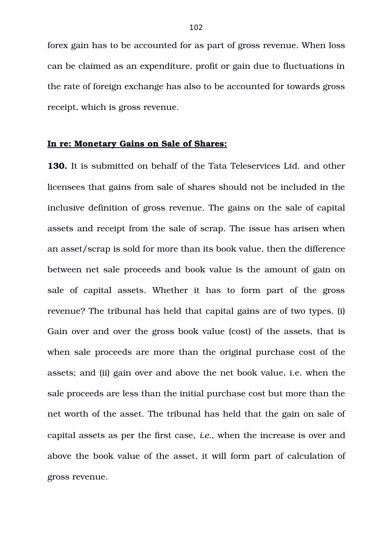forex gain has to be accounted for as part of gross revenue. When loss can be claimed as an expenditure, profit or gain due to fluctuations in the rate of foreign exchange has also to be accounted for towards gross receipt, which is gross revenue.

### **In re: Monetary Gains on Sale of Shares:**

**130.** It is submitted on behalf of the Tata Teleservices Ltd. and other licensees that gains from sale of shares should not be included in the inclusive definition of gross revenue. The gains on the sale of capital assets and receipt from the sale of scrap. The issue has arisen when an asset/scrap is sold for more than its book value, then the difference between net sale proceeds and book value is the amount of gain on sale of capital assets. Whether it has to form part of the gross revenue? The tribunal has held that capital gains are of two types. (i) Gain over and over the gross book value (cost) of the assets, that is when sale proceeds are more than the original purchase cost of the assets; and (ii) gain over and above the net book value, i.e. when the sale proceeds are less than the initial purchase cost but more than the net worth of the asset. The tribunal has held that the gain on sale of capital assets as per the first case, *i.e.*, when the increase is over and above the book value of the asset, it will form part of calculation of gross revenue.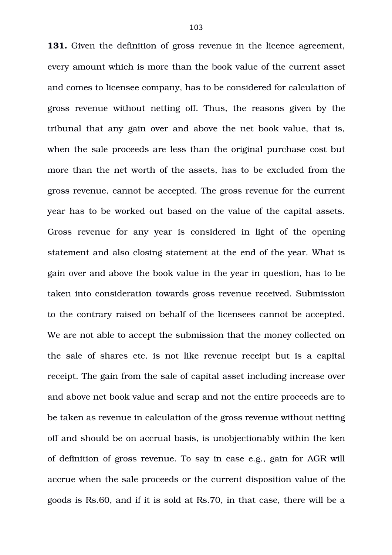**131.** Given the definition of gross revenue in the licence agreement, every amount which is more than the book value of the current asset and comes to licensee company, has to be considered for calculation of gross revenue without netting off. Thus, the reasons given by the tribunal that any gain over and above the net book value, that is, when the sale proceeds are less than the original purchase cost but more than the net worth of the assets, has to be excluded from the gross revenue, cannot be accepted. The gross revenue for the current year has to be worked out based on the value of the capital assets. Gross revenue for any year is considered in light of the opening statement and also closing statement at the end of the year. What is gain over and above the book value in the year in question, has to be taken into consideration towards gross revenue received. Submission to the contrary raised on behalf of the licensees cannot be accepted. We are not able to accept the submission that the money collected on the sale of shares etc. is not like revenue receipt but is a capital receipt. The gain from the sale of capital asset including increase over and above net book value and scrap and not the entire proceeds are to be taken as revenue in calculation of the gross revenue without netting off and should be on accrual basis, is unobjectionably within the ken of definition of gross revenue. To say in case e.g., gain for AGR will accrue when the sale proceeds or the current disposition value of the goods is Rs.60, and if it is sold at Rs.70, in that case, there will be a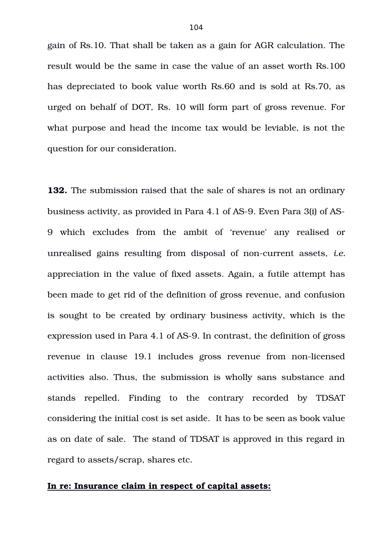gain of Rs.10. That shall be taken as a gain for AGR calculation. The result would be the same in case the value of an asset worth Rs.100 has depreciated to book value worth Rs.60 and is sold at Rs.70, as urged on behalf of DOT, Rs. 10 will form part of gross revenue. For what purpose and head the income tax would be leviable, is not the question for our consideration.

**132.** The submission raised that the sale of shares is not an ordinary business activity, as provided in Para 4.1 of AS-9. Even Para 3(i) of AS-9 which excludes from the ambit of 'revenue' any realised or unrealised gains resulting from disposal of non-current assets, *i.e.* appreciation in the value of fixed assets. Again, a futile attempt has been made to get rid of the definition of gross revenue, and confusion is sought to be created by ordinary business activity, which is the expression used in Para 4.1 of AS-9. In contrast, the definition of gross revenue in clause 19.1 includes gross revenue from non-licensed activities also. Thus, the submission is wholly sans substance and stands repelled. Finding to the contrary recorded by TDSAT considering the initial cost is set aside. It has to be seen as book value as on date of sale. The stand of TDSAT is approved in this regard in regard to assets/scrap, shares etc.

### **In re: Insurance claim in respect of capital assets:**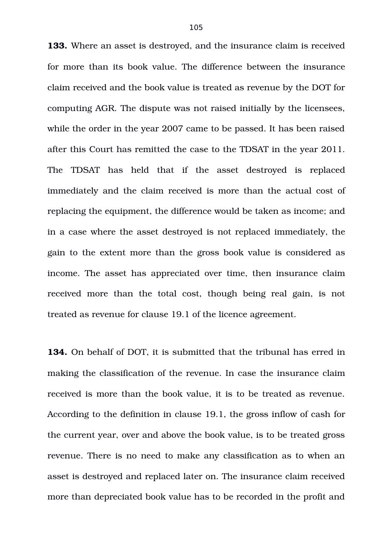**133.** Where an asset is destroyed, and the insurance claim is received for more than its book value. The difference between the insurance claim received and the book value is treated as revenue by the DOT for computing AGR. The dispute was not raised initially by the licensees, while the order in the year 2007 came to be passed. It has been raised after this Court has remitted the case to the TDSAT in the year 2011. The TDSAT has held that if the asset destroyed is replaced immediately and the claim received is more than the actual cost of replacing the equipment, the difference would be taken as income; and in a case where the asset destroyed is not replaced immediately, the gain to the extent more than the gross book value is considered as income. The asset has appreciated over time, then insurance claim received more than the total cost, though being real gain, is not treated as revenue for clause 19.1 of the licence agreement.

**134.** On behalf of DOT, it is submitted that the tribunal has erred in making the classification of the revenue. In case the insurance claim received is more than the book value, it is to be treated as revenue. According to the definition in clause 19.1, the gross inflow of cash for the current year, over and above the book value, is to be treated gross revenue. There is no need to make any classification as to when an asset is destroyed and replaced later on. The insurance claim received more than depreciated book value has to be recorded in the profit and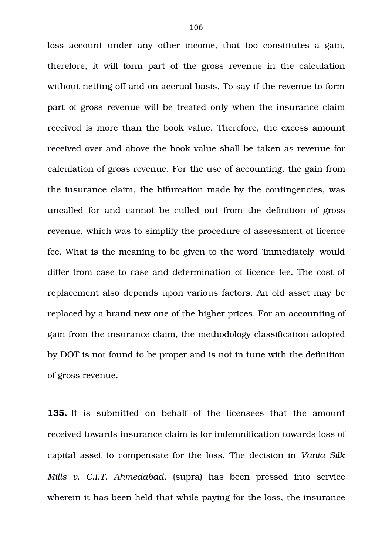loss account under any other income, that too constitutes a gain, therefore, it will form part of the gross revenue in the calculation without netting off and on accrual basis. To say if the revenue to form part of gross revenue will be treated only when the insurance claim received is more than the book value. Therefore, the excess amount received over and above the book value shall be taken as revenue for calculation of gross revenue. For the use of accounting, the gain from the insurance claim, the bifurcation made by the contingencies, was uncalled for and cannot be culled out from the definition of gross revenue, which was to simplify the procedure of assessment of licence fee. What is the meaning to be given to the word 'immediately' would differ from case to case and determination of licence fee. The cost of replacement also depends upon various factors. An old asset may be replaced by a brand new one of the higher prices. For an accounting of gain from the insurance claim, the methodology classification adopted by DOT is not found to be proper and is not in tune with the definition of gross revenue.

**135.** It is submitted on behalf of the licensees that the amount received towards insurance claim is for indemnification towards loss of capital asset to compensate for the loss. The decision in *Vania Silk Mills v. C.I.T. Ahmedabad*, (supra) has been pressed into service wherein it has been held that while paying for the loss, the insurance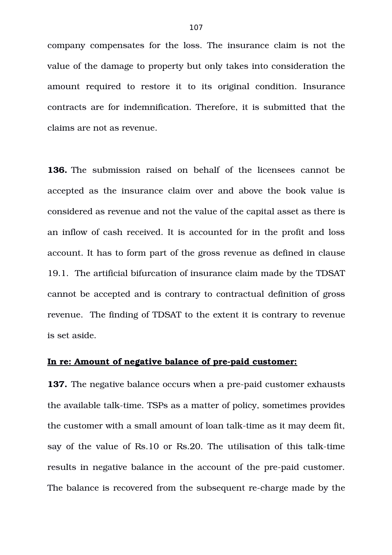company compensates for the loss. The insurance claim is not the value of the damage to property but only takes into consideration the amount required to restore it to its original condition. Insurance contracts are for indemnification. Therefore, it is submitted that the claims are not as revenue.

**136.** The submission raised on behalf of the licensees cannot be accepted as the insurance claim over and above the book value is considered as revenue and not the value of the capital asset as there is an inflow of cash received. It is accounted for in the profit and loss account. It has to form part of the gross revenue as defined in clause 19.1. The artificial bifurcation of insurance claim made by the TDSAT cannot be accepted and is contrary to contractual definition of gross revenue. The finding of TDSAT to the extent it is contrary to revenue is set aside.

#### In re: Amount of negative balance of pre-paid customer:

**137.** The negative balance occurs when a pre-paid customer exhausts the available talk-time. TSPs as a matter of policy, sometimes provides the customer with a small amount of loan talk-time as it may deem fit, say of the value of Rs.10 or Rs.20. The utilisation of this talk-time results in negative balance in the account of the pre-paid customer. The balance is recovered from the subsequent re-charge made by the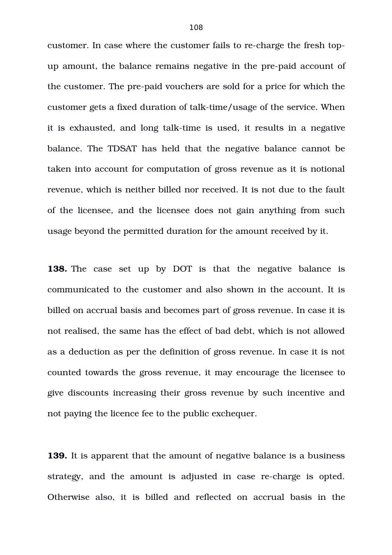customer. In case where the customer fails to re-charge the fresh topup amount, the balance remains negative in the pre-paid account of the customer. The pre-paid vouchers are sold for a price for which the customer gets a fixed duration of talk-time/usage of the service. When it is exhausted, and long talk-time is used, it results in a negative balance. The TDSAT has held that the negative balance cannot be taken into account for computation of gross revenue as it is notional revenue, which is neither billed nor received. It is not due to the fault of the licensee, and the licensee does not gain anything from such usage beyond the permitted duration for the amount received by it.

**138.** The case set up by DOT is that the negative balance is communicated to the customer and also shown in the account. It is billed on accrual basis and becomes part of gross revenue. In case it is not realised, the same has the effect of bad debt, which is not allowed as a deduction as per the definition of gross revenue. In case it is not counted towards the gross revenue, it may encourage the licensee to give discounts increasing their gross revenue by such incentive and not paying the licence fee to the public exchequer.

**139.** It is apparent that the amount of negative balance is a business strategy, and the amount is adjusted in case re-charge is opted. Otherwise also, it is billed and reflected on accrual basis in the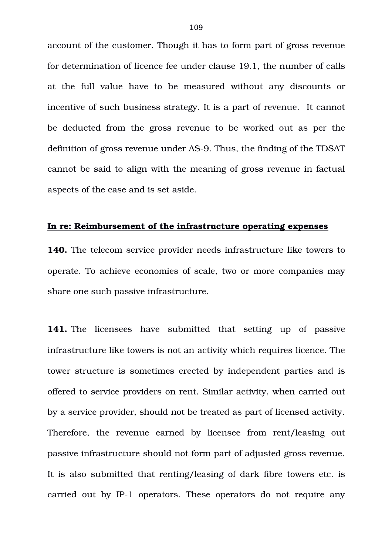account of the customer. Though it has to form part of gross revenue for determination of licence fee under clause 19.1, the number of calls at the full value have to be measured without any discounts or incentive of such business strategy. It is a part of revenue. It cannot be deducted from the gross revenue to be worked out as per the definition of gross revenue under AS-9. Thus, the finding of the TDSAT cannot be said to align with the meaning of gross revenue in factual aspects of the case and is set aside.

#### **In re: Reimbursement of the infrastructure operating expenses**

**140.** The telecom service provider needs infrastructure like towers to operate. To achieve economies of scale, two or more companies may share one such passive infrastructure.

**141.** The licensees have submitted that setting up of passive infrastructure like towers is not an activity which requires licence. The tower structure is sometimes erected by independent parties and is offered to service providers on rent. Similar activity, when carried out by a service provider, should not be treated as part of licensed activity. Therefore, the revenue earned by licensee from rent/leasing out passive infrastructure should not form part of adjusted gross revenue. It is also submitted that renting/leasing of dark fibre towers etc. is carried out by IP-1 operators. These operators do not require any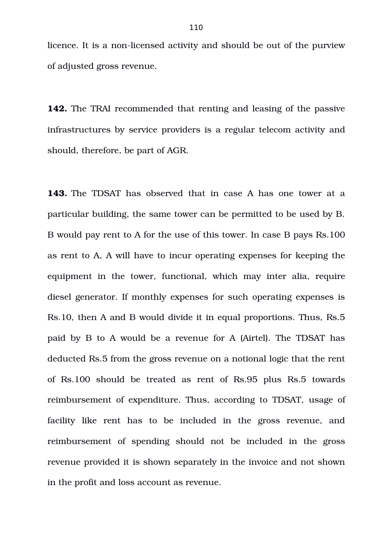licence. It is a non-licensed activity and should be out of the purview of adjusted gross revenue.

**142.** The TRAI recommended that renting and leasing of the passive infrastructures by service providers is a regular telecom activity and should, therefore, be part of AGR.

**143.** The TDSAT has observed that in case A has one tower at a particular building, the same tower can be permitted to be used by B. B would pay rent to A for the use of this tower. In case B pays Rs.100 as rent to A, A will have to incur operating expenses for keeping the equipment in the tower, functional, which may inter alia, require diesel generator. If monthly expenses for such operating expenses is Rs.10, then A and B would divide it in equal proportions. Thus, Rs.5 paid by B to A would be a revenue for A (Airtel). The TDSAT has deducted Rs.5 from the gross revenue on a notional logic that the rent of Rs.100 should be treated as rent of Rs.95 plus Rs.5 towards reimbursement of expenditure. Thus, according to TDSAT, usage of facility like rent has to be included in the gross revenue, and reimbursement of spending should not be included in the gross revenue provided it is shown separately in the invoice and not shown in the profit and loss account as revenue.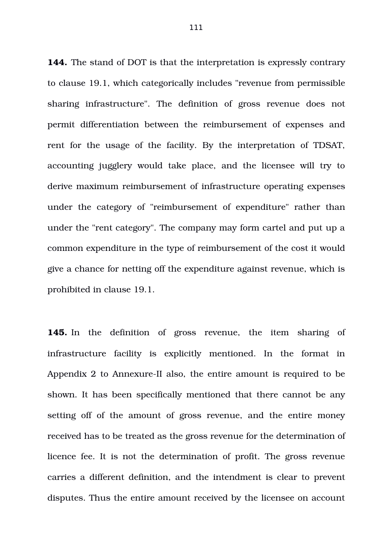**144.** The stand of DOT is that the interpretation is expressly contrary to clause 19.1, which categorically includes "revenue from permissible sharing infrastructure". The definition of gross revenue does not permit differentiation between the reimbursement of expenses and rent for the usage of the facility. By the interpretation of TDSAT, accounting jugglery would take place, and the licensee will try to derive maximum reimbursement of infrastructure operating expenses under the category of "reimbursement of expenditure" rather than under the "rent category". The company may form cartel and put up a common expenditure in the type of reimbursement of the cost it would give a chance for netting off the expenditure against revenue, which is prohibited in clause 19.1.

**145.** In the definition of gross revenue, the item sharing of infrastructure facility is explicitly mentioned. In the format in Appendix 2 to Annexure-II also, the entire amount is required to be shown. It has been specifically mentioned that there cannot be any setting off of the amount of gross revenue, and the entire money received has to be treated as the gross revenue for the determination of licence fee. It is not the determination of profit. The gross revenue carries a different definition, and the intendment is clear to prevent disputes. Thus the entire amount received by the licensee on account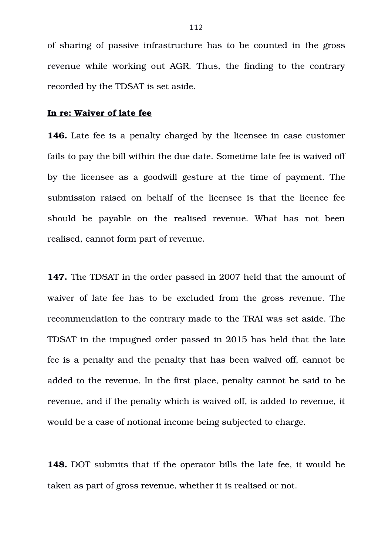of sharing of passive infrastructure has to be counted in the gross revenue while working out AGR. Thus, the finding to the contrary recorded by the TDSAT is set aside.

## **In re: Waiver of late fee**

**146.** Late fee is a penalty charged by the licensee in case customer fails to pay the bill within the due date. Sometime late fee is waived off by the licensee as a goodwill gesture at the time of payment. The submission raised on behalf of the licensee is that the licence fee should be payable on the realised revenue. What has not been realised, cannot form part of revenue.

**147.** The TDSAT in the order passed in 2007 held that the amount of waiver of late fee has to be excluded from the gross revenue. The recommendation to the contrary made to the TRAI was set aside. The TDSAT in the impugned order passed in 2015 has held that the late fee is a penalty and the penalty that has been waived off, cannot be added to the revenue. In the first place, penalty cannot be said to be revenue, and if the penalty which is waived off, is added to revenue, it would be a case of notional income being subjected to charge.

**148.** DOT submits that if the operator bills the late fee, it would be taken as part of gross revenue, whether it is realised or not.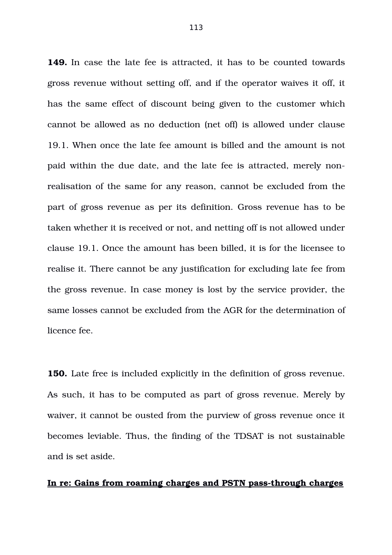**149.** In case the late fee is attracted, it has to be counted towards gross revenue without setting off, and if the operator waives it off, it has the same effect of discount being given to the customer which cannot be allowed as no deduction (net off) is allowed under clause 19.1. When once the late fee amount is billed and the amount is not paid within the due date, and the late fee is attracted, merely nonrealisation of the same for any reason, cannot be excluded from the part of gross revenue as per its definition. Gross revenue has to be taken whether it is received or not, and netting off is not allowed under clause 19.1. Once the amount has been billed, it is for the licensee to realise it. There cannot be any justification for excluding late fee from the gross revenue. In case money is lost by the service provider, the same losses cannot be excluded from the AGR for the determination of licence fee.

**150.** Late free is included explicitly in the definition of gross revenue. As such, it has to be computed as part of gross revenue. Merely by waiver, it cannot be ousted from the purview of gross revenue once it becomes leviable. Thus, the finding of the TDSAT is not sustainable and is set aside.

#### In re: Gains from roaming charges and PSTN pass-through charges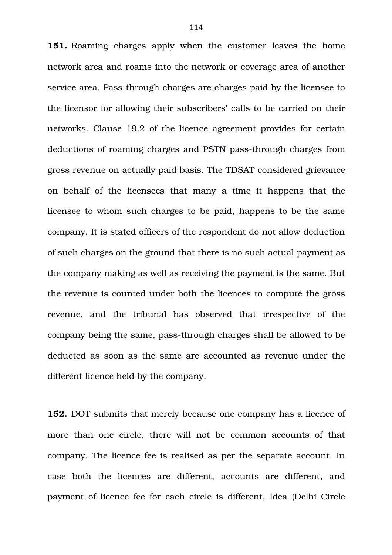**151.** Roaming charges apply when the customer leaves the home network area and roams into the network or coverage area of another service area. Pass-through charges are charges paid by the licensee to the licensor for allowing their subscribers' calls to be carried on their networks. Clause 19.2 of the licence agreement provides for certain deductions of roaming charges and PSTN pass-through charges from gross revenue on actually paid basis. The TDSAT considered grievance on behalf of the licensees that many a time it happens that the licensee to whom such charges to be paid, happens to be the same company. It is stated officers of the respondent do not allow deduction of such charges on the ground that there is no such actual payment as the company making as well as receiving the payment is the same. But the revenue is counted under both the licences to compute the gross revenue, and the tribunal has observed that irrespective of the company being the same, pass-through charges shall be allowed to be deducted as soon as the same are accounted as revenue under the different licence held by the company.

**152.** DOT submits that merely because one company has a licence of more than one circle, there will not be common accounts of that company. The licence fee is realised as per the separate account. In case both the licences are different, accounts are different, and payment of licence fee for each circle is different, Idea (Delhi Circle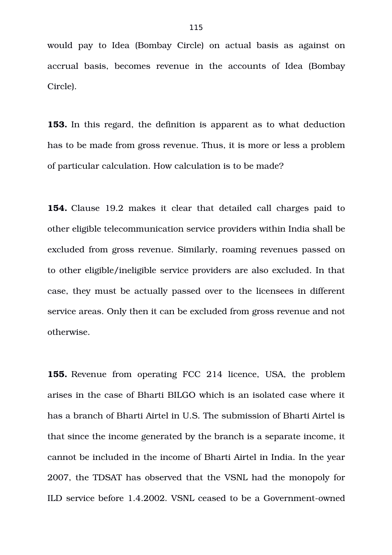would pay to Idea (Bombay Circle) on actual basis as against on accrual basis, becomes revenue in the accounts of Idea (Bombay Circle).

**153.** In this regard, the definition is apparent as to what deduction has to be made from gross revenue. Thus, it is more or less a problem of particular calculation. How calculation is to be made?

**154.** Clause 19.2 makes it clear that detailed call charges paid to other eligible telecommunication service providers within India shall be excluded from gross revenue. Similarly, roaming revenues passed on to other eligible/ineligible service providers are also excluded. In that case, they must be actually passed over to the licensees in different service areas. Only then it can be excluded from gross revenue and not otherwise.

**155.** Revenue from operating FCC 214 licence, USA, the problem arises in the case of Bharti BILGO which is an isolated case where it has a branch of Bharti Airtel in U.S. The submission of Bharti Airtel is that since the income generated by the branch is a separate income, it cannot be included in the income of Bharti Airtel in India. In the year 2007, the TDSAT has observed that the VSNL had the monopoly for ILD service before 1.4.2002. VSNL ceased to be a Government-owned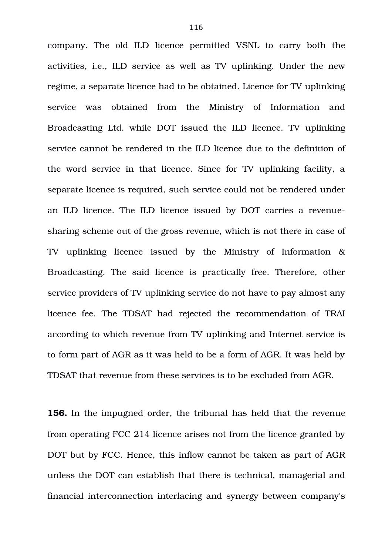company. The old ILD licence permitted VSNL to carry both the activities, i.e., ILD service as well as TV uplinking. Under the new regime, a separate licence had to be obtained. Licence for TV uplinking service was obtained from the Ministry of Information and Broadcasting Ltd. while DOT issued the ILD licence. TV uplinking service cannot be rendered in the ILD licence due to the definition of the word service in that licence. Since for TV uplinking facility, a separate licence is required, such service could not be rendered under an ILD licence. The ILD licence issued by DOT carries a revenuesharing scheme out of the gross revenue, which is not there in case of TV uplinking licence issued by the Ministry of Information & Broadcasting. The said licence is practically free. Therefore, other service providers of TV uplinking service do not have to pay almost any licence fee. The TDSAT had rejected the recommendation of TRAI according to which revenue from TV uplinking and Internet service is to form part of AGR as it was held to be a form of AGR. It was held by TDSAT that revenue from these services is to be excluded from AGR.

**156.** In the impugned order, the tribunal has held that the revenue from operating FCC 214 licence arises not from the licence granted by DOT but by FCC. Hence, this inflow cannot be taken as part of AGR unless the DOT can establish that there is technical, managerial and financial interconnection interlacing and synergy between company's

116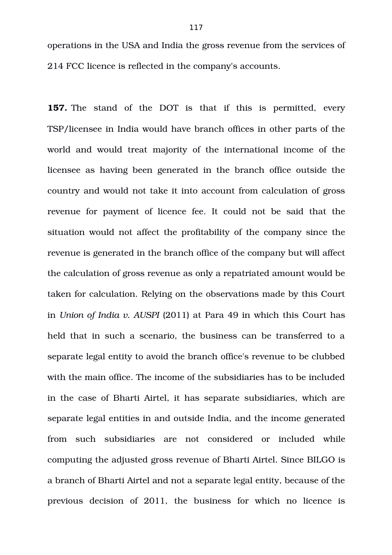operations in the USA and India the gross revenue from the services of 214 FCC licence is reflected in the company's accounts.

**157.** The stand of the DOT is that if this is permitted, every TSP/licensee in India would have branch offices in other parts of the world and would treat majority of the international income of the licensee as having been generated in the branch office outside the country and would not take it into account from calculation of gross revenue for payment of licence fee. It could not be said that the situation would not affect the profitability of the company since the revenue is generated in the branch office of the company but will affect the calculation of gross revenue as only a repatriated amount would be taken for calculation. Relying on the observations made by this Court in *Union of India v. AUSPI* (2011) at Para 49 in which this Court has held that in such a scenario, the business can be transferred to a separate legal entity to avoid the branch office's revenue to be clubbed with the main office. The income of the subsidiaries has to be included in the case of Bharti Airtel, it has separate subsidiaries, which are separate legal entities in and outside India, and the income generated from such subsidiaries are not considered or included while computing the adjusted gross revenue of Bharti Airtel. Since BILGO is a branch of Bharti Airtel and not a separate legal entity, because of the previous decision of 2011, the business for which no licence is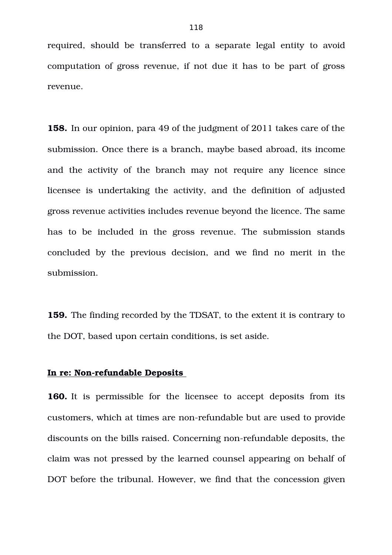required, should be transferred to a separate legal entity to avoid computation of gross revenue, if not due it has to be part of gross revenue.

**158.** In our opinion, para 49 of the judgment of 2011 takes care of the submission. Once there is a branch, maybe based abroad, its income and the activity of the branch may not require any licence since licensee is undertaking the activity, and the definition of adjusted gross revenue activities includes revenue beyond the licence. The same has to be included in the gross revenue. The submission stands concluded by the previous decision, and we find no merit in the submission.

**159.** The finding recorded by the TDSAT, to the extent it is contrary to the DOT, based upon certain conditions, is set aside.

## **In re: Non-refundable Deposits**

**160.** It is permissible for the licensee to accept deposits from its customers, which at times are non-refundable but are used to provide discounts on the bills raised. Concerning non-refundable deposits, the claim was not pressed by the learned counsel appearing on behalf of DOT before the tribunal. However, we find that the concession given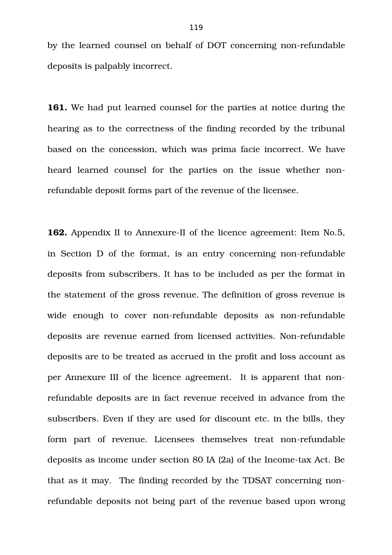by the learned counsel on behalf of DOT concerning non-refundable deposits is palpably incorrect.

**161.** We had put learned counsel for the parties at notice during the hearing as to the correctness of the finding recorded by the tribunal based on the concession, which was prima facie incorrect. We have heard learned counsel for the parties on the issue whether nonrefundable deposit forms part of the revenue of the licensee.

**162.** Appendix II to Annexure-II of the licence agreement: Item No.5, in Section D of the format, is an entry concerning non-refundable deposits from subscribers. It has to be included as per the format in the statement of the gross revenue. The definition of gross revenue is wide enough to cover non-refundable deposits as non-refundable deposits are revenue earned from licensed activities. Non-refundable deposits are to be treated as accrued in the profit and loss account as per Annexure III of the licence agreement. It is apparent that nonrefundable deposits are in fact revenue received in advance from the subscribers. Even if they are used for discount etc. in the bills, they form part of revenue. Licensees themselves treat non-refundable deposits as income under section 80 IA (2a) of the Income-tax Act. Be that as it may. The finding recorded by the TDSAT concerning nonrefundable deposits not being part of the revenue based upon wrong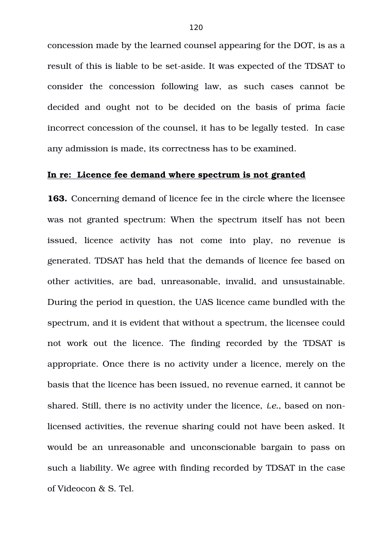concession made by the learned counsel appearing for the DOT, is as a result of this is liable to be set-aside. It was expected of the TDSAT to consider the concession following law, as such cases cannot be decided and ought not to be decided on the basis of prima facie incorrect concession of the counsel, it has to be legally tested. In case any admission is made, its correctness has to be examined.

### **In re: Licence fee demand where spectrum is not granted**

**163.** Concerning demand of licence fee in the circle where the licensee was not granted spectrum: When the spectrum itself has not been issued, licence activity has not come into play, no revenue is generated. TDSAT has held that the demands of licence fee based on other activities, are bad, unreasonable, invalid, and unsustainable. During the period in question, the UAS licence came bundled with the spectrum, and it is evident that without a spectrum, the licensee could not work out the licence. The finding recorded by the TDSAT is appropriate. Once there is no activity under a licence, merely on the basis that the licence has been issued, no revenue earned, it cannot be shared. Still, there is no activity under the licence, *i.e.*, based on nonlicensed activities, the revenue sharing could not have been asked. It would be an unreasonable and unconscionable bargain to pass on such a liability. We agree with finding recorded by TDSAT in the case of Videocon & S. Tel.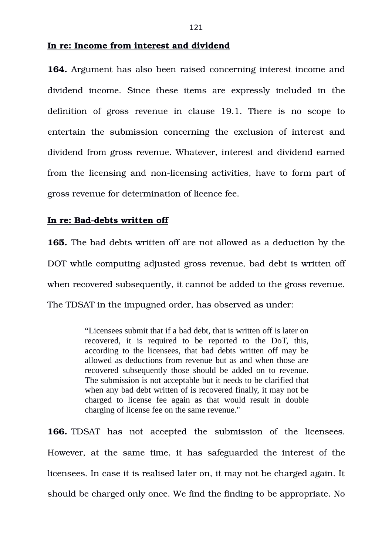### **In re: Income from interest and dividend**

**164.** Argument has also been raised concerning interest income and dividend income. Since these items are expressly included in the definition of gross revenue in clause 19.1. There is no scope to entertain the submission concerning the exclusion of interest and dividend from gross revenue. Whatever, interest and dividend earned from the licensing and non-licensing activities, have to form part of gross revenue for determination of licence fee.

# In re: Bad-debts written off

**165.** The bad debts written off are not allowed as a deduction by the DOT while computing adjusted gross revenue, bad debt is written off when recovered subsequently, it cannot be added to the gross revenue. The TDSAT in the impugned order, has observed as under:

> "Licensees submit that if a bad debt, that is written off is later on recovered, it is required to be reported to the DoT, this, according to the licensees, that bad debts written off may be allowed as deductions from revenue but as and when those are recovered subsequently those should be added on to revenue. The submission is not acceptable but it needs to be clarified that when any bad debt written of is recovered finally, it may not be charged to license fee again as that would result in double charging of license fee on the same revenue."

**166.** TDSAT has not accepted the submission of the licensees. However, at the same time, it has safeguarded the interest of the licensees. In case it is realised later on, it may not be charged again. It should be charged only once. We find the finding to be appropriate. No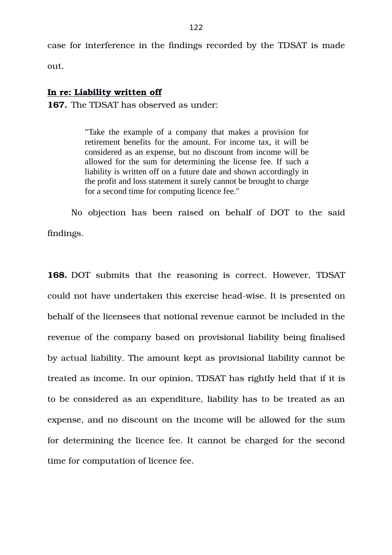case for interference in the findings recorded by the TDSAT is made

out.

# **In re: Liability written off**

**167.** The TDSAT has observed as under:

"Take the example of a company that makes a provision for retirement benefits for the amount. For income tax, it will be considered as an expense, but no discount from income will be allowed for the sum for determining the license fee. If such a liability is written off on a future date and shown accordingly in the profit and loss statement it surely cannot be brought to charge for a second time for computing licence fee."

No objection has been raised on behalf of DOT to the said findings.

**168.** DOT submits that the reasoning is correct. However, TDSAT could not have undertaken this exercise head-wise. It is presented on behalf of the licensees that notional revenue cannot be included in the revenue of the company based on provisional liability being finalised by actual liability. The amount kept as provisional liability cannot be treated as income. In our opinion, TDSAT has rightly held that if it is to be considered as an expenditure, liability has to be treated as an expense, and no discount on the income will be allowed for the sum for determining the licence fee. It cannot be charged for the second time for computation of licence fee.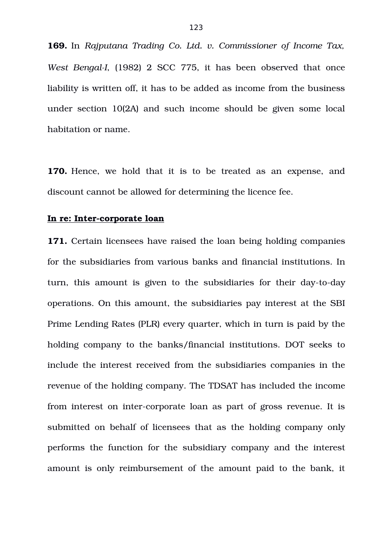**169.** In *Rajputana Trading Co. Ltd. v. Commissioner of Income Tax, West BengalI*, (1982) 2 SCC 775, it has been observed that once liability is written off, it has to be added as income from the business under section 10(2A) and such income should be given some local habitation or name.

**170.** Hence, we hold that it is to be treated as an expense, and discount cannot be allowed for determining the licence fee.

#### **In re: Inter-corporate loan**

**171.** Certain licensees have raised the loan being holding companies for the subsidiaries from various banks and financial institutions. In turn, this amount is given to the subsidiaries for their day-to-day operations. On this amount, the subsidiaries pay interest at the SBI Prime Lending Rates (PLR) every quarter, which in turn is paid by the holding company to the banks/financial institutions. DOT seeks to include the interest received from the subsidiaries companies in the revenue of the holding company. The TDSAT has included the income from interest on inter-corporate loan as part of gross revenue. It is submitted on behalf of licensees that as the holding company only performs the function for the subsidiary company and the interest amount is only reimbursement of the amount paid to the bank, it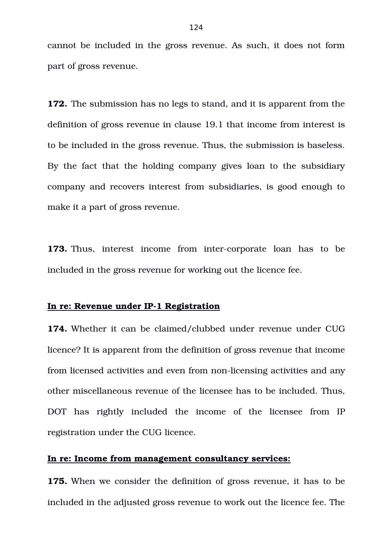cannot be included in the gross revenue. As such, it does not form part of gross revenue.

**172.** The submission has no legs to stand, and it is apparent from the definition of gross revenue in clause 19.1 that income from interest is to be included in the gross revenue. Thus, the submission is baseless. By the fact that the holding company gives loan to the subsidiary company and recovers interest from subsidiaries, is good enough to make it a part of gross revenue.

**173.** Thus, interest income from inter-corporate loan has to be included in the gross revenue for working out the licence fee.

## **In re: Revenue under IP-1 Registration**

**174.** Whether it can be claimed/clubbed under revenue under CUG licence? It is apparent from the definition of gross revenue that income from licensed activities and even from non-licensing activities and any other miscellaneous revenue of the licensee has to be included. Thus, DOT has rightly included the income of the licensee from IP registration under the CUG licence.

# **In re: Income from management consultancy services:**

**175.** When we consider the definition of gross revenue, it has to be included in the adjusted gross revenue to work out the licence fee. The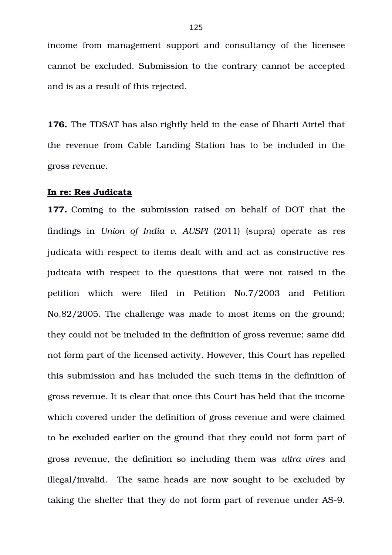income from management support and consultancy of the licensee cannot be excluded. Submission to the contrary cannot be accepted and is as a result of this rejected.

**176.** The TDSAT has also rightly held in the case of Bharti Airtel that the revenue from Cable Landing Station has to be included in the gross revenue.

#### **In re: Res Judicata**

**177.** Coming to the submission raised on behalf of DOT that the findings in *Union of India v. AUSPI* (2011) (supra) operate as res judicata with respect to items dealt with and act as constructive res judicata with respect to the questions that were not raised in the petition which were filed in Petition No.7/2003 and Petition No.82/2005. The challenge was made to most items on the ground; they could not be included in the definition of gross revenue; same did not form part of the licensed activity. However, this Court has repelled this submission and has included the such items in the definition of gross revenue. It is clear that once this Court has held that the income which covered under the definition of gross revenue and were claimed to be excluded earlier on the ground that they could not form part of gross revenue, the definition so including them was *ultra vires* and illegal/invalid. The same heads are now sought to be excluded by taking the shelter that they do not form part of revenue under AS-9.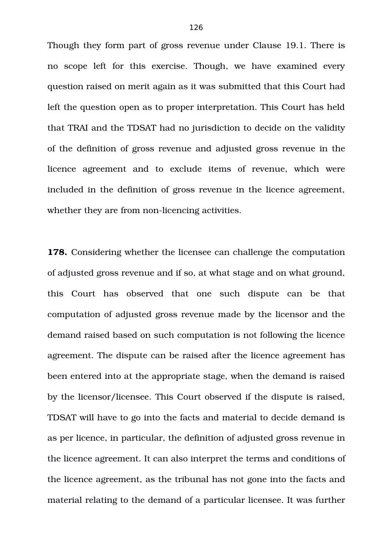Though they form part of gross revenue under Clause 19.1. There is no scope left for this exercise. Though, we have examined every question raised on merit again as it was submitted that this Court had left the question open as to proper interpretation. This Court has held that TRAI and the TDSAT had no jurisdiction to decide on the validity of the definition of gross revenue and adjusted gross revenue in the licence agreement and to exclude items of revenue, which were included in the definition of gross revenue in the licence agreement, whether they are from non-licencing activities.

**178.** Considering whether the licensee can challenge the computation of adjusted gross revenue and if so, at what stage and on what ground, this Court has observed that one such dispute can be that computation of adjusted gross revenue made by the licensor and the demand raised based on such computation is not following the licence agreement. The dispute can be raised after the licence agreement has been entered into at the appropriate stage, when the demand is raised by the licensor/licensee. This Court observed if the dispute is raised, TDSAT will have to go into the facts and material to decide demand is as per licence, in particular, the definition of adjusted gross revenue in the licence agreement. It can also interpret the terms and conditions of the licence agreement, as the tribunal has not gone into the facts and material relating to the demand of a particular licensee. It was further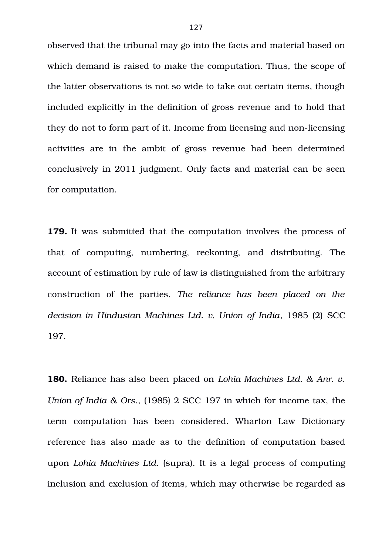observed that the tribunal may go into the facts and material based on which demand is raised to make the computation. Thus, the scope of the latter observations is not so wide to take out certain items, though included explicitly in the definition of gross revenue and to hold that they do not to form part of it. Income from licensing and non-licensing activities are in the ambit of gross revenue had been determined conclusively in 2011 judgment. Only facts and material can be seen for computation.

**179.** It was submitted that the computation involves the process of that of computing, numbering, reckoning, and distributing. The account of estimation by rule of law is distinguished from the arbitrary construction of the parties. The reliance has been placed on the *decision in Hindustan Machines Ltd. v. Union of India*, 1985 (2) SCC 197.

**180.** Reliance has also been placed on *Lohia Machines Ltd. & Anr. v. Union of India & Ors*., (1985) 2 SCC 197 in which for income tax, the term computation has been considered. Wharton Law Dictionary reference has also made as to the definition of computation based upon *Lohia Machines Ltd*. (supra). It is a legal process of computing inclusion and exclusion of items, which may otherwise be regarded as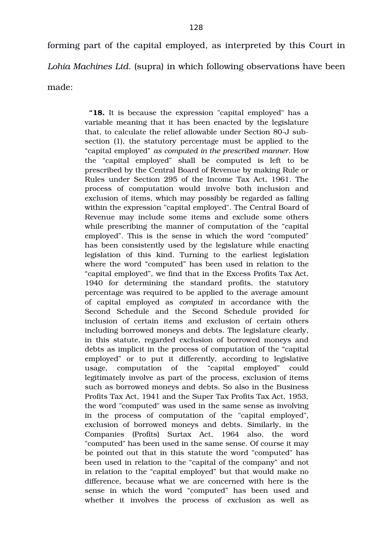forming part of the capital employed, as interpreted by this Court in *Lohia Machines Ltd*. (supra) in which following observations have been made:

> **"18.** It is because the expression "capital employed" has a variable meaning that it has been enacted by the legislature that, to calculate the relief allowable under Section 80-J subsection (1), the statutory percentage must be applied to the "capital employed" *as computed in the prescribed manner*. How the "capital employed" shall be computed is left to be prescribed by the Central Board of Revenue by making Rule or Rules under Section 295 of the Income Tax Act, 1961. The process of computation would involve both inclusion and exclusion of items, which may possibly be regarded as falling within the expression "capital employed". The Central Board of Revenue may include some items and exclude some others while prescribing the manner of computation of the "capital employed". This is the sense in which the word "computed" has been consistently used by the legislature while enacting legislation of this kind. Turning to the earliest legislation where the word "computed" has been used in relation to the "capital employed", we find that in the Excess Profits Tax Act, 1940 for determining the standard profits, the statutory percentage was required to be applied to the average amount of capital employed as *computed* in accordance with the Second Schedule and the Second Schedule provided for inclusion of certain items and exclusion of certain others including borrowed moneys and debts. The legislature clearly, in this statute, regarded exclusion of borrowed moneys and debts as implicit in the process of computation of the "capital employed" or to put it differently, according to legislative usage, computation of the "capital employed" could legitimately involve as part of the process, exclusion of items such as borrowed moneys and debts. So also in the Business Profits Tax Act, 1941 and the Super Tax Profits Tax Act, 1953, the word "computed" was used in the same sense as involving in the process of computation of the "capital employed", exclusion of borrowed moneys and debts. Similarly, in the Companies (Profits) Surtax Act, 1964 also, the word "computed" has been used in the same sense. Of course it may be pointed out that in this statute the word "computed" has been used in relation to the "capital of the company" and not in relation to the "capital employed" but that would make no difference, because what we are concerned with here is the sense in which the word "computed" has been used and whether it involves the process of exclusion as well as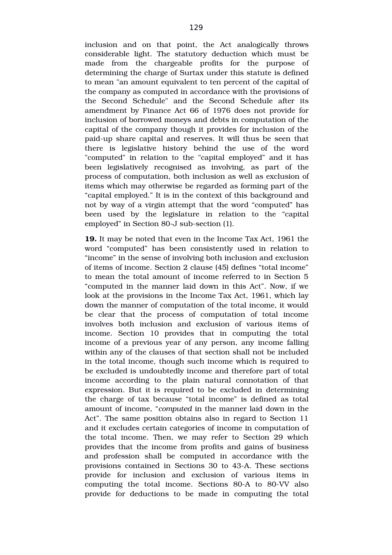inclusion and on that point, the Act analogically throws considerable light. The statutory deduction which must be made from the chargeable profits for the purpose of determining the charge of Surtax under this statute is defined to mean "an amount equivalent to ten percent of the capital of the company as computed in accordance with the provisions of the Second Schedule" and the Second Schedule after its amendment by Finance Act 66 of 1976 does not provide for inclusion of borrowed moneys and debts in computation of the capital of the company though it provides for inclusion of the paid-up share capital and reserves. It will thus be seen that there is legislative history behind the use of the word "computed" in relation to the "capital employed" and it has been legislatively recognised as involving, as part of the process of computation, both inclusion as well as exclusion of items which may otherwise be regarded as forming part of the "capital employed." It is in the context of this background and not by way of a virgin attempt that the word "computed" has been used by the legislature in relation to the "capital employed" in Section 80-J sub-section (1).

**19.** It may be noted that even in the Income Tax Act, 1961 the word "computed" has been consistently used in relation to "income" in the sense of involving both inclusion and exclusion of items of income. Section 2 clause (45) defines "total income" to mean the total amount of income referred to in Section 5 "computed in the manner laid down in this Act". Now, if we look at the provisions in the Income Tax Act, 1961, which lay down the manner of computation of the total income, it would be clear that the process of computation of total income involves both inclusion and exclusion of various items of income. Section 10 provides that in computing the total income of a previous year of any person, any income falling within any of the clauses of that section shall not be included in the total income, though such income which is required to be excluded is undoubtedly income and therefore part of total income according to the plain natural connotation of that expression. But it is required to be excluded in determining the charge of tax because "total income" is defined as total amount of income, "*computed* in the manner laid down in the Act". The same position obtains also in regard to Section 11 and it excludes certain categories of income in computation of the total income. Then, we may refer to Section 29 which provides that the income from profits and gains of business and profession shall be computed in accordance with the provisions contained in Sections 30 to 43A. These sections provide for inclusion and exclusion of various items in computing the total income. Sections 80-A to 80-VV also provide for deductions to be made in computing the total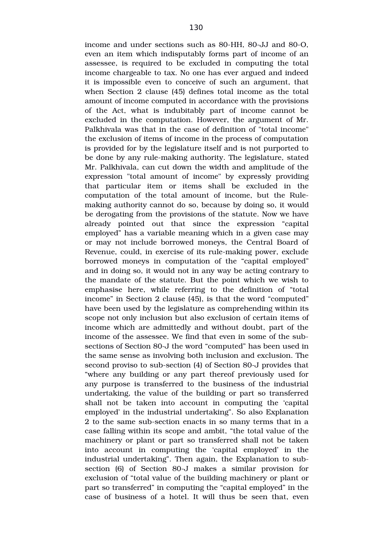income and under sections such as 80-HH, 80-JJ and 80-O, even an item which indisputably forms part of income of an assessee, is required to be excluded in computing the total income chargeable to tax. No one has ever argued and indeed it is impossible even to conceive of such an argument, that when Section 2 clause (45) defines total income as the total amount of income computed in accordance with the provisions of the Act, what is indubitably part of income cannot be excluded in the computation. However, the argument of Mr. Palkhivala was that in the case of definition of "total income" the exclusion of items of income in the process of computation is provided for by the legislature itself and is not purported to be done by any rule-making authority. The legislature, stated Mr. Palkhivala, can cut down the width and amplitude of the expression "total amount of income" by expressly providing that particular item or items shall be excluded in the computation of the total amount of income, but the Rulemaking authority cannot do so, because by doing so, it would be derogating from the provisions of the statute. Now we have already pointed out that since the expression "capital" employed" has a variable meaning which in a given case may or may not include borrowed moneys, the Central Board of Revenue, could, in exercise of its rule-making power, exclude borrowed moneys in computation of the "capital employed" and in doing so, it would not in any way be acting contrary to the mandate of the statute. But the point which we wish to emphasise here, while referring to the definition of "total income" in Section 2 clause (45), is that the word "computed" have been used by the legislature as comprehending within its scope not only inclusion but also exclusion of certain items of income which are admittedly and without doubt, part of the income of the assessee. We find that even in some of the subsections of Section 80-J the word "computed" has been used in the same sense as involving both inclusion and exclusion. The second proviso to sub-section (4) of Section 80-J provides that "where any building or any part thereof previously used for any purpose is transferred to the business of the industrial undertaking, the value of the building or part so transferred shall not be taken into account in computing the 'capital employed' in the industrial undertaking". So also Explanation 2 to the same sub-section enacts in so many terms that in a case falling within its scope and ambit, "the total value of the machinery or plant or part so transferred shall not be taken into account in computing the 'capital employed' in the industrial undertaking". Then again, the Explanation to subsection (6) of Section 80-J makes a similar provision for exclusion of "total value of the building machinery or plant or part so transferred" in computing the "capital employed" in the case of business of a hotel. It will thus be seen that, even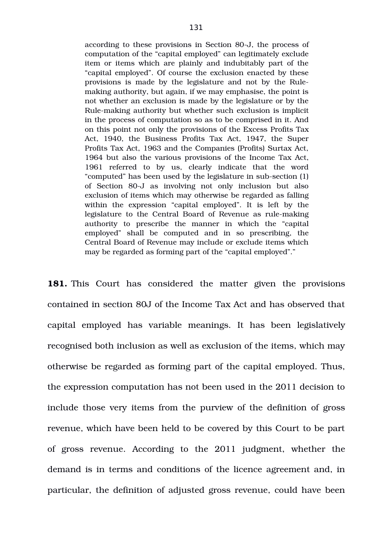according to these provisions in Section 80-J, the process of computation of the "capital employed" can legitimately exclude item or items which are plainly and indubitably part of the "capital employed". Of course the exclusion enacted by these provisions is made by the legislature and not by the Rulemaking authority, but again, if we may emphasise, the point is not whether an exclusion is made by the legislature or by the Rule-making authority but whether such exclusion is implicit in the process of computation so as to be comprised in it. And on this point not only the provisions of the Excess Profits Tax Act, 1940, the Business Profits Tax Act, 1947, the Super Profits Tax Act, 1963 and the Companies (Profits) Surtax Act, 1964 but also the various provisions of the Income Tax Act, 1961 referred to by us, clearly indicate that the word "computed" has been used by the legislature in sub-section (1) of Section 80-J as involving not only inclusion but also exclusion of items which may otherwise be regarded as falling within the expression "capital employed". It is left by the legislature to the Central Board of Revenue as rule-making authority to prescribe the manner in which the "capital" employed" shall be computed and in so prescribing, the Central Board of Revenue may include or exclude items which may be regarded as forming part of the "capital employed"."

**181.** This Court has considered the matter given the provisions contained in section 80J of the Income Tax Act and has observed that capital employed has variable meanings. It has been legislatively recognised both inclusion as well as exclusion of the items, which may otherwise be regarded as forming part of the capital employed. Thus, the expression computation has not been used in the 2011 decision to include those very items from the purview of the definition of gross revenue, which have been held to be covered by this Court to be part of gross revenue. According to the 2011 judgment, whether the demand is in terms and conditions of the licence agreement and, in particular, the definition of adjusted gross revenue, could have been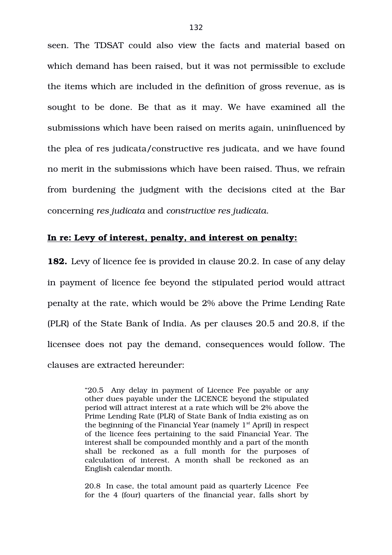seen. The TDSAT could also view the facts and material based on which demand has been raised, but it was not permissible to exclude the items which are included in the definition of gross revenue, as is sought to be done. Be that as it may. We have examined all the submissions which have been raised on merits again, uninfluenced by the plea of res judicata/constructive res judicata, and we have found no merit in the submissions which have been raised. Thus, we refrain from burdening the judgment with the decisions cited at the Bar concerning *res judicata* and *constructive res judicata*.

## **In re: Levy of interest, penalty, and interest on penalty:**

**182.** Levy of licence fee is provided in clause 20.2. In case of any delay in payment of licence fee beyond the stipulated period would attract penalty at the rate, which would be 2% above the Prime Lending Rate (PLR) of the State Bank of India. As per clauses 20.5 and 20.8, if the licensee does not pay the demand, consequences would follow. The clauses are extracted hereunder:

> "20.5 Any delay in payment of Licence Fee payable or any other dues payable under the LICENCE beyond the stipulated period will attract interest at a rate which will be 2% above the Prime Lending Rate (PLR) of State Bank of India existing as on the beginning of the Financial Year (namely  $1<sup>st</sup>$  April) in respect of the licence fees pertaining to the said Financial Year. The interest shall be compounded monthly and a part of the month shall be reckoned as a full month for the purposes of calculation of interest. A month shall be reckoned as an English calendar month.

> 20.8 In case, the total amount paid as quarterly Licence Fee for the 4 (four) quarters of the financial year, falls short by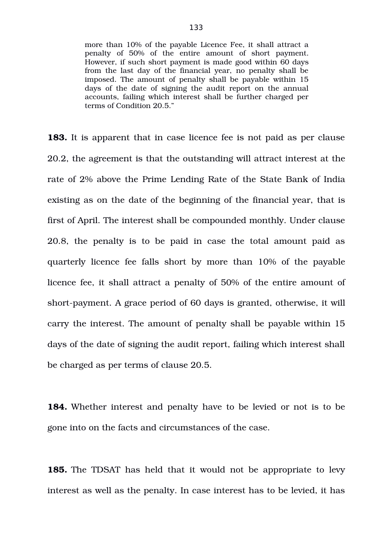more than 10% of the payable Licence Fee, it shall attract a penalty of 50% of the entire amount of short payment. However, if such short payment is made good within 60 days from the last day of the financial year, no penalty shall be imposed. The amount of penalty shall be payable within 15 days of the date of signing the audit report on the annual accounts, failing which interest shall be further charged per terms of Condition 20.5."

**183.** It is apparent that in case licence fee is not paid as per clause 20.2, the agreement is that the outstanding will attract interest at the rate of 2% above the Prime Lending Rate of the State Bank of India existing as on the date of the beginning of the financial year, that is first of April. The interest shall be compounded monthly. Under clause 20.8, the penalty is to be paid in case the total amount paid as quarterly licence fee falls short by more than 10% of the payable licence fee, it shall attract a penalty of 50% of the entire amount of short-payment. A grace period of 60 days is granted, otherwise, it will carry the interest. The amount of penalty shall be payable within 15 days of the date of signing the audit report, failing which interest shall be charged as per terms of clause 20.5.

**184.** Whether interest and penalty have to be levied or not is to be gone into on the facts and circumstances of the case.

**185.** The TDSAT has held that it would not be appropriate to levy interest as well as the penalty. In case interest has to be levied, it has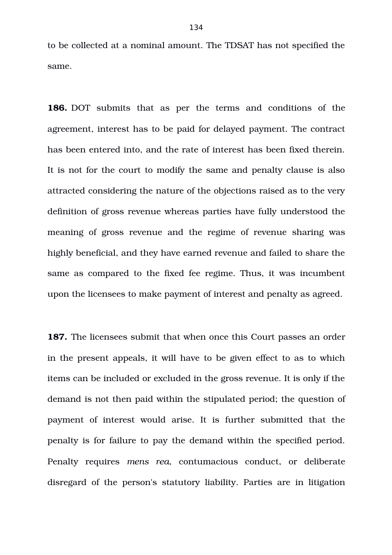to be collected at a nominal amount. The TDSAT has not specified the same.

**186.** DOT submits that as per the terms and conditions of the agreement, interest has to be paid for delayed payment. The contract has been entered into, and the rate of interest has been fixed therein. It is not for the court to modify the same and penalty clause is also attracted considering the nature of the objections raised as to the very definition of gross revenue whereas parties have fully understood the meaning of gross revenue and the regime of revenue sharing was highly beneficial, and they have earned revenue and failed to share the same as compared to the fixed fee regime. Thus, it was incumbent upon the licensees to make payment of interest and penalty as agreed.

**187.** The licensees submit that when once this Court passes an order in the present appeals, it will have to be given effect to as to which items can be included or excluded in the gross revenue. It is only if the demand is not then paid within the stipulated period; the question of payment of interest would arise. It is further submitted that the penalty is for failure to pay the demand within the specified period. Penalty requires mens rea, contumacious conduct, or deliberate disregard of the person's statutory liability. Parties are in litigation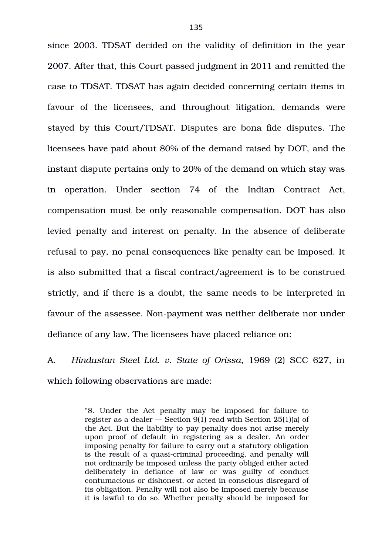since 2003. TDSAT decided on the validity of definition in the year 2007. After that, this Court passed judgment in 2011 and remitted the case to TDSAT. TDSAT has again decided concerning certain items in favour of the licensees, and throughout litigation, demands were stayed by this Court/TDSAT. Disputes are bona fide disputes. The licensees have paid about 80% of the demand raised by DOT, and the instant dispute pertains only to 20% of the demand on which stay was in operation. Under section 74 of the Indian Contract Act, compensation must be only reasonable compensation. DOT has also levied penalty and interest on penalty. In the absence of deliberate refusal to pay, no penal consequences like penalty can be imposed. It is also submitted that a fiscal contract/agreement is to be construed strictly, and if there is a doubt, the same needs to be interpreted in favour of the assessee. Non-payment was neither deliberate nor under defiance of any law. The licensees have placed reliance on:

A. *Hindustan Steel Ltd. v. State of Orissa*, 1969 (2) SCC 627, in which following observations are made:

> "8. Under the Act penalty may be imposed for failure to register as a dealer — Section 9(1) read with Section 25(1)(a) of the Act. But the liability to pay penalty does not arise merely upon proof of default in registering as a dealer. An order imposing penalty for failure to carry out a statutory obligation is the result of a quasi-criminal proceeding, and penalty will not ordinarily be imposed unless the party obliged either acted deliberately in defiance of law or was guilty of conduct contumacious or dishonest, or acted in conscious disregard of its obligation. Penalty will not also be imposed merely because it is lawful to do so. Whether penalty should be imposed for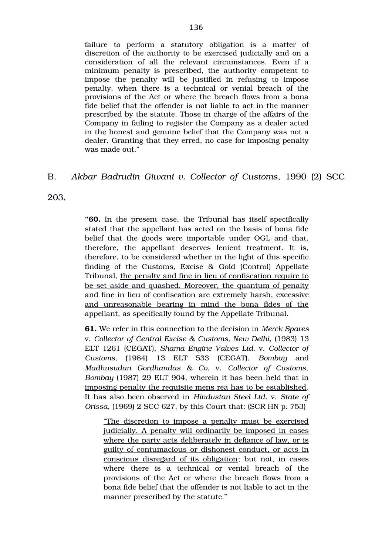failure to perform a statutory obligation is a matter of discretion of the authority to be exercised judicially and on a consideration of all the relevant circumstances. Even if a minimum penalty is prescribed, the authority competent to impose the penalty will be justified in refusing to impose penalty, when there is a technical or venial breach of the provisions of the Act or where the breach flows from a bona fide belief that the offender is not liable to act in the manner prescribed by the statute. Those in charge of the affairs of the Company in failing to register the Company as a dealer acted in the honest and genuine belief that the Company was not a dealer. Granting that they erred, no case for imposing penalty was made out."

# B. *Akbar Badrudin Giwani v. Collector of Customs*, 1990 (2) SCC

203,

**"60.** In the present case, the Tribunal has itself specifically stated that the appellant has acted on the basis of bona fide belief that the goods were importable under OGL and that, therefore, the appellant deserves lenient treatment. It is, therefore, to be considered whether in the light of this specific finding of the Customs, Excise  $\&$  Gold (Control) Appellate Tribunal, the penalty and fine in lieu of confiscation require to be set aside and quashed. Moreover, the quantum of penalty and fine in lieu of confiscation are extremely harsh, excessive and unreasonable bearing in mind the bona fides of the appellant, as specifically found by the Appellate Tribunal.

**61.** We refer in this connection to the decision in *Merck Spares* v. *Collector of Central Excise & Customs, New Delhi*, (1983) 13 ELT 1261 (CEGAT), *Shama Engine Valves Ltd.* v. *Collector of Customs,* (1984) 13 ELT 533 (CEGAT), *Bombay* and *Madhusudan Gordhandas & Co.* v. *Collector of Customs, Bombay* (1987) 29 ELT 904, wherein it has been held that in imposing penalty the requisite mens rea has to be established. It has also been observed in *Hindustan Steel Ltd.* v. *State of Orissa*, (1969) 2 SCC 627, by this Court that: (SCR HN p. 753)

"The discretion to impose a penalty must be exercised judicially. A penalty will ordinarily be imposed in cases where the party acts deliberately in defiance of law, or is guilty of contumacious or dishonest conduct, or acts in conscious disregard of its obligation; but not, in cases where there is a technical or venial breach of the provisions of the Act or where the breach flows from a bona fide belief that the offender is not liable to act in the manner prescribed by the statute."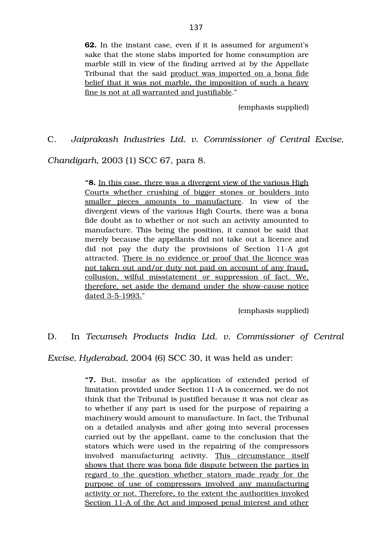**62.** In the instant case, even if it is assumed for argument's sake that the stone slabs imported for home consumption are marble still in view of the finding arrived at by the Appellate Tribunal that the said product was imported on a bona fide belief that it was not marble, the imposition of such a heavy fine is not at all warranted and justifiable."

(emphasis supplied)

C. *Jaiprakash Industries Ltd. v. Commissioner of Central Excise,*

*Chandigarh*, 2003 (1) SCC 67, para 8.

**"8.** In this case, there was a divergent view of the various High Courts whether crushing of bigger stones or boulders into smaller pieces amounts to manufacture. In view of the divergent views of the various High Courts, there was a bona fide doubt as to whether or not such an activity amounted to manufacture. This being the position, it cannot be said that merely because the appellants did not take out a licence and did not pay the duty the provisions of Section 11-A got attracted. There is no evidence or proof that the licence was not taken out and/or duty not paid on account of any fraud, collusion, wilful misstatement or suppression of fact. We, therefore, set aside the demand under the showcause notice dated 3-5-1993."

(emphasis supplied)

D. In *Tecumseh Products India Ltd. v. Commissioner of Central*

*Excise, Hyderabad*, 2004 (6) SCC 30, it was held as under:

"7. But, insofar as the application of extended period of limitation provided under Section 11A is concerned, we do not think that the Tribunal is justified because it was not clear as to whether if any part is used for the purpose of repairing a machinery would amount to manufacture. In fact, the Tribunal on a detailed analysis and after going into several processes carried out by the appellant, came to the conclusion that the stators which were used in the repairing of the compressors involved manufacturing activity. This circumstance itself shows that there was bona fide dispute between the parties in regard to the question whether stators made ready for the purpose of use of compressors involved any manufacturing activity or not. Therefore, to the extent the authorities invoked Section 11-A of the Act and imposed penal interest and other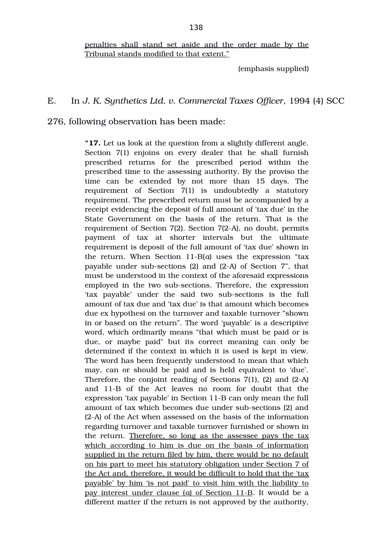penalties shall stand set aside and the order made by the Tribunal stands modified to that extent."

(emphasis supplied)

#### E. In *J. K. Synthetics Ltd. v. Commercial Taxes Officer*, 1994 (4) SCC

276, following observation has been made:

**"17.** Let us look at the question from a slightly different angle. Section 7(1) enjoins on every dealer that he shall furnish prescribed returns for the prescribed period within the prescribed time to the assessing authority. By the proviso the time can be extended by not more than 15 days. The requirement of Section  $7(1)$  is undoubtedly a statutory requirement. The prescribed return must be accompanied by a receipt evidencing the deposit of full amount of 'tax due' in the State Government on the basis of the return. That is the requirement of Section 7(2). Section 7(2-A), no doubt, permits payment of tax at shorter intervals but the ultimate requirement is deposit of the full amount of 'tax due' shown in the return. When Section 11-B(*a*) uses the expression "tax payable under sub-sections  $(2)$  and  $(2-A)$  of Section 7", that must be understood in the context of the aforesaid expressions employed in the two subsections. Therefore, the expression 'tax payable' under the said two sub-sections is the full amount of tax due and 'tax due' is that amount which becomes due ex hypothesi on the turnover and taxable turnover "shown in or based on the return". The word 'payable' is a descriptive word, which ordinarily means "that which must be paid or is due, or maybe paid" but its correct meaning can only be determined if the context in which it is used is kept in view. The word has been frequently understood to mean that which may, can or should be paid and is held equivalent to 'due'. Therefore, the conjoint reading of Sections 7(1), (2) and (2A) and 11-B of the Act leaves no room for doubt that the expression 'tax payable' in Section 11-B can only mean the full amount of tax which becomes due under sub-sections (2) and (2-A) of the Act when assessed on the basis of the information regarding turnover and taxable turnover furnished or shown in the return. Therefore, so long as the assessee pays the tax which according to him is due on the basis of information supplied in the return filed by him, there would be no default on his part to meet his statutory obligation under Section 7 of the Act and, therefore, it would be difficult to hold that the 'tax payable' by him 'is not paid' to visit him with the liability to pay interest under clause (*a*) of Section 11-B. It would be a different matter if the return is not approved by the authority,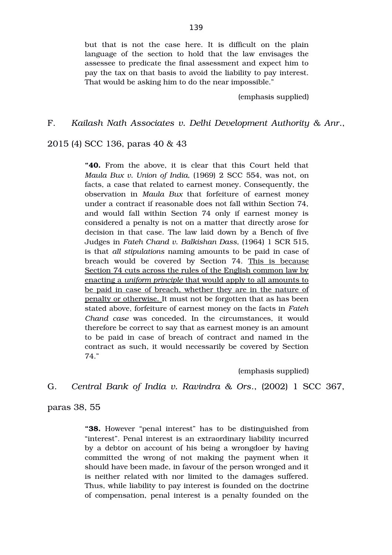but that is not the case here. It is difficult on the plain language of the section to hold that the law envisages the assessee to predicate the final assessment and expect him to pay the tax on that basis to avoid the liability to pay interest. That would be asking him to do the near impossible."

(emphasis supplied)

### F. *Kailash Nath Associates v. Delhi Development Authority & Anr*.,

2015 (4) SCC 136, paras 40 & 43

**"40.** From the above, it is clear that this Court held that *Maula Bux v. Union of India, (1969) 2 SCC 554, was not, on* facts, a case that related to earnest money. Consequently, the observation in *Maula Bux* that forfeiture of earnest money under a contract if reasonable does not fall within Section 74, and would fall within Section 74 only if earnest money is considered a penalty is not on a matter that directly arose for decision in that case. The law laid down by a Bench of five Judges in *Fateh Chand v. Balkishan Dass,* (1964) 1 SCR 515, is that *all stipulations* naming amounts to be paid in case of breach would be covered by Section 74. This is because Section 74 cuts across the rules of the English common law by enacting a *uniform principle* that would apply to all amounts to be paid in case of breach, whether they are in the nature of penalty or otherwise. It must not be forgotten that as has been stated above, forfeiture of earnest money on the facts in *Fateh Chand case* was conceded. In the circumstances, it would therefore be correct to say that as earnest money is an amount to be paid in case of breach of contract and named in the contract as such, it would necessarily be covered by Section 74."

(emphasis supplied)

# G. *Central Bank of India v. Ravindra & Ors*., (2002) 1 SCC 367,

paras 38, 55

**"38.** However "penal interest" has to be distinguished from "interest". Penal interest is an extraordinary liability incurred by a debtor on account of his being a wrongdoer by having committed the wrong of not making the payment when it should have been made, in favour of the person wronged and it is neither related with nor limited to the damages suffered. Thus, while liability to pay interest is founded on the doctrine of compensation, penal interest is a penalty founded on the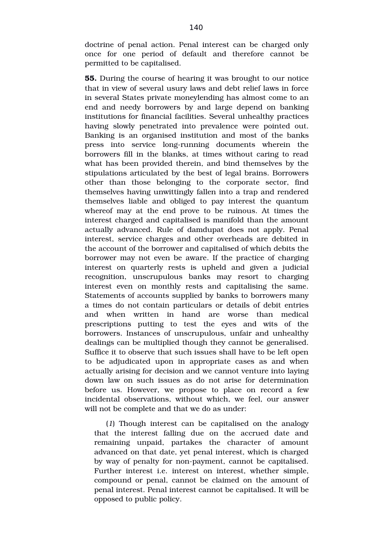doctrine of penal action. Penal interest can be charged only once for one period of default and therefore cannot be permitted to be capitalised.

**55.** During the course of hearing it was brought to our notice that in view of several usury laws and debt relief laws in force in several States private moneylending has almost come to an end and needy borrowers by and large depend on banking institutions for financial facilities. Several unhealthy practices having slowly penetrated into prevalence were pointed out. Banking is an organised institution and most of the banks press into service long-running documents wherein the borrowers fill in the blanks, at times without caring to read what has been provided therein, and bind themselves by the stipulations articulated by the best of legal brains. Borrowers other than those belonging to the corporate sector, find themselves having unwittingly fallen into a trap and rendered themselves liable and obliged to pay interest the quantum whereof may at the end prove to be ruinous. At times the interest charged and capitalised is manifold than the amount actually advanced. Rule of damdupat does not apply. Penal interest, service charges and other overheads are debited in the account of the borrower and capitalised of which debits the borrower may not even be aware. If the practice of charging interest on quarterly rests is upheld and given a judicial recognition, unscrupulous banks may resort to charging interest even on monthly rests and capitalising the same. Statements of accounts supplied by banks to borrowers many a times do not contain particulars or details of debit entries and when written in hand are worse than medical prescriptions putting to test the eyes and wits of the borrowers. Instances of unscrupulous, unfair and unhealthy dealings can be multiplied though they cannot be generalised. Suffice it to observe that such issues shall have to be left open to be adjudicated upon in appropriate cases as and when actually arising for decision and we cannot venture into laying down law on such issues as do not arise for determination before us. However, we propose to place on record a few incidental observations, without which, we feel, our answer will not be complete and that we do as under:

(*1*) Though interest can be capitalised on the analogy that the interest falling due on the accrued date and remaining unpaid, partakes the character of amount advanced on that date, yet penal interest, which is charged by way of penalty for non-payment, cannot be capitalised. Further interest i.e. interest on interest, whether simple, compound or penal, cannot be claimed on the amount of penal interest. Penal interest cannot be capitalised. It will be opposed to public policy.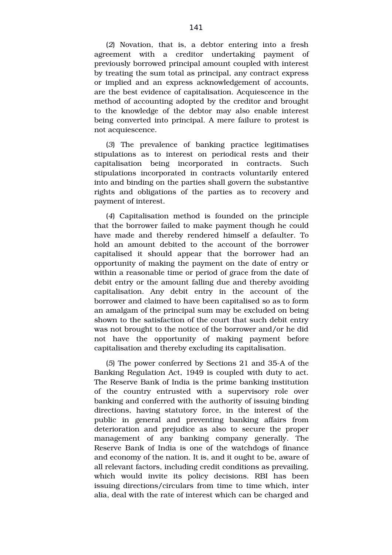(*2*) Novation, that is, a debtor entering into a fresh agreement with a creditor undertaking payment of previously borrowed principal amount coupled with interest by treating the sum total as principal, any contract express or implied and an express acknowledgement of accounts, are the best evidence of capitalisation. Acquiescence in the method of accounting adopted by the creditor and brought to the knowledge of the debtor may also enable interest being converted into principal. A mere failure to protest is not acquiescence.

(*3*) The prevalence of banking practice legitimatises stipulations as to interest on periodical rests and their capitalisation being incorporated in contracts. Such stipulations incorporated in contracts voluntarily entered into and binding on the parties shall govern the substantive rights and obligations of the parties as to recovery and payment of interest.

(*4*) Capitalisation method is founded on the principle that the borrower failed to make payment though he could have made and thereby rendered himself a defaulter. To hold an amount debited to the account of the borrower capitalised it should appear that the borrower had an opportunity of making the payment on the date of entry or within a reasonable time or period of grace from the date of debit entry or the amount falling due and thereby avoiding capitalisation. Any debit entry in the account of the borrower and claimed to have been capitalised so as to form an amalgam of the principal sum may be excluded on being shown to the satisfaction of the court that such debit entry was not brought to the notice of the borrower and/or he did not have the opportunity of making payment before capitalisation and thereby excluding its capitalisation.

(*5*) The power conferred by Sections 21 and 35A of the Banking Regulation Act, 1949 is coupled with duty to act. The Reserve Bank of India is the prime banking institution of the country entrusted with a supervisory role over banking and conferred with the authority of issuing binding directions, having statutory force, in the interest of the public in general and preventing banking affairs from deterioration and prejudice as also to secure the proper management of any banking company generally. The Reserve Bank of India is one of the watchdogs of finance and economy of the nation. It is, and it ought to be, aware of all relevant factors, including credit conditions as prevailing, which would invite its policy decisions. RBI has been issuing directions/circulars from time to time which, inter alia, deal with the rate of interest which can be charged and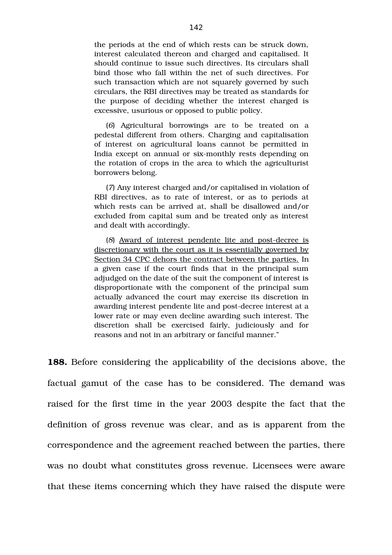the periods at the end of which rests can be struck down, interest calculated thereon and charged and capitalised. It should continue to issue such directives. Its circulars shall bind those who fall within the net of such directives. For such transaction which are not squarely governed by such circulars, the RBI directives may be treated as standards for the purpose of deciding whether the interest charged is excessive, usurious or opposed to public policy.

(*6*) Agricultural borrowings are to be treated on a pedestal different from others. Charging and capitalisation of interest on agricultural loans cannot be permitted in India except on annual or six-monthly rests depending on the rotation of crops in the area to which the agriculturist borrowers belong.

(*7*) Any interest charged and/or capitalised in violation of RBI directives, as to rate of interest, or as to periods at which rests can be arrived at, shall be disallowed and/or excluded from capital sum and be treated only as interest and dealt with accordingly.

(8) Award of interest pendente lite and post-decree is discretionary with the court as it is essentially governed by Section 34 CPC dehors the contract between the parties. In a given case if the court finds that in the principal sum adjudged on the date of the suit the component of interest is disproportionate with the component of the principal sum actually advanced the court may exercise its discretion in awarding interest pendente lite and post-decree interest at a lower rate or may even decline awarding such interest. The discretion shall be exercised fairly, judiciously and for reasons and not in an arbitrary or fanciful manner."

**188.** Before considering the applicability of the decisions above, the factual gamut of the case has to be considered. The demand was raised for the first time in the year 2003 despite the fact that the definition of gross revenue was clear, and as is apparent from the correspondence and the agreement reached between the parties, there was no doubt what constitutes gross revenue. Licensees were aware that these items concerning which they have raised the dispute were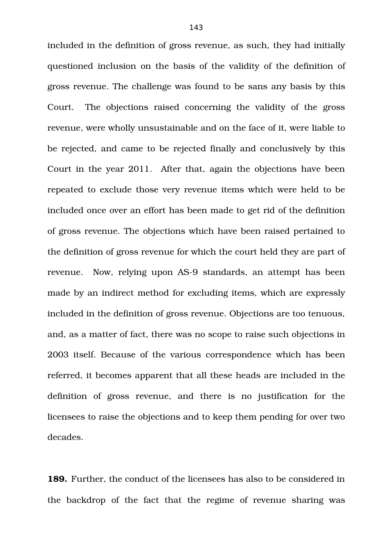included in the definition of gross revenue, as such, they had initially questioned inclusion on the basis of the validity of the definition of gross revenue. The challenge was found to be sans any basis by this Court. The objections raised concerning the validity of the gross revenue, were wholly unsustainable and on the face of it, were liable to be rejected, and came to be rejected finally and conclusively by this Court in the year 2011. After that, again the objections have been repeated to exclude those very revenue items which were held to be included once over an effort has been made to get rid of the definition of gross revenue. The objections which have been raised pertained to the definition of gross revenue for which the court held they are part of revenue. Now, relying upon AS-9 standards, an attempt has been made by an indirect method for excluding items, which are expressly included in the definition of gross revenue. Objections are too tenuous, and, as a matter of fact, there was no scope to raise such objections in 2003 itself. Because of the various correspondence which has been referred, it becomes apparent that all these heads are included in the definition of gross revenue, and there is no justification for the licensees to raise the objections and to keep them pending for over two decades.

**189.** Further, the conduct of the licensees has also to be considered in the backdrop of the fact that the regime of revenue sharing was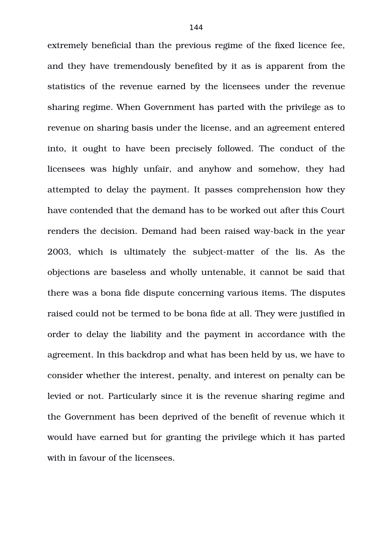extremely beneficial than the previous regime of the fixed licence fee, and they have tremendously benefited by it as is apparent from the statistics of the revenue earned by the licensees under the revenue sharing regime. When Government has parted with the privilege as to revenue on sharing basis under the license, and an agreement entered into, it ought to have been precisely followed. The conduct of the licensees was highly unfair, and anyhow and somehow, they had attempted to delay the payment. It passes comprehension how they have contended that the demand has to be worked out after this Court renders the decision. Demand had been raised way-back in the year 2003, which is ultimately the subject-matter of the lis. As the objections are baseless and wholly untenable, it cannot be said that there was a bona fide dispute concerning various items. The disputes raised could not be termed to be bona fide at all. They were justified in order to delay the liability and the payment in accordance with the agreement. In this backdrop and what has been held by us, we have to consider whether the interest, penalty, and interest on penalty can be levied or not. Particularly since it is the revenue sharing regime and the Government has been deprived of the benefit of revenue which it would have earned but for granting the privilege which it has parted with in favour of the licensees.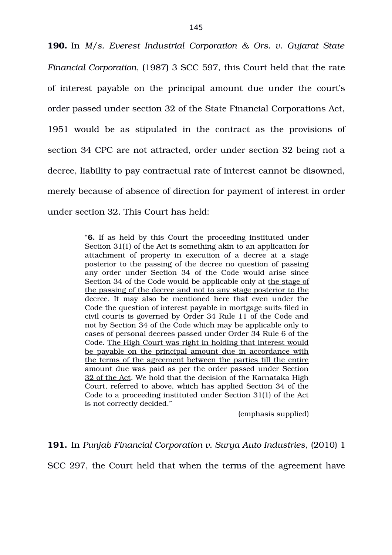**190.** In *M/s. Everest Industrial Corporation & Ors. v. Gujarat State Financial Corporation*, (1987) 3 SCC 597, this Court held that the rate of interest payable on the principal amount due under the court's order passed under section 32 of the State Financial Corporations Act, 1951 would be as stipulated in the contract as the provisions of section 34 CPC are not attracted, order under section 32 being not a decree, liability to pay contractual rate of interest cannot be disowned, merely because of absence of direction for payment of interest in order under section 32. This Court has held:

> "**6.** If as held by this Court the proceeding instituted under Section 31(1) of the Act is something akin to an application for attachment of property in execution of a decree at a stage posterior to the passing of the decree no question of passing any order under Section 34 of the Code would arise since Section 34 of the Code would be applicable only at the stage of the passing of the decree and not to any stage posterior to the decree. It may also be mentioned here that even under the Code the question of interest payable in mortgage suits filed in civil courts is governed by Order 34 Rule 11 of the Code and not by Section 34 of the Code which may be applicable only to cases of personal decrees passed under Order 34 Rule 6 of the Code. The High Court was right in holding that interest would be payable on the principal amount due in accordance with the terms of the agreement between the parties till the entire amount due was paid as per the order passed under Section 32 of the Act. We hold that the decision of the Karnataka High Court, referred to above, which has applied Section 34 of the Code to a proceeding instituted under Section 31(1) of the Act is not correctly decided."

> > (emphasis supplied)

**191.** In *Punjab Financial Corporation v. Surya Auto Industries*, (2010) 1

SCC 297, the Court held that when the terms of the agreement have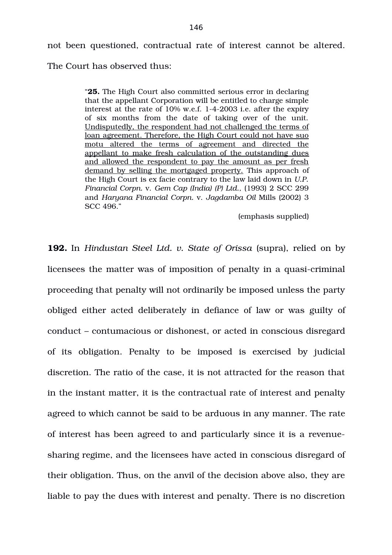not been questioned, contractual rate of interest cannot be altered. The Court has observed thus:

> "**25.** The High Court also committed serious error in declaring that the appellant Corporation will be entitled to charge simple interest at the rate of  $10\%$  w.e.f. 1-4-2003 i.e. after the expiry of six months from the date of taking over of the unit. Undisputedly, the respondent had not challenged the terms of loan agreement. Therefore, the High Court could not have suo motu altered the terms of agreement and directed the appellant to make fresh calculation of the outstanding dues and allowed the respondent to pay the amount as per fresh demand by selling the mortgaged property. This approach of the High Court is ex facie contrary to the law laid down in *U.P. Financial Corpn.* v. *Gem Cap (India) (P) Ltd.,* (1993) 2 SCC 299 and *Haryana Financial Corpn.* v. *Jagdamba Oil* Mills (2002) 3 SCC 496."

> > (emphasis supplied)

**192.** In *Hindustan Steel Ltd. v. State of Orissa* (supra), relied on by licensees the matter was of imposition of penalty in a quasi-criminal proceeding that penalty will not ordinarily be imposed unless the party obliged either acted deliberately in defiance of law or was guilty of conduct – contumacious or dishonest, or acted in conscious disregard of its obligation. Penalty to be imposed is exercised by judicial discretion. The ratio of the case, it is not attracted for the reason that in the instant matter, it is the contractual rate of interest and penalty agreed to which cannot be said to be arduous in any manner. The rate of interest has been agreed to and particularly since it is a revenuesharing regime, and the licensees have acted in conscious disregard of their obligation. Thus, on the anvil of the decision above also, they are liable to pay the dues with interest and penalty. There is no discretion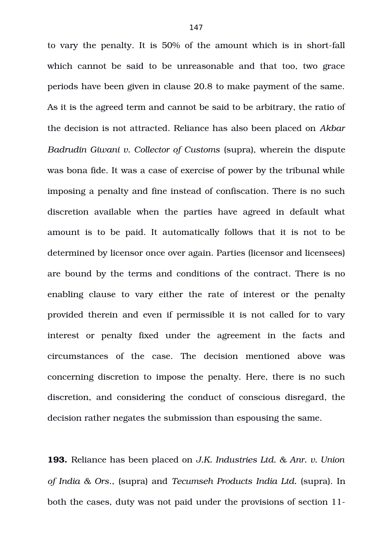to vary the penalty. It is 50% of the amount which is in short-fall which cannot be said to be unreasonable and that too, two grace periods have been given in clause 20.8 to make payment of the same. As it is the agreed term and cannot be said to be arbitrary, the ratio of the decision is not attracted. Reliance has also been placed on *Akbar Badrudin Giwani v. Collector of Customs* (supra), wherein the dispute was bona fide. It was a case of exercise of power by the tribunal while imposing a penalty and fine instead of confiscation. There is no such discretion available when the parties have agreed in default what amount is to be paid. It automatically follows that it is not to be determined by licensor once over again. Parties (licensor and licensees) are bound by the terms and conditions of the contract. There is no enabling clause to vary either the rate of interest or the penalty provided therein and even if permissible it is not called for to vary interest or penalty fixed under the agreement in the facts and circumstances of the case. The decision mentioned above was concerning discretion to impose the penalty. Here, there is no such discretion, and considering the conduct of conscious disregard, the decision rather negates the submission than espousing the same.

**193.** Reliance has been placed on *J.K. Industries Ltd. & Anr. v. Union of India & Ors*., (supra) and *Tecumseh Products India Ltd.* (supra). In both the cases, duty was not paid under the provisions of section 11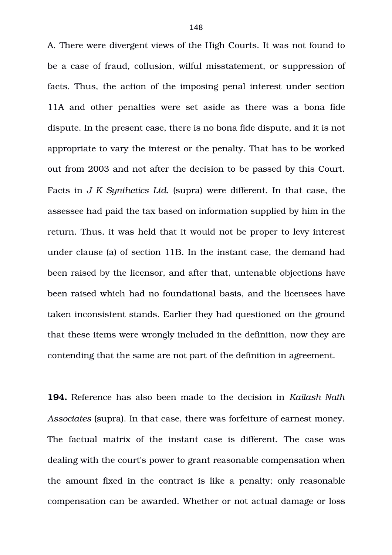A. There were divergent views of the High Courts. It was not found to be a case of fraud, collusion, wilful misstatement, or suppression of facts. Thus, the action of the imposing penal interest under section 11A and other penalties were set aside as there was a bona fide dispute. In the present case, there is no bona fide dispute, and it is not appropriate to vary the interest or the penalty. That has to be worked out from 2003 and not after the decision to be passed by this Court. Facts in *J K Synthetics Ltd.* (supra) were different. In that case, the assessee had paid the tax based on information supplied by him in the return. Thus, it was held that it would not be proper to levy interest under clause (a) of section 11B. In the instant case, the demand had been raised by the licensor, and after that, untenable objections have been raised which had no foundational basis, and the licensees have taken inconsistent stands. Earlier they had questioned on the ground that these items were wrongly included in the definition, now they are contending that the same are not part of the definition in agreement.

**194.** Reference has also been made to the decision in *Kailash Nath Associates* (supra). In that case, there was forfeiture of earnest money. The factual matrix of the instant case is different. The case was dealing with the court's power to grant reasonable compensation when the amount fixed in the contract is like a penalty; only reasonable compensation can be awarded. Whether or not actual damage or loss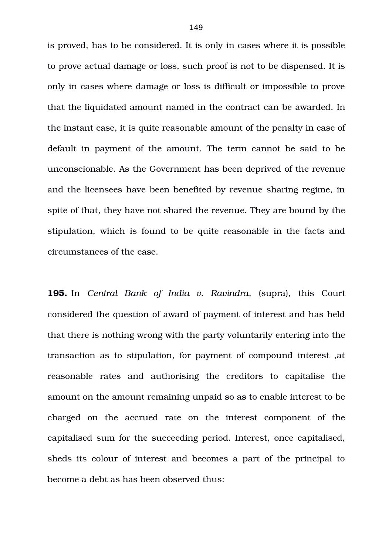is proved, has to be considered. It is only in cases where it is possible to prove actual damage or loss, such proof is not to be dispensed. It is only in cases where damage or loss is difficult or impossible to prove that the liquidated amount named in the contract can be awarded. In the instant case, it is quite reasonable amount of the penalty in case of default in payment of the amount. The term cannot be said to be unconscionable. As the Government has been deprived of the revenue and the licensees have been benefited by revenue sharing regime, in spite of that, they have not shared the revenue. They are bound by the stipulation, which is found to be quite reasonable in the facts and circumstances of the case.

**195.** In *Central Bank of India v. Ravindra*, (supra), this Court considered the question of award of payment of interest and has held that there is nothing wrong with the party voluntarily entering into the transaction as to stipulation, for payment of compound interest ,at reasonable rates and authorising the creditors to capitalise the amount on the amount remaining unpaid so as to enable interest to be charged on the accrued rate on the interest component of the capitalised sum for the succeeding period. Interest, once capitalised, sheds its colour of interest and becomes a part of the principal to become a debt as has been observed thus: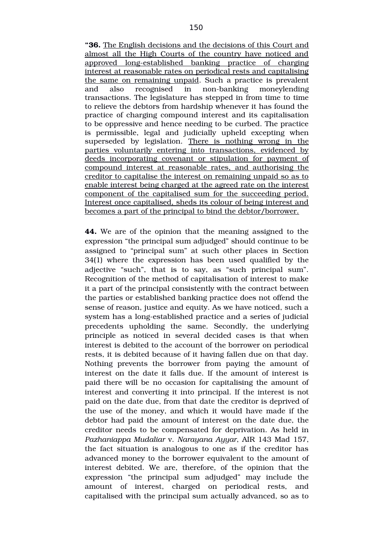**"36.** The English decisions and the decisions of this Court and almost all the High Courts of the country have noticed and approved long-established banking practice of charging interest at reasonable rates on periodical rests and capitalising the same on remaining unpaid. Such a practice is prevalent and also recognised in non-banking moneylending transactions. The legislature has stepped in from time to time to relieve the debtors from hardship whenever it has found the practice of charging compound interest and its capitalisation to be oppressive and hence needing to be curbed. The practice is permissible, legal and judicially upheld excepting when superseded by legislation. There is nothing wrong in the parties voluntarily entering into transactions, evidenced by deeds incorporating covenant or stipulation for payment of compound interest at reasonable rates, and authorising the creditor to capitalise the interest on remaining unpaid so as to enable interest being charged at the agreed rate on the interest component of the capitalised sum for the succeeding period. Interest once capitalised, sheds its colour of being interest and becomes a part of the principal to bind the debtor/borrower.

**44.** We are of the opinion that the meaning assigned to the expression "the principal sum adjudged" should continue to be assigned to "principal sum" at such other places in Section 34(1) where the expression has been used qualified by the adjective "such", that is to say, as "such principal sum". Recognition of the method of capitalisation of interest to make it a part of the principal consistently with the contract between the parties or established banking practice does not offend the sense of reason, justice and equity. As we have noticed, such a system has a long-established practice and a series of judicial precedents upholding the same. Secondly, the underlying principle as noticed in several decided cases is that when interest is debited to the account of the borrower on periodical rests, it is debited because of it having fallen due on that day. Nothing prevents the borrower from paying the amount of interest on the date it falls due. If the amount of interest is paid there will be no occasion for capitalising the amount of interest and converting it into principal. If the interest is not paid on the date due, from that date the creditor is deprived of the use of the money, and which it would have made if the debtor had paid the amount of interest on the date due, the creditor needs to be compensated for deprivation. As held in *Pazhaniappa Mudaliar* v. *Narayana Ayyar*, AIR 143 Mad 157, the fact situation is analogous to one as if the creditor has advanced money to the borrower equivalent to the amount of interest debited. We are, therefore, of the opinion that the expression "the principal sum adjudged" may include the amount of interest, charged on periodical rests, and capitalised with the principal sum actually advanced, so as to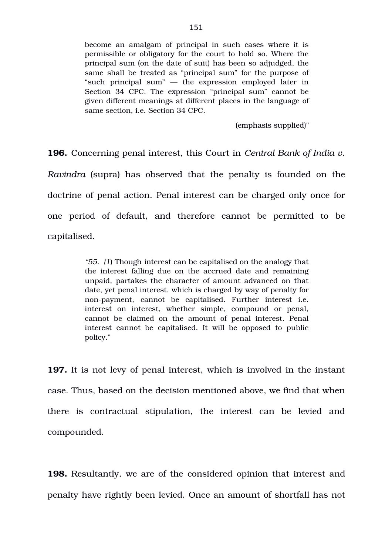become an amalgam of principal in such cases where it is permissible or obligatory for the court to hold so. Where the principal sum (on the date of suit) has been so adjudged, the same shall be treated as "principal sum" for the purpose of "such principal sum" — the expression employed later in Section 34 CPC. The expression "principal sum" cannot be given different meanings at different places in the language of same section, i.e. Section 34 CPC.

(emphasis supplied)"

**196.** Concerning penal interest, this Court in *Central Bank of India v. Ravindra* (supra) has observed that the penalty is founded on the doctrine of penal action. Penal interest can be charged only once for one period of default, and therefore cannot be permitted to be capitalised.

> *"55. (1*) Though interest can be capitalised on the analogy that the interest falling due on the accrued date and remaining unpaid, partakes the character of amount advanced on that date, yet penal interest, which is charged by way of penalty for non-payment, cannot be capitalised. Further interest i.e. interest on interest, whether simple, compound or penal, cannot be claimed on the amount of penal interest. Penal interest cannot be capitalised. It will be opposed to public policy."

**197.** It is not levy of penal interest, which is involved in the instant case. Thus, based on the decision mentioned above, we find that when there is contractual stipulation, the interest can be levied and compounded.

**198.** Resultantly, we are of the considered opinion that interest and penalty have rightly been levied. Once an amount of shortfall has not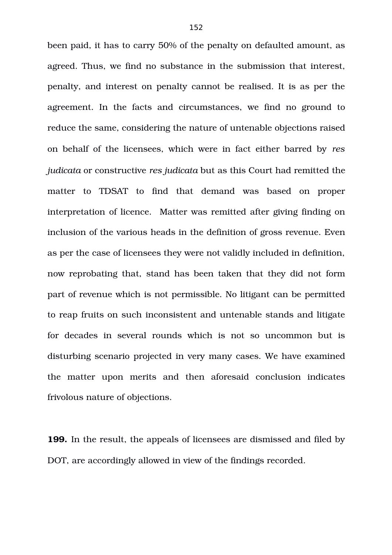been paid, it has to carry 50% of the penalty on defaulted amount, as agreed. Thus, we find no substance in the submission that interest, penalty, and interest on penalty cannot be realised. It is as per the agreement. In the facts and circumstances, we find no ground to reduce the same, considering the nature of untenable objections raised on behalf of the licensees, which were in fact either barred by *res judicata* or constructive *res judicata* but as this Court had remitted the matter to TDSAT to find that demand was based on proper interpretation of licence. Matter was remitted after giving finding on inclusion of the various heads in the definition of gross revenue. Even as per the case of licensees they were not validly included in definition, now reprobating that, stand has been taken that they did not form part of revenue which is not permissible. No litigant can be permitted to reap fruits on such inconsistent and untenable stands and litigate for decades in several rounds which is not so uncommon but is disturbing scenario projected in very many cases. We have examined the matter upon merits and then aforesaid conclusion indicates frivolous nature of objections.

**199.** In the result, the appeals of licensees are dismissed and filed by DOT, are accordingly allowed in view of the findings recorded.